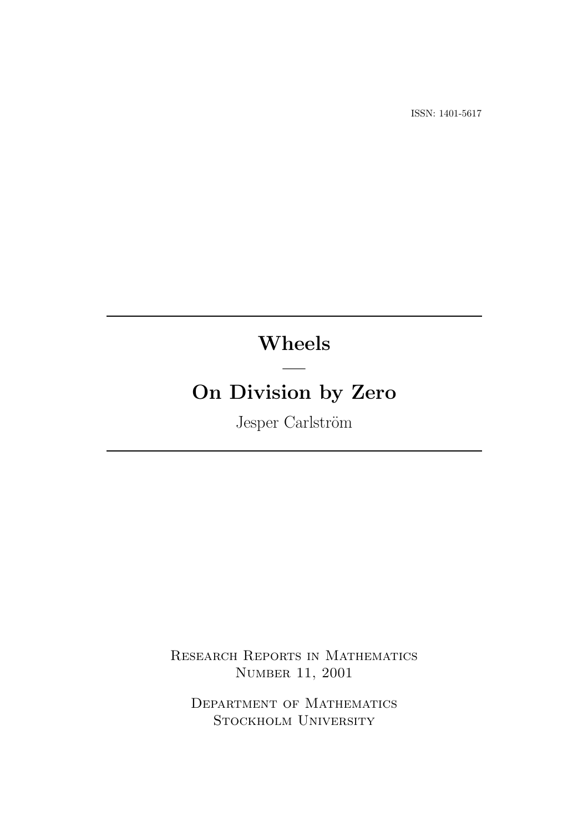ISSN: 1401-5617

# Wheels

—

# On Division by Zero

Jesper Carlström

Research Reports in Mathematics Number 11, 2001

Department of Mathematics Stockholm University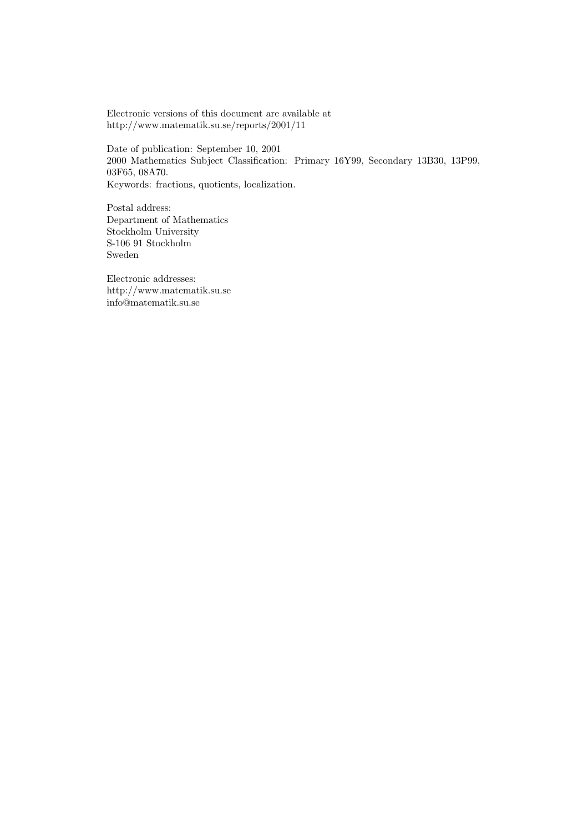Electronic versions of this document are available at http://www.matematik.su.se/reports/2001/11

Date of publication: September 10, 2001 2000 Mathematics Subject Classification: Primary 16Y99, Secondary 13B30, 13P99, 03F65, 08A70. Keywords: fractions, quotients, localization.

Postal address: Department of Mathematics Stockholm University S-106 91 Stockholm Sweden

Electronic addresses: http://www.matematik.su.se info@matematik.su.se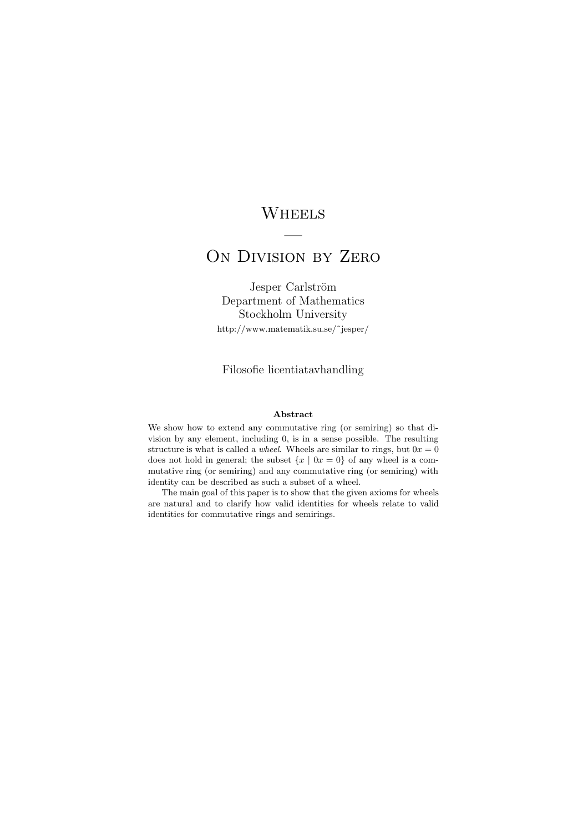# **WHEELS**

# ON DIVISION BY ZERO

—

Jesper Carlström Department of Mathematics Stockholm University http://www.matematik.su.se/˜jesper/

Filosofie licentiatavhandling

#### Abstract

We show how to extend any commutative ring (or semiring) so that division by any element, including 0, is in a sense possible. The resulting structure is what is called a *wheel*. Wheels are similar to rings, but  $0x = 0$ does not hold in general; the subset  $\{x \mid 0x = 0\}$  of any wheel is a commutative ring (or semiring) and any commutative ring (or semiring) with identity can be described as such a subset of a wheel.

The main goal of this paper is to show that the given axioms for wheels are natural and to clarify how valid identities for wheels relate to valid identities for commutative rings and semirings.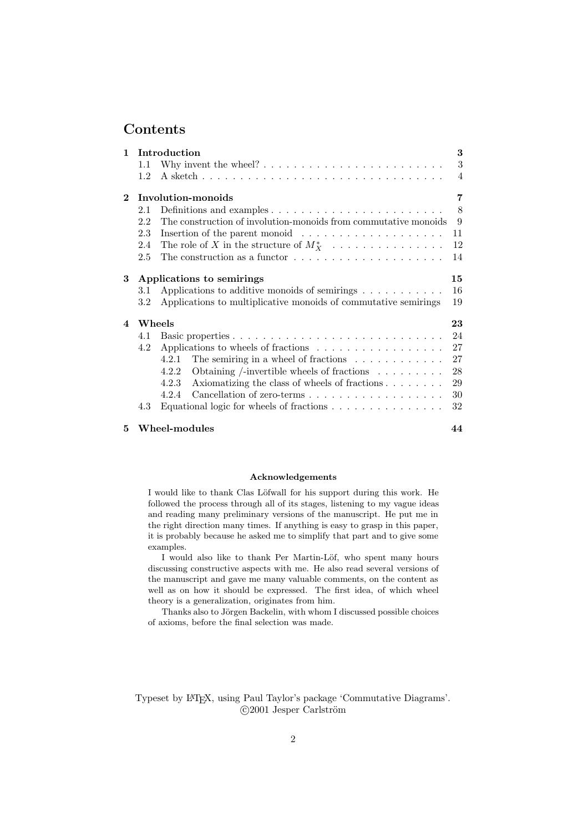# **Contents**

| $\mathbf{1}$   | Introduction |                                                                                  |                |  |  |  |  |
|----------------|--------------|----------------------------------------------------------------------------------|----------------|--|--|--|--|
|                | 1.1          |                                                                                  | 3              |  |  |  |  |
|                | 1.2          |                                                                                  | $\overline{4}$ |  |  |  |  |
| $\mathbf{2}$   |              | Involution-monoids                                                               | 7              |  |  |  |  |
|                | 2.1          | Definitions and examples $\dots \dots \dots \dots \dots \dots \dots \dots \dots$ | 8              |  |  |  |  |
|                | 2.2          | The construction of involution-monoids from commutative monoids                  | 9              |  |  |  |  |
|                | 2.3          | Insertion of the parent monoid $\ldots \ldots \ldots \ldots \ldots \ldots$       | 11             |  |  |  |  |
|                | 2.4          | The role of X in the structure of $M_X^*$                                        | 12             |  |  |  |  |
|                | 2.5          | The construction as a functor $\ldots \ldots \ldots \ldots \ldots \ldots \ldots$ | 14             |  |  |  |  |
| 3              |              | Applications to semirings                                                        |                |  |  |  |  |
|                | 3.1          | Applications to additive monoids of semirings $\dots \dots \dots$                | 16             |  |  |  |  |
|                | 3.2          | Applications to multiplicative monoids of commutative semirings<br>19            |                |  |  |  |  |
| $\overline{4}$ |              | Wheels                                                                           | 23             |  |  |  |  |
|                | 4.1          |                                                                                  | 24             |  |  |  |  |
|                | 4.2          | Applications to wheels of fractions                                              | 27             |  |  |  |  |
|                |              | The semiring in a wheel of fractions $\ldots \ldots \ldots \ldots$<br>4.2.1      | 27             |  |  |  |  |
|                |              | Obtaining /-invertible wheels of fractions $\ldots \ldots \ldots$<br>4.2.2       | 28             |  |  |  |  |
|                |              | Axiomatizing the class of wheels of fractions<br>4.2.3                           | 29             |  |  |  |  |
|                |              | 4.2.4                                                                            | 30             |  |  |  |  |
|                | 4.3          | Equational logic for wheels of fractions $\ldots \ldots \ldots \ldots \ldots$    | 32             |  |  |  |  |
| 5.             |              | Wheel-modules                                                                    | 44             |  |  |  |  |

#### Acknowledgements

I would like to thank Clas Löfwall for his support during this work. He followed the process through all of its stages, listening to my vague ideas and reading many preliminary versions of the manuscript. He put me in the right direction many times. If anything is easy to grasp in this paper, it is probably because he asked me to simplify that part and to give some examples.

I would also like to thank Per Martin-Löf, who spent many hours discussing constructive aspects with me. He also read several versions of the manuscript and gave me many valuable comments, on the content as well as on how it should be expressed. The first idea, of which wheel theory is a generalization, originates from him.

Thanks also to Jörgen Backelin, with whom I discussed possible choices of axioms, before the final selection was made.

Typeset by LATEX, using Paul Taylor's package 'Commutative Diagrams'.  $c$  2001 Jesper Carlström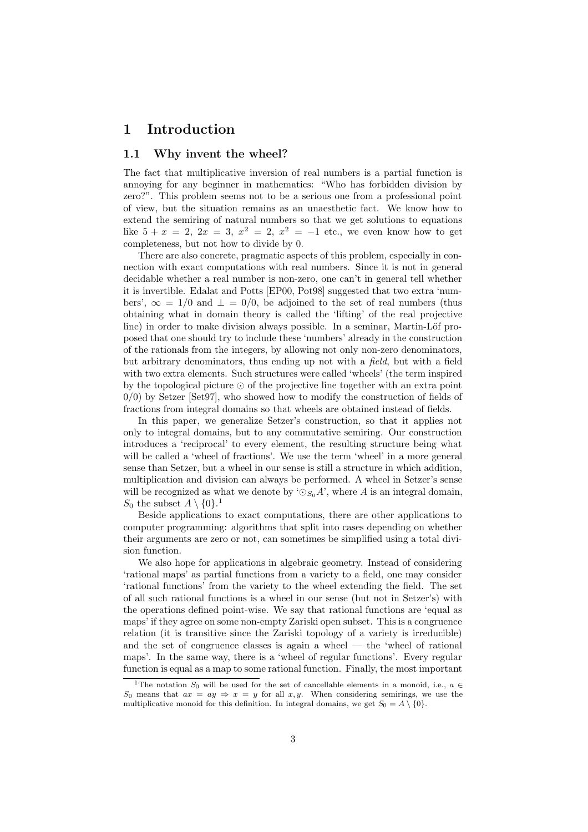# 1 Introduction

#### 1.1 Why invent the wheel?

The fact that multiplicative inversion of real numbers is a partial function is annoying for any beginner in mathematics: "Who has forbidden division by zero?". This problem seems not to be a serious one from a professional point of view, but the situation remains as an unaesthetic fact. We know how to extend the semiring of natural numbers so that we get solutions to equations like  $5 + x = 2$ ,  $2x = 3$ ,  $x^2 = 2$ ,  $x^2 = -1$  etc., we even know how to get completeness, but not how to divide by 0.

There are also concrete, pragmatic aspects of this problem, especially in connection with exact computations with real numbers. Since it is not in general decidable whether a real number is non-zero, one can't in general tell whether it is invertible. Edalat and Potts [EP00, Pot98] suggested that two extra 'numbers',  $\infty = 1/0$  and  $\perp = 0/0$ , be adjoined to the set of real numbers (thus obtaining what in domain theory is called the 'lifting' of the real projective line) in order to make division always possible. In a seminar, Martin-Löf proposed that one should try to include these 'numbers' already in the construction of the rationals from the integers, by allowing not only non-zero denominators, but arbitrary denominators, thus ending up not with a field, but with a field with two extra elements. Such structures were called 'wheels' (the term inspired by the topological picture  $\odot$  of the projective line together with an extra point 0/0) by Setzer [Set97], who showed how to modify the construction of fields of fractions from integral domains so that wheels are obtained instead of fields.

In this paper, we generalize Setzer's construction, so that it applies not only to integral domains, but to any commutative semiring. Our construction introduces a 'reciprocal' to every element, the resulting structure being what will be called a 'wheel of fractions'. We use the term 'wheel' in a more general sense than Setzer, but a wheel in our sense is still a structure in which addition, multiplication and division can always be performed. A wheel in Setzer's sense will be recognized as what we denote by ' $\odot_{S_0} A$ ', where A is an integral domain,  $S_0$  the subset  $A \setminus \{0\}$ .<sup>1</sup>

Beside applications to exact computations, there are other applications to computer programming: algorithms that split into cases depending on whether their arguments are zero or not, can sometimes be simplified using a total division function.

We also hope for applications in algebraic geometry. Instead of considering 'rational maps' as partial functions from a variety to a field, one may consider 'rational functions' from the variety to the wheel extending the field. The set of all such rational functions is a wheel in our sense (but not in Setzer's) with the operations defined point-wise. We say that rational functions are 'equal as maps' if they agree on some non-empty Zariski open subset. This is a congruence relation (it is transitive since the Zariski topology of a variety is irreducible) and the set of congruence classes is again a wheel — the 'wheel of rational maps'. In the same way, there is a 'wheel of regular functions'. Every regular function is equal as a map to some rational function. Finally, the most important

<sup>&</sup>lt;sup>1</sup>The notation  $S_0$  will be used for the set of cancellable elements in a monoid, i.e.,  $a \in$ S<sub>0</sub> means that  $ax = ay \Rightarrow x = y$  for all x, y. When considering semirings, we use the multiplicative monoid for this definition. In integral domains, we get  $S_0 = A \setminus \{0\}.$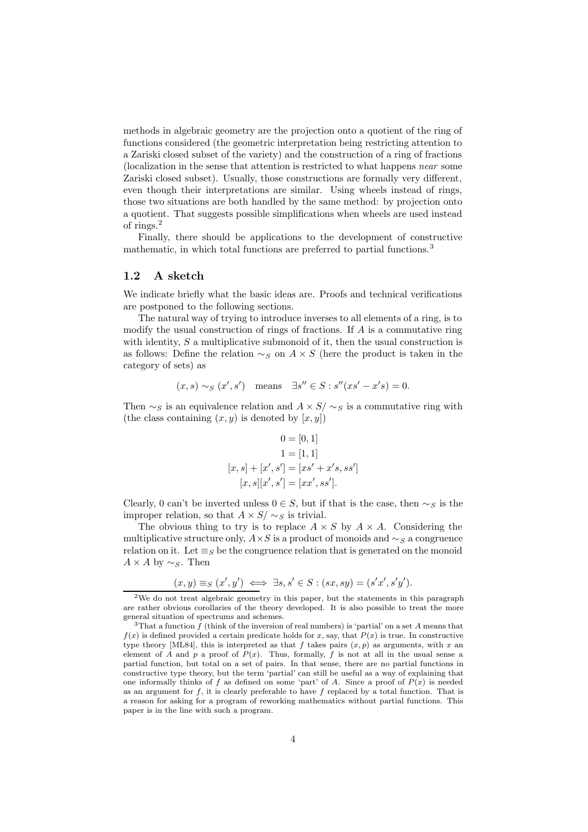methods in algebraic geometry are the projection onto a quotient of the ring of functions considered (the geometric interpretation being restricting attention to a Zariski closed subset of the variety) and the construction of a ring of fractions (localization in the sense that attention is restricted to what happens near some Zariski closed subset). Usually, those constructions are formally very different, even though their interpretations are similar. Using wheels instead of rings, those two situations are both handled by the same method: by projection onto a quotient. That suggests possible simplifications when wheels are used instead of rings.<sup>2</sup>

Finally, there should be applications to the development of constructive mathematic, in which total functions are preferred to partial functions.<sup>3</sup>

## 1.2 A sketch

We indicate briefly what the basic ideas are. Proofs and technical verifications are postponed to the following sections.

The natural way of trying to introduce inverses to all elements of a ring, is to modify the usual construction of rings of fractions. If A is a commutative ring with identity,  $S$  a multiplicative submonoid of it, then the usual construction is as follows: Define the relation  $\sim_S$  on  $A \times S$  (here the product is taken in the category of sets) as

$$
(x, s) \sim_S (x', s')
$$
 means  $\exists s'' \in S : s''(xs' - x's) = 0.$ 

Then  $\sim_S$  is an equivalence relation and  $A \times S' \sim_S$  is a commutative ring with (the class containing  $(x, y)$  is denoted by  $[x, y]$ )

$$
0 = [0, 1]
$$
  
\n
$$
1 = [1, 1]
$$
  
\n
$$
[x, s] + [x', s'] = [xs' + x's, ss']
$$
  
\n
$$
[x, s][x', s'] = [xx', ss']
$$
.

Clearly, 0 can't be inverted unless  $0 \in S$ , but if that is the case, then  $\sim_S$  is the improper relation, so that  $A \times S' \sim_S$  is trivial.

The obvious thing to try is to replace  $A \times S$  by  $A \times A$ . Considering the multiplicative structure only,  $A \times S$  is a product of monoids and  $\sim_S$  a congruence relation on it. Let  $\equiv_S$  be the congruence relation that is generated on the monoid  $A \times A$  by  $\sim_S$ . Then

$$
(x,y) \equiv_S (x',y') \iff \exists s, s' \in S : (sx,sy) = (s'x',s'y').
$$

<sup>2</sup>We do not treat algebraic geometry in this paper, but the statements in this paragraph are rather obvious corollaries of the theory developed. It is also possible to treat the more general situation of spectrums and schemes.

<sup>&</sup>lt;sup>3</sup>That a function  $f$  (think of the inversion of real numbers) is 'partial' on a set A means that  $f(x)$  is defined provided a certain predicate holds for x, say, that  $P(x)$  is true. In constructive type theory [ML84], this is interpreted as that f takes pairs  $(x, p)$  as arguments, with x an element of A and p a proof of  $P(x)$ . Thus, formally, f is not at all in the usual sense a partial function, but total on a set of pairs. In that sense, there are no partial functions in constructive type theory, but the term 'partial' can still be useful as a way of explaining that one informally thinks of f as defined on some 'part' of A. Since a proof of  $P(x)$  is needed as an argument for  $f$ , it is clearly preferable to have  $f$  replaced by a total function. That is a reason for asking for a program of reworking mathematics without partial functions. This paper is in the line with such a program.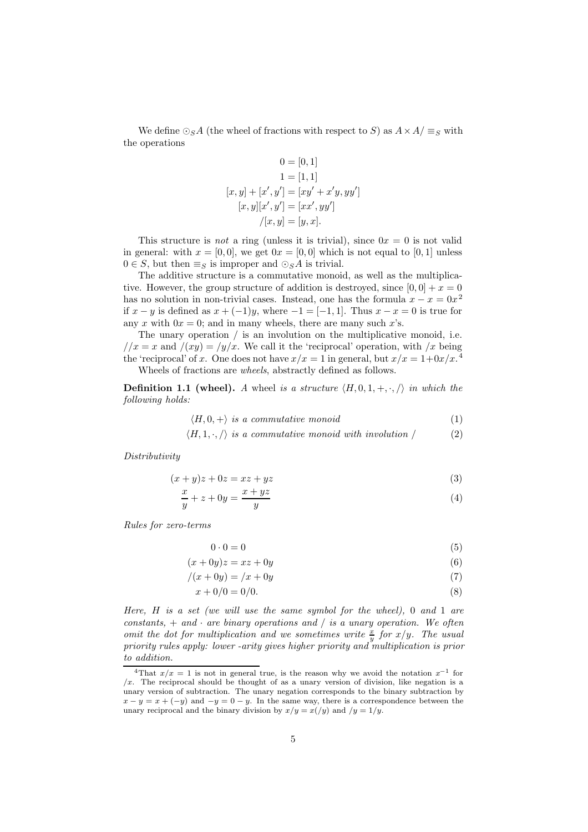We define  $\odot_S A$  (the wheel of fractions with respect to S) as  $A \times A / \equiv_S$  with the operations

$$
0 = [0, 1]
$$
  
\n
$$
1 = [1, 1]
$$
  
\n
$$
[x, y] + [x', y'] = [xy' + x'y, yy']
$$
  
\n
$$
[x, y][x', y'] = [xx', yy']
$$
  
\n
$$
/[x, y] = [y, x].
$$

This structure is not a ring (unless it is trivial), since  $0x = 0$  is not valid in general: with  $x = [0, 0]$ , we get  $0x = [0, 0]$  which is not equal to [0, 1] unless  $0 \in S$ , but then  $\equiv_S$  is improper and  $\odot_S A$  is trivial.

The additive structure is a commutative monoid, as well as the multiplicative. However, the group structure of addition is destroyed, since  $[0,0] + x = 0$ has no solution in non-trivial cases. Instead, one has the formula  $x - x = 0x^2$ if  $x - y$  is defined as  $x + (-1)y$ , where  $-1 = [-1, 1]$ . Thus  $x - x = 0$  is true for any x with  $0x = 0$ ; and in many wheels, there are many such x's.

The unary operation / is an involution on the multiplicative monoid, i.e.  $1/x = x$  and  $x/y = y/x$ . We call it the 'reciprocal' operation, with x being the 'reciprocal' of x. One does not have  $x/x = 1$  in general, but  $x/x = 1+0x/x$ .<sup>4</sup> Wheels of fractions are wheels, abstractly defined as follows.

**Definition 1.1 (wheel).** A wheel is a structure  $\langle H, 0, 1, +, \cdot, \cdot \rangle$  in which the following holds:

$$
\langle H, 0, + \rangle \text{ is a commutative monoid} \tag{1}
$$

 $\langle H, 1, \cdot, \cdot \rangle$  is a commutative monoid with involution / (2)

Distributivity

$$
(x+y)z + 0z = xz + yz \tag{3}
$$

$$
\frac{x}{y} + z + 0y = \frac{x + yz}{y}
$$
\n<sup>(4)</sup>

Rules for zero-terms

$$
0 \cdot 0 = 0 \tag{5}
$$

$$
(x+0y)z = xz + 0y \tag{6}
$$

$$
/(x+0y) = /x + 0y \tag{7}
$$

$$
x + 0/0 = 0/0. \tag{8}
$$

Here, H is a set (we will use the same symbol for the wheel), 0 and 1 are constants,  $+$  and  $\cdot$  are binary operations and  $/$  is a unary operation. We often omit the dot for multiplication and we sometimes write  $\frac{x}{y}$  for  $x/y$ . The usual priority rules apply: lower -arity gives higher priority and multiplication is prior to addition.

<sup>&</sup>lt;sup>4</sup>That  $x/x = 1$  is not in general true, is the reason why we avoid the notation  $x^{-1}$  for  $/x$ . The reciprocal should be thought of as a unary version of division, like negation is a unary version of subtraction. The unary negation corresponds to the binary subtraction by  $x - y = x + (-y)$  and  $-y = 0 - y$ . In the same way, there is a correspondence between the unary reciprocal and the binary division by  $x/y = x(y)$  and  $/y = 1/y$ .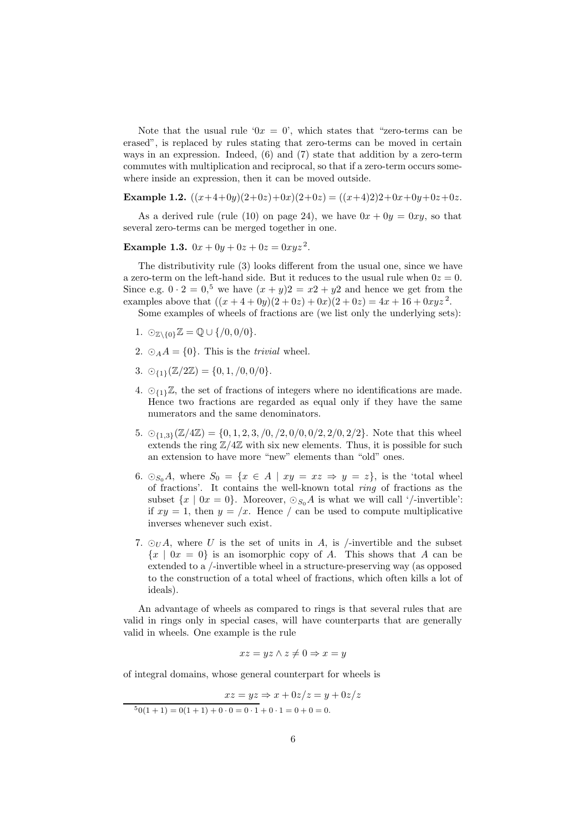Note that the usual rule ' $0x = 0$ ', which states that "zero-terms can be erased", is replaced by rules stating that zero-terms can be moved in certain ways in an expression. Indeed, (6) and (7) state that addition by a zero-term commutes with multiplication and reciprocal, so that if a zero-term occurs somewhere inside an expression, then it can be moved outside.

Example 1.2.  $((x+4+0y)(2+0z)+0x)(2+0z) = ((x+4)2)2+0x+0y+0z+0z.$ 

As a derived rule (rule (10) on page 24), we have  $0x + 0y = 0xy$ , so that several zero-terms can be merged together in one.

Example 1.3.  $0x + 0y + 0z + 0z = 0xyz^2$ .

The distributivity rule (3) looks different from the usual one, since we have a zero-term on the left-hand side. But it reduces to the usual rule when  $0z = 0$ . Since e.g.  $0 \cdot 2 = 0$ ,<sup>5</sup> we have  $(x + y)2 = x2 + y2$  and hence we get from the examples above that  $((x+4+0y)(2+0z)+0x)(2+0z) = 4x+16+0xyz^2$ .

Some examples of wheels of fractions are (we list only the underlying sets):

- 1.  $\odot_{\mathbb{Z}\setminus\{0\}}\mathbb{Z} = \mathbb{Q} \cup \{ /0, 0/0 \}.$
- 2.  $\odot_A A = \{0\}$ . This is the *trivial* wheel.
- 3.  $\odot_{11}(\mathbb{Z}/2\mathbb{Z}) = \{0, 1, /0, 0/0\}.$
- 4.  $\circlearrowright_{1}Z$ , the set of fractions of integers where no identifications are made. Hence two fractions are regarded as equal only if they have the same numerators and the same denominators.
- 5.  ${\mathcal{O}}_{4,3}(\mathbb{Z}/4\mathbb{Z}) = \{0, 1, 2, 3, 7, 7, 0, 7, 0, 0, 0, 2, 2, 0, 2/2\}$ . Note that this wheel extends the ring  $\mathbb{Z}/4\mathbb{Z}$  with six new elements. Thus, it is possible for such an extension to have more "new" elements than "old" ones.
- 6.  $\odot_{S_0}A$ , where  $S_0 = \{x \in A \mid xy = xz \Rightarrow y = z\}$ , is the 'total wheel of fractions'. It contains the well-known total ring of fractions as the subset  $\{x \mid 0x = 0\}$ . Moreover,  $\odot_{S_0}A$  is what we will call '/-invertible': if  $xy = 1$ , then  $y = x$ . Hence / can be used to compute multiplicative inverses whenever such exist.
- 7.  $\odot_U A$ , where U is the set of units in A, is /-invertible and the subset  ${x \mid 0x = 0}$  is an isomorphic copy of A. This shows that A can be extended to a /-invertible wheel in a structure-preserving way (as opposed to the construction of a total wheel of fractions, which often kills a lot of ideals).

An advantage of wheels as compared to rings is that several rules that are valid in rings only in special cases, will have counterparts that are generally valid in wheels. One example is the rule

$$
xz = yz \land z \neq 0 \Rightarrow x = y
$$

of integral domains, whose general counterpart for wheels is

 $xz = yz \Rightarrow x + 0z/z = y + 0z/z$  $\frac{50(1 + 1) = 0(1 + 1) + 0 \cdot 0 = 0 \cdot 1 + 0 \cdot 1 = 0 + 0 = 0.$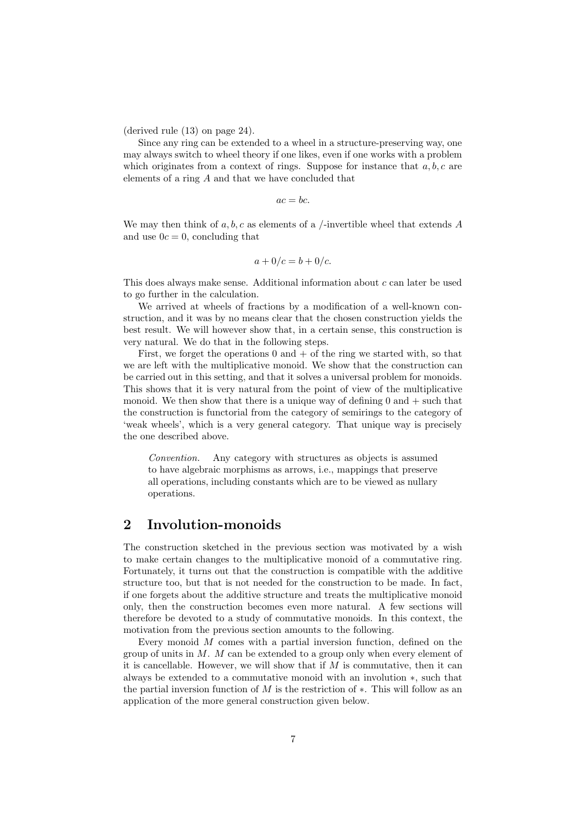(derived rule (13) on page 24).

Since any ring can be extended to a wheel in a structure-preserving way, one may always switch to wheel theory if one likes, even if one works with a problem which originates from a context of rings. Suppose for instance that  $a, b, c$  are elements of a ring A and that we have concluded that

$$
ac = bc.
$$

We may then think of  $a, b, c$  as elements of a /-invertible wheel that extends A and use  $0c = 0$ , concluding that

$$
a + 0/c = b + 0/c.
$$

This does always make sense. Additional information about  $c$  can later be used to go further in the calculation.

We arrived at wheels of fractions by a modification of a well-known construction, and it was by no means clear that the chosen construction yields the best result. We will however show that, in a certain sense, this construction is very natural. We do that in the following steps.

First, we forget the operations  $0$  and  $+$  of the ring we started with, so that we are left with the multiplicative monoid. We show that the construction can be carried out in this setting, and that it solves a universal problem for monoids. This shows that it is very natural from the point of view of the multiplicative monoid. We then show that there is a unique way of defining  $0$  and  $+$  such that the construction is functorial from the category of semirings to the category of 'weak wheels', which is a very general category. That unique way is precisely the one described above.

Convention. Any category with structures as objects is assumed to have algebraic morphisms as arrows, i.e., mappings that preserve all operations, including constants which are to be viewed as nullary operations.

# 2 Involution-monoids

The construction sketched in the previous section was motivated by a wish to make certain changes to the multiplicative monoid of a commutative ring. Fortunately, it turns out that the construction is compatible with the additive structure too, but that is not needed for the construction to be made. In fact, if one forgets about the additive structure and treats the multiplicative monoid only, then the construction becomes even more natural. A few sections will therefore be devoted to a study of commutative monoids. In this context, the motivation from the previous section amounts to the following.

Every monoid  $M$  comes with a partial inversion function, defined on the group of units in  $M$ .  $M$  can be extended to a group only when every element of it is cancellable. However, we will show that if  $M$  is commutative, then it can always be extended to a commutative monoid with an involution ∗, such that the partial inversion function of M is the restriction of  $*$ . This will follow as an application of the more general construction given below.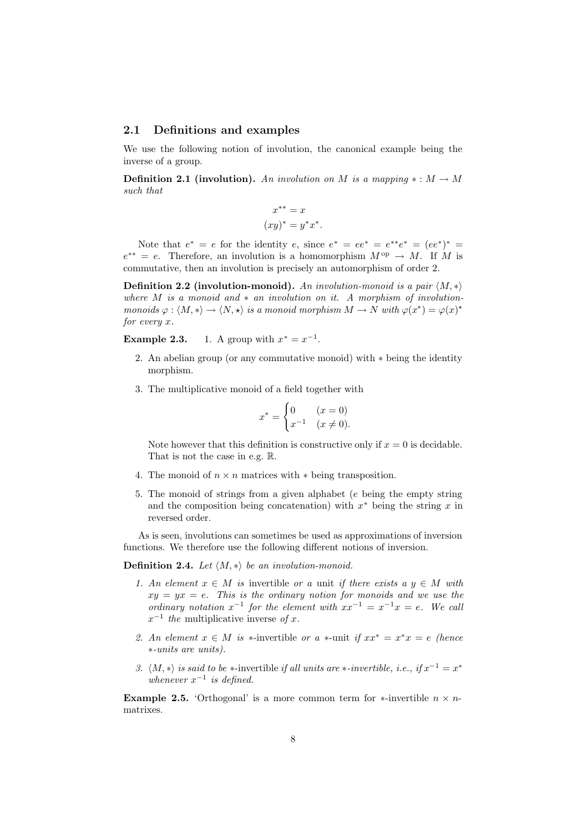#### 2.1 Definitions and examples

We use the following notion of involution, the canonical example being the inverse of a group.

Definition 2.1 (involution). An involution on M is a mapping  $\ast : M \to M$ such that

$$
x^{**} = x
$$

$$
(xy)^* = y^*x^*.
$$

Note that  $e^* = e$  for the identity  $e$ , since  $e^* = ee^* = e^{**}e^* = (ee^*)^* =$  $e^{**} = e$ . Therefore, an involution is a homomorphism  $M^{\text{op}} \to M$ . If M is commutative, then an involution is precisely an automorphism of order 2.

Definition 2.2 (involution-monoid). An involution-monoid is a pair  $\langle M, * \rangle$ where  $M$  is a monoid and  $*$  an involution on it. A morphism of involutionmonoids  $\varphi : \langle M, * \rangle \to \langle N, * \rangle$  is a monoid morphism  $M \to N$  with  $\varphi(x^*) = \varphi(x)^*$ for every x.

**Example 2.3.** 1. A group with  $x^* = x^{-1}$ .

- 2. An abelian group (or any commutative monoid) with ∗ being the identity morphism.
- 3. The multiplicative monoid of a field together with

$$
x^* = \begin{cases} 0 & (x = 0) \\ x^{-1} & (x \neq 0). \end{cases}
$$

Note however that this definition is constructive only if  $x = 0$  is decidable. That is not the case in e.g. R.

- 4. The monoid of  $n \times n$  matrices with  $*$  being transposition.
- 5. The monoid of strings from a given alphabet (e being the empty string and the composition being concatenation) with  $x^*$  being the string x in reversed order.

As is seen, involutions can sometimes be used as approximations of inversion functions. We therefore use the following different notions of inversion.

**Definition 2.4.** Let  $\langle M, * \rangle$  be an involution-monoid.

- 1. An element  $x \in M$  is invertible or a unit if there exists a  $y \in M$  with  $xy = yx = e$ . This is the ordinary notion for monoids and we use the ordinary notation  $x^{-1}$  for the element with  $xx^{-1} = x^{-1}x = e$ . We call  $x^{-1}$  the multiplicative inverse of x.
- 2. An element  $x \in M$  is \*-invertible or a \*-unit if  $xx^* = x^*x = e$  (hence ∗-units are units).
- 3.  $\langle M, * \rangle$  is said to be ∗-invertible if all units are ∗-invertible, i.e., if  $x^{-1} = x^*$ whenever  $x^{-1}$  is defined.

**Example 2.5.** 'Orthogonal' is a more common term for  $*$ -invertible  $n \times n$ matrixes.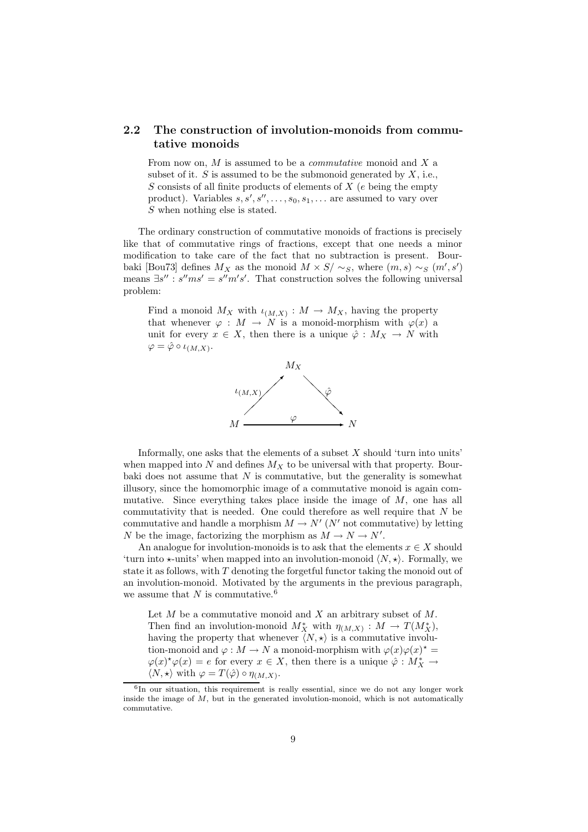# 2.2 The construction of involution-monoids from commutative monoids

From now on,  $M$  is assumed to be a *commutative* monoid and  $X$  a subset of it.  $S$  is assumed to be the submonoid generated by  $X$ , i.e.,  $S$  consists of all finite products of elements of  $X$  (e being the empty product). Variables  $s, s', s'', \ldots, s_0, s_1, \ldots$  are assumed to vary over S when nothing else is stated.

The ordinary construction of commutative monoids of fractions is precisely like that of commutative rings of fractions, except that one needs a minor modification to take care of the fact that no subtraction is present. Bourbaki [Bou73] defines  $M_X$  as the monoid  $M \times S / \sim_S$ , where  $(m, s) \sim_S (m', s')$ means  $\exists s'': s''ms' = s''m's'.$  That construction solves the following universal problem:

Find a monoid  $M_X$  with  $\iota_{(M,X)} : M \to M_X$ , having the property that whenever  $\varphi : M \to N$  is a monoid-morphism with  $\varphi(x)$  a unit for every  $x \in X$ , then there is a unique  $\hat{\varphi}: M_X \to N$  with  $\varphi = \hat{\varphi} \circ \iota_{(M,X)}.$ 



Informally, one asks that the elements of a subset  $X$  should 'turn into units' when mapped into N and defines  $M_X$  to be universal with that property. Bourbaki does not assume that  $N$  is commutative, but the generality is somewhat illusory, since the homomorphic image of a commutative monoid is again commutative. Since everything takes place inside the image of  $M$ , one has all commutativity that is needed. One could therefore as well require that  $N$  be commutative and handle a morphism  $M \to N'$  ( $N'$  not commutative) by letting N be the image, factorizing the morphism as  $M \to N \to N'$ .

An analogue for involution-monoids is to ask that the elements  $x \in X$  should 'turn into  $\star$ -units' when mapped into an involution-monoid  $\langle N, \star \rangle$ . Formally, we state it as follows, with  $T$  denoting the forgetful functor taking the monoid out of an involution-monoid. Motivated by the arguments in the previous paragraph, we assume that N is commutative.<sup>6</sup>

Let  $M$  be a commutative monoid and  $X$  an arbitrary subset of  $M$ . Then find an involution-monoid  $M_X^*$  with  $\eta_{(M,X)} : M \to T(M_X^*),$ having the property that whenever  $\langle N, \star \rangle$  is a commutative involution-monoid and  $\varphi: M \to N$  a monoid-morphism with  $\varphi(x)\varphi(x)^* =$  $\varphi(x) \star \varphi(x) = e$  for every  $x \in X$ , then there is a unique  $\hat{\varphi}: M_X^* \to$  $\langle N, \star \rangle$  with  $\varphi = T(\hat{\varphi}) \circ \eta_{(M,X)}$ .

<sup>6</sup> In our situation, this requirement is really essential, since we do not any longer work inside the image of  $M$ , but in the generated involution-monoid, which is not automatically commutative.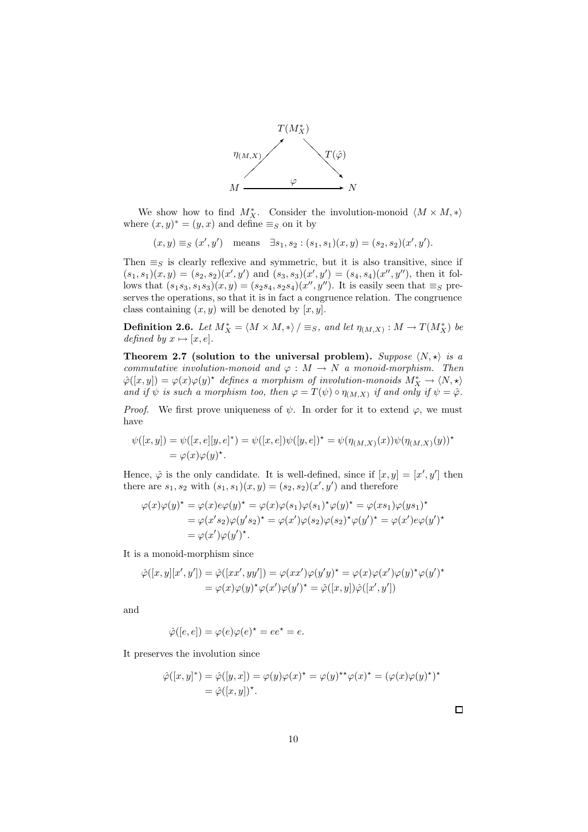

We show how to find  $M_X^*$ . Consider the involution-monoid  $\langle M \times M, *\rangle$ where  $(x, y)^* = (y, x)$  and define  $\equiv_S$  on it by

$$
(x, y) \equiv_S (x', y')
$$
 means  $\exists s_1, s_2 : (s_1, s_1)(x, y) = (s_2, s_2)(x', y').$ 

Then  $\equiv_S$  is clearly reflexive and symmetric, but it is also transitive, since if  $(s_1, s_1)(x, y) = (s_2, s_2)(x', y')$  and  $(s_3, s_3)(x', y') = (s_4, s_4)(x'', y'')$ , then it follows that  $(s_1s_3, s_1s_3)(x, y) = (s_2s_4, s_2s_4)(x'', y'')$ . It is easily seen that  $\equiv_S$  preserves the operations, so that it is in fact a congruence relation. The congruence class containing  $(x, y)$  will be denoted by  $[x, y]$ .

**Definition 2.6.** Let  $M_X^* = \langle M \times M, * \rangle / \equiv_S$ , and let  $\eta_{(M,X)} : M \to T(M_X^*)$  be defined by  $x \mapsto [x, e]$ .

Theorem 2.7 (solution to the universal problem). Suppose  $\langle N, \star \rangle$  is a commutative involution-monoid and  $\varphi : M \to N$  a monoid-morphism. Then  $\hat{\varphi}([x,y]) = \varphi(x)\varphi(y)$ <sup>\*</sup> defines a morphism of involution-monoids  $M_X^* \to \langle N, \star \rangle$ and if  $\psi$  is such a morphism too, then  $\varphi = T(\psi) \circ \eta_{(M,X)}$  if and only if  $\psi = \hat{\varphi}$ .

*Proof.* We first prove uniqueness of  $\psi$ . In order for it to extend  $\varphi$ , we must have

$$
\psi([x, y]) = \psi([x, e][y, e]^*) = \psi([x, e])\psi([y, e])^* = \psi(\eta_{(M, X)}(x))\psi(\eta_{(M, X)}(y))^*
$$
  
=  $\varphi(x)\varphi(y)^*$ .

Hence,  $\hat{\varphi}$  is the only candidate. It is well-defined, since if  $[x, y] = [x', y']$  then there are  $s_1, s_2$  with  $(s_1, s_1)(x, y) = (s_2, s_2)(x', y')$  and therefore

$$
\varphi(x)\varphi(y)^* = \varphi(x)e\varphi(y)^* = \varphi(x)\varphi(s_1)\varphi(s_1)^*\varphi(y)^* = \varphi(xs_1)\varphi(ys_1)^* \n= \varphi(x's_2)\varphi(y's_2)^* = \varphi(x')\varphi(s_2)\varphi(s_2)^*\varphi(y')^* = \varphi(x')e\varphi(y')^* \n= \varphi(x')\varphi(y')^*.
$$

It is a monoid-morphism since

$$
\hat{\varphi}([x,y][x',y']) = \hat{\varphi}([xx',yy']) = \varphi(xx')\varphi(y'y)^* = \varphi(x)\varphi(x')\varphi(y) * \varphi(y') * \n= \varphi(x)\varphi(y) * \varphi(x')\varphi(y') * = \hat{\varphi}([x,y])\hat{\varphi}([x',y'])
$$

and

$$
\hat{\varphi}([e,e]) = \varphi(e)\varphi(e)^{\star} = ee^{\star} = e.
$$

It preserves the involution since

$$
\hat{\varphi}([x,y]^*) = \hat{\varphi}([y,x]) = \varphi(y)\varphi(x)^\star = \varphi(y)^{\star\star}\varphi(x)^\star = (\varphi(x)\varphi(y)^\star)^\star
$$
  
= 
$$
\hat{\varphi}([x,y])^\star.
$$

 $\Box$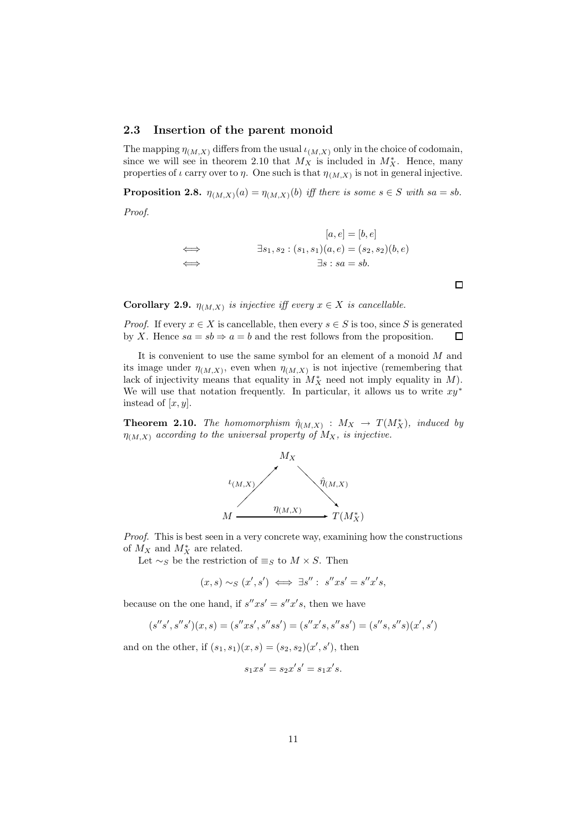#### 2.3 Insertion of the parent monoid

The mapping  $\eta_{(M,X)}$  differs from the usual  $\iota_{(M,X)}$  only in the choice of codomain, since we will see in theorem 2.10 that  $M_X$  is included in  $M_X^*$ . Hence, many properties of  $\iota$  carry over to  $\eta$ . One such is that  $\eta_{(M,X)}$  is not in general injective.

**Proposition 2.8.**  $\eta_{(M,X)}(a) = \eta_{(M,X)}(b)$  iff there is some  $s \in S$  with  $sa = sb$ .

Proof.

$$
[a, e] = [b, e]
$$
  

$$
\implies
$$
  

$$
\exists s_1, s_2 : (s_1, s_1)(a, e) = (s_2, s_2)(b, e)
$$
  

$$
\implies
$$
  

$$
\exists s : sa = sb.
$$

**Corollary 2.9.**  $\eta_{(M,X)}$  is injective iff every  $x \in X$  is cancellable.

*Proof.* If every  $x \in X$  is cancellable, then every  $s \in S$  is too, since S is generated by X. Hence  $sa = sb \Rightarrow a = b$  and the rest follows from the proposition.  $\square$ by X. Hence  $sa = sb \Rightarrow a = b$  and the rest follows from the proposition.

It is convenient to use the same symbol for an element of a monoid  $M$  and its image under  $\eta_{(M,X)}$ , even when  $\eta_{(M,X)}$  is not injective (remembering that lack of injectivity means that equality in  $M_X^*$  need not imply equality in  $M$ ). We will use that notation frequently. In particular, it allows us to write  $xy^*$ instead of  $[x, y]$ .

**Theorem 2.10.** The homomorphism  $\hat{\eta}_{(M,X)}$  :  $M_X \rightarrow T(M_X^*)$ , induced by  $\eta_{(M,X)}$  according to the universal property of  $M_X$ , is injective.



Proof. This is best seen in a very concrete way, examining how the constructions of  $M_X$  and  $M_X^*$  are related.

Let  $\sim_S$  be the restriction of  $\equiv_S$  to  $M \times S$ . Then

$$
(x,s) \sim_S (x',s') \iff \exists s'' : s''xs' = s''x's,
$$

because on the one hand, if  $s''xs' = s''x's$ , then we have

$$
(s^{\prime\prime} s^\prime , s^{\prime\prime} s^\prime )(x,s)=(s^{\prime\prime} xs^\prime , s^{\prime\prime} ss^\prime )=(s^{\prime\prime} x^\prime s , s^{\prime\prime} ss^\prime )=(s^{\prime\prime} s , s^{\prime\prime} s)(x^\prime , s^\prime )
$$

and on the other, if  $(s_1, s_1)(x, s) = (s_2, s_2)(x', s')$ , then

$$
s_1xs'=s_2x's'=s_1x's.
$$

 $\Box$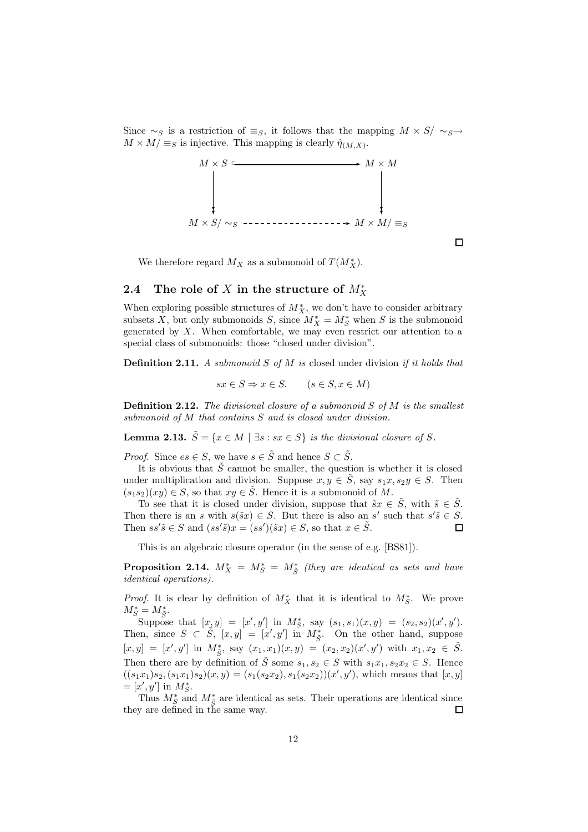Since  $\sim_S$  is a restriction of  $\equiv_S$ , it follows that the mapping  $M \times S/\sim_S \rightarrow$  $M \times M / \equiv_S$  is injective. This mapping is clearly  $\hat{\eta}_{(M,X)}$ .



 $\Box$ 

We therefore regard  $M_X$  as a submonoid of  $T(M_X^*)$ .

# 2.4 The role of X in the structure of  $M_X^*$

When exploring possible structures of  $M_X^*$ , we don't have to consider arbitrary subsets X, but only submonoids S, since  $M_X^* = M_S^*$  when S is the submonoid generated by  $X$ . When comfortable, we may even restrict our attention to a special class of submonoids: those "closed under division".

**Definition 2.11.** A submonoid S of M is closed under division if it holds that

$$
sx \in S \Rightarrow x \in S. \qquad (s \in S, x \in M)
$$

**Definition 2.12.** The divisional closure of a submonoid  $S$  of  $M$  is the smallest submonoid of M that contains S and is closed under division.

**Lemma 2.13.**  $\tilde{S} = \{x \in M \mid \exists s : sx \in S\}$  is the divisional closure of S.

*Proof.* Since  $es \in S$ , we have  $s \in \tilde{S}$  and hence  $S \subset \tilde{S}$ .

It is obvious that  $S$  cannot be smaller, the question is whether it is closed under multiplication and division. Suppose  $x, y \in \tilde{S}$ , say  $s_1x, s_2y \in S$ . Then  $(s_1s_2)(xy) \in S$ , so that  $xy \in \tilde{S}$ . Hence it is a submonoid of M.

To see that it is closed under division, suppose that  $\tilde{s}x \in \tilde{S}$ , with  $\tilde{s} \in \tilde{S}$ . Then there is an s with  $s(\tilde{s}x) \in S$ . But there is also an s' such that  $s'\tilde{s} \in S$ . Then  $ss'\tilde{s} \in S$  and  $(ss'\tilde{s})x = (ss')(\tilde{s}x) \in S$ , so that  $x \in \tilde{S}$ .

This is an algebraic closure operator (in the sense of e.g. [BS81]).

**Proposition 2.14.**  $M_X^* = M_S^* = M_{\tilde{S}}^*$  (they are identical as sets and have identical operations).

*Proof.* It is clear by definition of  $M_X^*$  that it is identical to  $M_S^*$ . We prove  $M^*_{S} = M^*_{\tilde{S}}.$ 

Suppose that  $[x, y] = [x', y']$  in  $M_S^*$ , say  $(s_1, s_1)(x, y) = (s_2, s_2)(x', y')$ . Then, since  $S \subset \tilde{S}$ ,  $[x, y] = [x', y']$  in  $M_{\tilde{S}}^*$ . On the other hand, suppose  $[x, y] = [x', y']$  in  $M_{\tilde{S}}^*$ , say  $(x_1, x_1)(x, y) = (x_2, x_2)(x', y')$  with  $x_1, x_2 \in \tilde{S}$ . Then there are by definition of  $\tilde{S}$  some  $s_1, s_2 \in S$  with  $s_1x_1, s_2x_2 \in S$ . Hence  $((s_1x_1)s_2, (s_1x_1)s_2)(x, y) = (s_1(s_2x_2), s_1(s_2x_2))(x', y')$ , which means that  $[x, y]$  $=[x', y']$  in  $M_S^*$ .

Thus  $M_{\tilde{S}}^*$  and  $M_{\tilde{S}}^*$  are identical as sets. Their operations are identical since they are defined in the same way.  $\Box$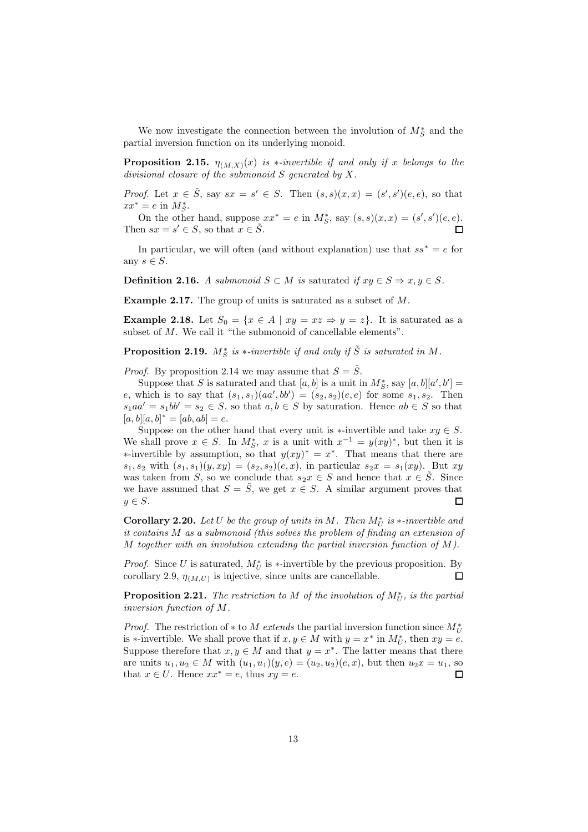We now investigate the connection between the involution of  $M_S^*$  and the partial inversion function on its underlying monoid.

**Proposition 2.15.**  $\eta_{(M,X)}(x)$  is \*-invertible if and only if x belongs to the divisional closure of the submonoid  $S$  generated by  $X$ .

*Proof.* Let  $x \in \tilde{S}$ , say  $sx = s' \in S$ . Then  $(s, s)(x, x) = (s', s')(e, e)$ , so that  $xx^* = e$  in  $M_S^*$ .

On the other hand, suppose  $xx^* = e$  in  $M_S^*$ , say  $(s, s)(x, x) = (s', s')(e, e)$ . Then  $sx = s' \in S$ , so that  $x \in \tilde{S}$ .

In particular, we will often (and without explanation) use that  $ss^* = e$  for any  $s \in S$ .

**Definition 2.16.** A submonoid  $S \subset M$  is saturated if  $xy \in S \Rightarrow x, y \in S$ .

Example 2.17. The group of units is saturated as a subset of M.

**Example 2.18.** Let  $S_0 = \{x \in A \mid xy = xz \Rightarrow y = z\}$ . It is saturated as a subset of M. We call it "the submonoid of cancellable elements".

**Proposition 2.19.**  $M_S^*$  is  $*$ -invertible if and only if  $\tilde{S}$  is saturated in M.

*Proof.* By proposition 2.14 we may assume that  $S = \tilde{S}$ .

Suppose that S is saturated and that  $[a, b]$  is a unit in  $M_S^*$ , say  $[a, b][a', b'] =$ e, which is to say that  $(s_1, s_1)(aa', bb') = (s_2, s_2)(e, e)$  for some  $s_1, s_2$ . Then  $s_1aa' = s_1bb' = s_2 \in S$ , so that  $a, b \in S$  by saturation. Hence  $ab \in S$  so that  $[a, b][a, b]^* = [ab, ab] = e.$ 

Suppose on the other hand that every unit is ∗-invertible and take  $xy \in S$ . We shall prove  $x \in S$ . In  $M_S^*$ , x is a unit with  $x^{-1} = y(xy)^*$ , but then it is we shall prove  $x \in S$ . In  $M_S$ , x is a unit with  $x = y(xy)$ , but then it is<br>\*-invertible by assumption, so that  $y(xy)^* = x^*$ . That means that there are  $s_1, s_2$  with  $(s_1, s_1)(y, xy) = (s_2, s_2)(e, x)$ , in particular  $s_2x = s_1(xy)$ . But xy was taken from S, so we conclude that  $s_2x \in S$  and hence that  $x \in \tilde{S}$ . Since we have assumed that  $S = \tilde{S}$ , we get  $x \in S$ . A similar argument proves that  $u \in S$ .  $y \in S$ .

**Corollary 2.20.** Let U be the group of units in M. Then  $M_U^*$  is  $*$ -invertible and it contains M as a submonoid (this solves the problem of finding an extension of M together with an involution extending the partial inversion function of  $M$ ).

*Proof.* Since U is saturated,  $M_U^*$  is  $*$ -invertible by the previous proposition. By corollary 2.9,  $\eta_{(M,U)}$  is injective, since units are cancellable.

**Proposition 2.21.** The restriction to M of the involution of  $M_U^*$ , is the partial inversion function of M.

*Proof.* The restriction of  $*$  to M extends the partial inversion function since  $M_U^*$ is ∗-invertible. We shall prove that if  $x, y \in M$  with  $y = x^*$  in  $M_U^*$ , then  $xy = e$ . Suppose therefore that  $x, y \in M$  and that  $y = x^*$ . The latter means that there are units  $u_1, u_2 \in M$  with  $(u_1, u_1)(y, e) = (u_2, u_2)(e, x)$ , but then  $u_2x = u_1$ , so that  $x \in U$ . Hence  $xx^* = e$ , thus  $xy = e$ . that  $x \in U$ . Hence  $xx^* = e$ , thus  $xy = e$ .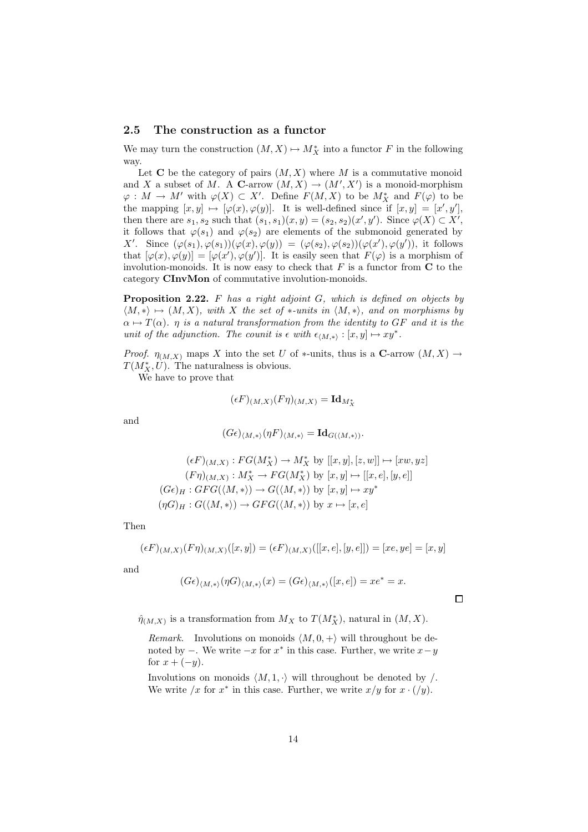#### 2.5 The construction as a functor

We may turn the construction  $(M, X) \mapsto M_X^*$  into a functor F in the following way.

Let C be the category of pairs  $(M, X)$  where M is a commutative monoid and X a subset of M. A C-arrow  $(M, X) \to (M', X')$  is a monoid-morphism  $\varphi: M \to M'$  with  $\varphi(X) \subset X'$ . Define  $F(M, X)$  to be  $M_X^*$  and  $F(\varphi)$  to be the mapping  $[x, y] \mapsto [\varphi(x), \varphi(y)]$ . It is well-defined since if  $[x, y] = [x', y']$ , then there are  $s_1, s_2$  such that  $(s_1, s_1)(x, y) = (s_2, s_2)(x', y')$ . Since  $\varphi(X) \subset X'$ , it follows that  $\varphi(s_1)$  and  $\varphi(s_2)$  are elements of the submonoid generated by X'. Since  $(\varphi(s_1), \varphi(s_1))(\varphi(x), \varphi(y)) = (\varphi(s_2), \varphi(s_2))(\varphi(x'), \varphi(y'))$ , it follows that  $[\varphi(x), \varphi(y)] = [\varphi(x'), \varphi(y')]$ . It is easily seen that  $F(\varphi)$  is a morphism of involution-monoids. It is now easy to check that  $F$  is a functor from  $C$  to the category CInvMon of commutative involution-monoids.

**Proposition 2.22.** F has a right adjoint  $G$ , which is defined on objects by  $\langle M, * \rangle \mapsto (M, X)$ , with X the set of \*-units in  $\langle M, * \rangle$ , and on morphisms by  $\alpha \mapsto T(\alpha)$ .  $\eta$  is a natural transformation from the identity to GF and it is the unit of the adjunction. The counit is  $\epsilon$  with  $\epsilon_{\langle M,*\rangle} : [x, y] \mapsto xy^*$ .

*Proof.*  $\eta_{(M,X)}$  maps X into the set U of \*-units, thus is a C-arrow  $(M,X) \rightarrow$  $T(M_X^*, U)$ . The naturalness is obvious.

We have to prove that

$$
(\epsilon F)_{(M,X)}(F\eta)_{(M,X)} = \mathrm{Id}_{M_X^*}
$$

and

$$
(G\epsilon)_{\langle M,*\rangle}(\eta F)_{\langle M,*\rangle} = \mathrm{Id}_{G(\langle M,*\rangle)}.
$$

$$
(\epsilon F)_{(M,X)} : FG(M_X^*) \to M_X^* \text{ by } [[x, y], [z, w]] \mapsto [xw, yz]
$$

$$
(F\eta)_{(M,X)} : M_X^* \to FG(M_X^*) \text{ by } [x, y] \mapsto [[x, e], [y, e]]
$$

$$
(G\epsilon)_H : GFG(\langle M, *\rangle) \to G(\langle M, *\rangle) \text{ by } [x, y] \mapsto xy^*
$$

$$
(\eta G)_H : G(\langle M, *\rangle) \to GFG(\langle M, *\rangle) \text{ by } x \mapsto [x, e]
$$

Then

$$
(\epsilon F)_{(M,X)}(F\eta)_{(M,X)}([x,y]) = (\epsilon F)_{(M,X)}([[x,e],[y,e]]) = [xe, ye] = [x,y]
$$

and

$$
(G\epsilon)_{\langle M,*\rangle}(\eta G)_{\langle M,*\rangle}(x)=(G\epsilon)_{\langle M,*\rangle}([x,e])=xe^*=x.
$$

 $\Box$ 

 $\hat{\eta}_{(M,X)}$  is a transformation from  $M_X$  to  $T(M_X^*)$ , natural in  $(M, X)$ .

Remark. Involutions on monoids  $\langle M, 0, +\rangle$  will throughout be denoted by  $-$ . We write  $-x$  for  $x^*$  in this case. Further, we write  $x-y$ for  $x + (-y)$ .

Involutions on monoids  $\langle M, 1, \cdot \rangle$  will throughout be denoted by /. We write  $/x$  for  $x^*$  in this case. Further, we write  $x/y$  for  $x \cdot (y)$ .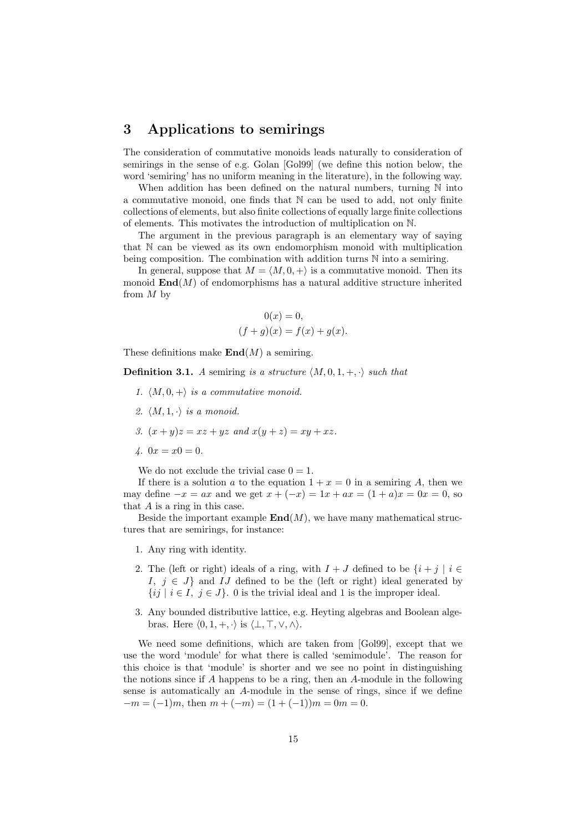# 3 Applications to semirings

The consideration of commutative monoids leads naturally to consideration of semirings in the sense of e.g. Golan [Gol99] (we define this notion below, the word 'semiring' has no uniform meaning in the literature), in the following way.

When addition has been defined on the natural numbers, turning  $N$  into a commutative monoid, one finds that N can be used to add, not only finite collections of elements, but also finite collections of equally large finite collections of elements. This motivates the introduction of multiplication on N.

The argument in the previous paragraph is an elementary way of saying that N can be viewed as its own endomorphism monoid with multiplication being composition. The combination with addition turns N into a semiring.

In general, suppose that  $M = \langle M, 0, +\rangle$  is a commutative monoid. Then its monoid  $\text{End}(M)$  of endomorphisms has a natural additive structure inherited from M by

$$
0(x) = 0,
$$
  

$$
(f+g)(x) = f(x) + g(x).
$$

These definitions make  $\text{End}(M)$  a semiring.

**Definition 3.1.** A semiring is a structure  $\langle M, 0, 1, +, \cdot \rangle$  such that

- 1.  $\langle M, 0, + \rangle$  is a commutative monoid.
- 2.  $\langle M, 1, \cdot \rangle$  is a monoid.
- 3.  $(x + y)z = xz + yz$  and  $x(y + z) = xy + xz$ .
- 4.  $0x = x0 = 0$ .

We do not exclude the trivial case  $0 = 1$ .

If there is a solution a to the equation  $1 + x = 0$  in a semiring A, then we may define  $-x = ax$  and we get  $x + (-x) = 1x + ax = (1 + a)x = 0x = 0$ , so that  $A$  is a ring in this case.

Beside the important example  $\text{End}(M)$ , we have many mathematical structures that are semirings, for instance:

- 1. Any ring with identity.
- 2. The (left or right) ideals of a ring, with  $I + J$  defined to be  $\{i + j \mid i \in$ I,  $j \in J$  and IJ defined to be the (left or right) ideal generated by  $\{ij \mid i \in I, j \in J\}$ . 0 is the trivial ideal and 1 is the improper ideal.
- 3. Any bounded distributive lattice, e.g. Heyting algebras and Boolean algebras. Here  $\langle 0, 1, +, \cdot \rangle$  is  $\langle \bot, \top, \vee, \wedge \rangle$ .

We need some definitions, which are taken from [Gol99], except that we use the word 'module' for what there is called 'semimodule'. The reason for this choice is that 'module' is shorter and we see no point in distinguishing the notions since if  $A$  happens to be a ring, then an  $A$ -module in the following sense is automatically an A-module in the sense of rings, since if we define  $-m = (-1)m$ , then  $m + (-m) = (1 + (-1))m = 0m = 0$ .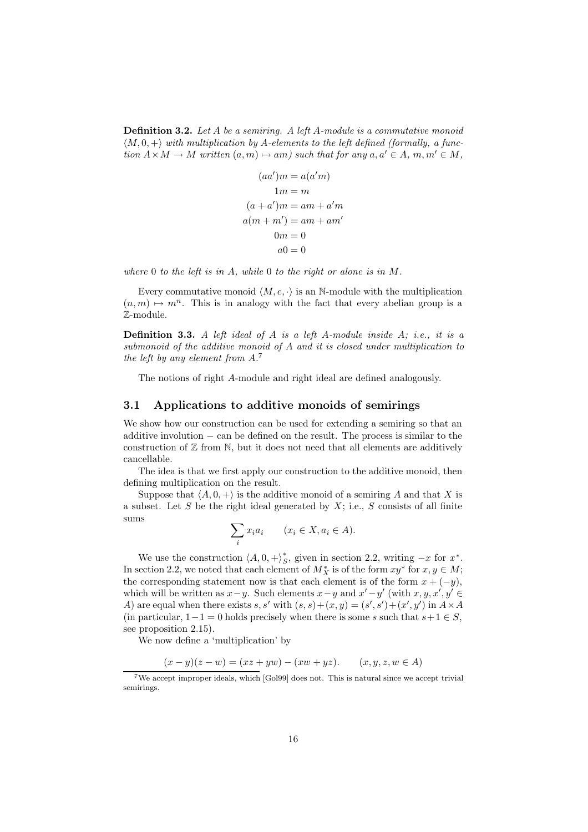Definition 3.2. Let A be a semiring. A left A-module is a commutative monoid  $\langle M, 0, +\rangle$  with multiplication by A-elements to the left defined (formally, a function  $A \times M \to M$  written  $(a, m) \mapsto am$ ) such that for any  $a, a' \in A$ ,  $m, m' \in M$ ,

$$
(aa')m = a(a'm)
$$
  
\n
$$
1m = m
$$
  
\n
$$
(a + a')m = am + a'm
$$
  
\n
$$
a(m + m') = am + am'
$$
  
\n
$$
0m = 0
$$
  
\n
$$
a0 = 0
$$

where 0 to the left is in A, while 0 to the right or alone is in  $M$ .

Every commutative monoid  $\langle M, e, \cdot \rangle$  is an N-module with the multiplication  $(n, m) \mapsto m^n$ . This is in analogy with the fact that every abelian group is a Z-module.

**Definition 3.3.** A left ideal of  $A$  is a left  $A$ -module inside  $A$ ; i.e., it is a submonoid of the additive monoid of A and it is closed under multiplication to the left by any element from A. 7

The notions of right A-module and right ideal are defined analogously.

### 3.1 Applications to additive monoids of semirings

We show how our construction can be used for extending a semiring so that an additive involution − can be defined on the result. The process is similar to the construction of  $\mathbb Z$  from  $\mathbb N$ , but it does not need that all elements are additively cancellable.

The idea is that we first apply our construction to the additive monoid, then defining multiplication on the result.

Suppose that  $\langle A, 0, + \rangle$  is the additive monoid of a semiring A and that X is a subset. Let  $S$  be the right ideal generated by  $X$ ; i.e.,  $S$  consists of all finite sums

$$
\sum_{i} x_i a_i \qquad (x_i \in X, a_i \in A).
$$

We use the construction  $\langle A, 0, +\rangle^*_{S}$  $\zeta$ , given in section 2.2, writing  $-x$  for  $x^*$ . In section 2.2, we noted that each element of  $M_X^*$  is of the form  $xy^*$  for  $x, y \in M$ ; the corresponding statement now is that each element is of the form  $x + (-y)$ , which will be written as  $x-y$ . Such elements  $x-y$  and  $x'-y'$  (with  $x, y, x', y' \in$ A) are equal when there exists s, s' with  $(s, s) + (x, y) = (s', s') + (x', y')$  in  $A \times A$ (in particular,  $1-1=0$  holds precisely when there is some s such that  $s+1 \in S$ , see proposition 2.15).

We now define a 'multiplication' by

$$
(x - y)(z - w) = (xz + yw) - (xw + yz). \qquad (x, y, z, w \in A)
$$

<sup>7</sup>We accept improper ideals, which [Gol99] does not. This is natural since we accept trivial semirings.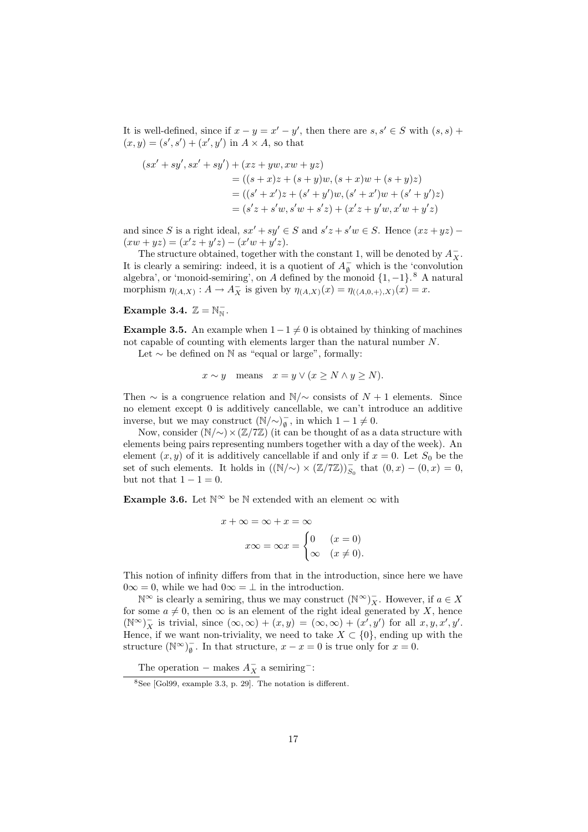It is well-defined, since if  $x - y = x' - y'$ , then there are  $s, s' \in S$  with  $(s, s)$  +  $(x, y) = (s', s') + (x', y')$  in  $A \times A$ , so that

$$
(sx' + sy', sx' + sy') + (xz + yw, xw + yz)
$$
  
= ((s + x)z + (s + y)w, (s + x)w + (s + y)z)  
= ((s' + x')z + (s' + y')w, (s' + x')w + (s' + y')z)  
= (s'z + s'w, s'w + s'z) + (x'z + y'w, x'w + y'z)

and since S is a right ideal,  $sx' + sy' \in S$  and  $s'z + s'w \in S$ . Hence  $(xz + yz)$  –  $(xw + yz) = (x'z + y'z) - (x'w + y'z).$ 

The structure obtained, together with the constant 1, will be denoted by  $\bar{A}_X^-$ . It is clearly a semiring: indeed, it is a quotient of  $A_{\emptyset}^-$  which is the 'convolution algebra', or 'monoid-semiring', on A defined by the monoid  $\{1, -1\}$ .<sup>8</sup> A natural morphism  $\eta_{(A,X)} : A \to A_X^-$  is given by  $\eta_{(A,X)}(x) = \eta_{(\langle A,0,+\rangle,X)}(x) = x$ .

# Example 3.4.  $\mathbb{Z} = \mathbb{N}_{\mathbb{N}}^-$ .

**Example 3.5.** An example when  $1-1 \neq 0$  is obtained by thinking of machines not capable of counting with elements larger than the natural number N.

Let  $\sim$  be defined on N as "equal or large", formally:

$$
x \sim y
$$
 means  $x = y \lor (x \ge N \land y \ge N)$ .

Then  $\sim$  is a congruence relation and N/ $\sim$  consists of N + 1 elements. Since no element except 0 is additively cancellable, we can't introduce an additive inverse, but we may construct  $(N/\sim)_{\emptyset}^-$ , in which  $1-1 \neq 0$ .

Now, consider  $(N/\sim)\times (Z/\mathbb{Z})$  (it can be thought of as a data structure with elements being pairs representing numbers together with a day of the week). An element  $(x, y)$  of it is additively cancellable if and only if  $x = 0$ . Let  $S_0$  be the set of such elements. It holds in  $((\mathbb{N}/\sim) \times (\mathbb{Z}/7\mathbb{Z}))_{S_0}^-$  that  $(0, x) - (0, x) = 0$ , but not that  $1 - 1 = 0$ .

Example 3.6. Let  $\mathbb{N}^{\infty}$  be  $\mathbb N$  extended with an element  $\infty$  with

$$
x + \infty = \infty + x = \infty
$$

$$
x\infty = \infty x = \begin{cases} 0 & (x = 0) \\ \infty & (x \neq 0). \end{cases}
$$

This notion of infinity differs from that in the introduction, since here we have  $0\infty = 0$ , while we had  $0\infty = \perp$  in the introduction.

 $\mathbb{N}^{\infty}$  is clearly a semiring, thus we may construct  $(\mathbb{N}^{\infty})_X^-$ . However, if  $a \in X$ for some  $a \neq 0$ , then  $\infty$  is an element of the right ideal generated by X, hence  $(\mathbb{N}^{\infty})_{X}^{-}$  is trivial, since  $(\infty, \infty) + (x, y) = (\infty, \infty) + (x', y')$  for all  $x, y, x', y'$ . Hence, if we want non-triviality, we need to take  $X \subset \{0\}$ , ending up with the structure  $(\mathbb{N}^{\infty})_{\emptyset}^{-}$ . In that structure,  $x - x = 0$  is true only for  $x = 0$ .

The operation – makes  $A_X^-$  a semiring<sup>-</sup>:

<sup>8</sup>See [Gol99, example 3.3, p. 29]. The notation is different.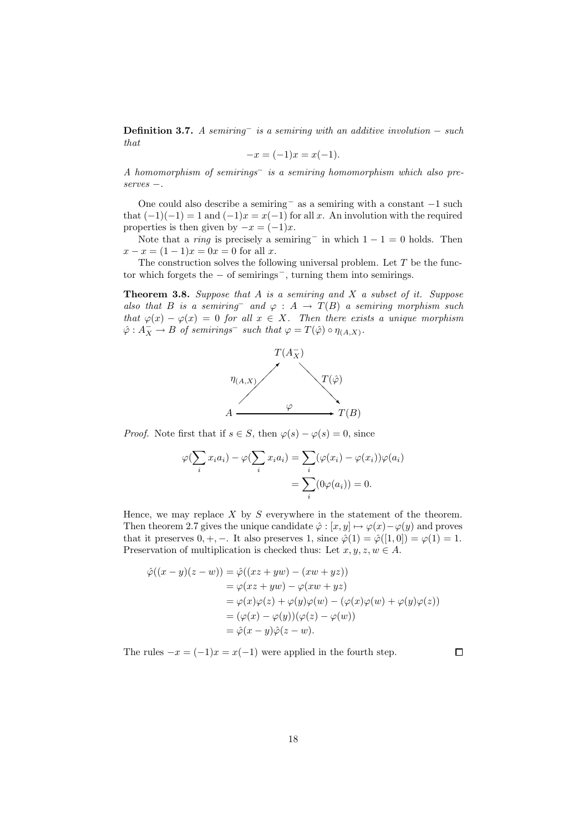**Definition 3.7.** A semiring<sup>-</sup> is a semiring with an additive involution – such that

$$
-x = (-1)x = x(-1).
$$

A homomorphism of semirings<sup>−</sup> is a semiring homomorphism which also preserves −.

One could also describe <sup>a</sup> semiring<sup>−</sup> as <sup>a</sup> semiring with <sup>a</sup> constant <sup>−</sup><sup>1</sup> such that  $(-1)(-1) = 1$  and  $(-1)x = x(-1)$  for all x. An involution with the required properties is then given by  $-x = (-1)x$ .

Note that a *ring* is precisely a semiring<sup>-</sup> in which  $1 - 1 = 0$  holds. Then  $x - x = (1 - 1)x = 0x = 0$  for all x.

The construction solves the following universal problem. Let  $T$  be the functor which forgets the <sup>−</sup> of semirings−, turning them into semirings.

**Theorem 3.8.** Suppose that  $A$  is a semiring and  $X$  a subset of it. Suppose also that B is a semiring and  $\varphi : A \to T(B)$  a semiring morphism such that  $\varphi(x) - \varphi(x) = 0$  for all  $x \in X$ . Then there exists a unique morphism  $\hat{\varphi}: A_X^- \to B$  of semirings<sup>-</sup> such that  $\varphi = T(\hat{\varphi}) \circ \eta_{(A,X)}$ .



*Proof.* Note first that if  $s \in S$ , then  $\varphi(s) - \varphi(s) = 0$ , since

$$
\varphi(\sum_i x_i a_i) - \varphi(\sum_i x_i a_i) = \sum_i (\varphi(x_i) - \varphi(x_i))\varphi(a_i)
$$

$$
= \sum_i (0\varphi(a_i)) = 0.
$$

Hence, we may replace  $X$  by  $S$  everywhere in the statement of the theorem. Then theorem 2.7 gives the unique candidate  $\hat{\varphi} : [x, y] \mapsto \varphi(x) - \varphi(y)$  and proves that it preserves  $0, +, -$ . It also preserves 1, since  $\hat{\varphi}(1) = \hat{\varphi}([1, 0]) = \varphi(1) = 1$ . Preservation of multiplication is checked thus: Let  $x, y, z, w \in A$ .

$$
\begin{aligned}\n\hat{\varphi}((x-y)(z-w)) &= \hat{\varphi}((xz+yw)-(xw+yz)) \\
&= \varphi(xz+yw)-\varphi(xw+yz) \\
&= \varphi(x)\varphi(z)+\varphi(y)\varphi(w)-(\varphi(x)\varphi(w)+\varphi(y)\varphi(z)) \\
&= (\varphi(x)-\varphi(y))(\varphi(z)-\varphi(w)) \\
&= \hat{\varphi}(x-y)\hat{\varphi}(z-w).\n\end{aligned}
$$

The rules  $-x = (-1)x = x(-1)$  were applied in the fourth step.

 $\Box$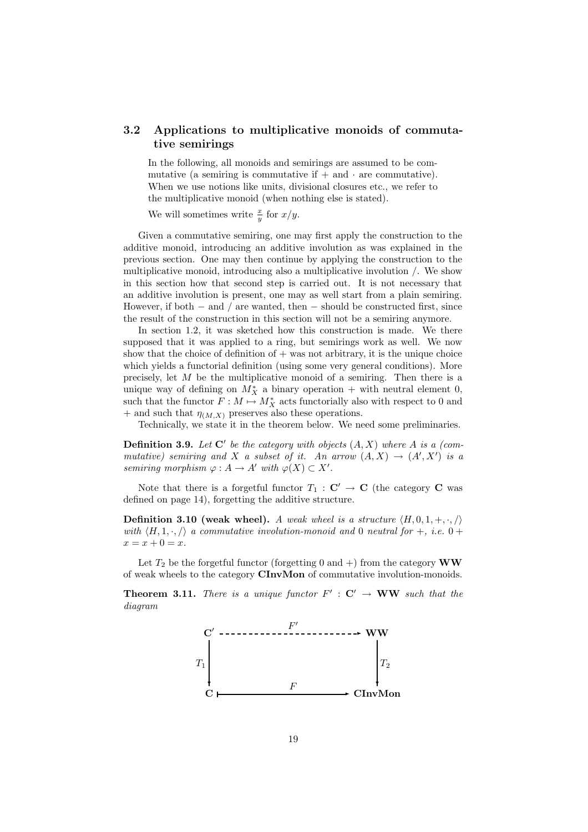# 3.2 Applications to multiplicative monoids of commutative semirings

In the following, all monoids and semirings are assumed to be commutative (a semiring is commutative if  $+$  and  $\cdot$  are commutative). When we use notions like units, divisional closures etc., we refer to the multiplicative monoid (when nothing else is stated).

We will sometimes write  $\frac{x}{y}$  for  $x/y$ .

Given a commutative semiring, one may first apply the construction to the additive monoid, introducing an additive involution as was explained in the previous section. One may then continue by applying the construction to the multiplicative monoid, introducing also a multiplicative involution /. We show in this section how that second step is carried out. It is not necessary that an additive involution is present, one may as well start from a plain semiring. However, if both  $-$  and  $/$  are wanted, then  $-$  should be constructed first, since the result of the construction in this section will not be a semiring anymore.

In section 1.2, it was sketched how this construction is made. We there supposed that it was applied to a ring, but semirings work as well. We now show that the choice of definition of  $+$  was not arbitrary, it is the unique choice which yields a functorial definition (using some very general conditions). More precisely, let  $M$  be the multiplicative monoid of a semiring. Then there is a unique way of defining on  $M_X^*$  a binary operation + with neutral element 0, such that the functor  $F : M \mapsto M_X^*$  acts functorially also with respect to 0 and + and such that  $\eta_{(M,X)}$  preserves also these operations.

Technically, we state it in the theorem below. We need some preliminaries.

**Definition 3.9.** Let  $C'$  be the category with objects  $(A, X)$  where A is a (commutative) semiring and X a subset of it. An arrow  $(A, X) \rightarrow (A', X')$  is a semiring morphism  $\varphi: A \to A'$  with  $\varphi(X) \subset X'.$ 

Note that there is a forgetful functor  $T_1 : \mathbf{C}' \to \mathbf{C}$  (the category  $\mathbf{C}$  was defined on page 14), forgetting the additive structure.

**Definition 3.10 (weak wheel).** A weak wheel is a structure  $\langle H, 0, 1, +, \cdot, \cdot \rangle$ with  $\langle H, 1, \cdot, \cdot \rangle$  a commutative involution-monoid and 0 neutral for  $+$ , i.e.  $0 +$  $x = x + 0 = x.$ 

Let  $T_2$  be the forgetful functor (forgetting 0 and +) from the category **WW** of weak wheels to the category CInvMon of commutative involution-monoids.

**Theorem 3.11.** There is a unique functor  $F' : C' \to WW$  such that the diagram

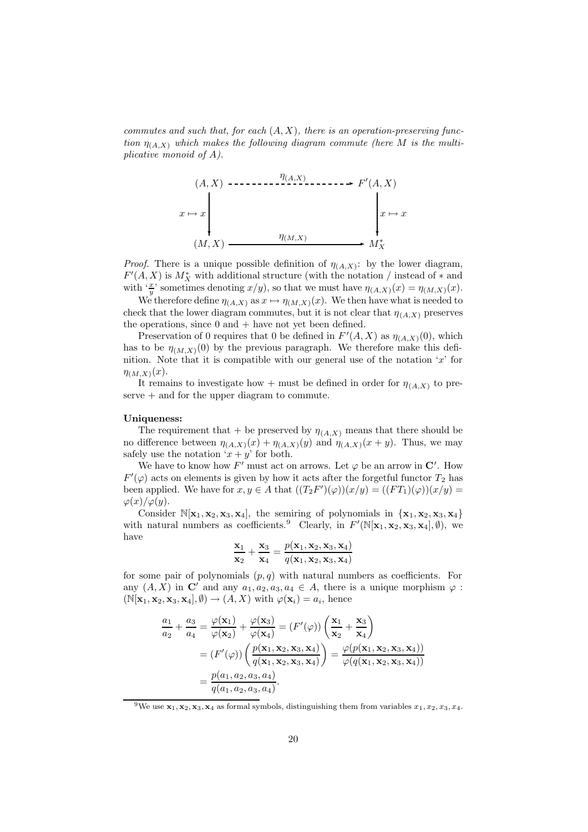commutes and such that, for each  $(A, X)$ , there is an operation-preserving function  $\eta_{(A,X)}$  which makes the following diagram commute (here M is the multiplicative monoid of A).

(A, X) <sup>η</sup>(A,X) ✲ <sup>F</sup> 0 (A, X) (M, X) x 7→ x ❄ <sup>η</sup>(M,X) ✲ <sup>M</sup><sup>∗</sup> X x 7→ x ❄

*Proof.* There is a unique possible definition of  $\eta_{(A,X)}$ : by the lower diagram,  $F'(A, X)$  is  $M_X^*$  with additional structure (with the notation / instead of  $*$  and with ' $\frac{x}{y}$ ' sometimes denoting  $x/y$ ), so that we must have  $\eta_{(A,X)}(x) = \eta_{(M,X)}(x)$ .

We therefore define  $\eta_{(A,X)}$  as  $x \mapsto \eta_{(M,X)}(x)$ . We then have what is needed to check that the lower diagram commutes, but it is not clear that  $\eta_{(A,X)}$  preserves the operations, since  $0$  and  $+$  have not yet been defined.

Preservation of 0 requires that 0 be defined in  $F'(A, X)$  as  $\eta_{(A, X)}(0)$ , which has to be  $\eta_{(M,X)}(0)$  by the previous paragraph. We therefore make this definition. Note that it is compatible with our general use of the notation  $x'$  for  $\eta_{(M,X)}(x)$ .

It remains to investigate how + must be defined in order for  $\eta_{(A,X)}$  to pre $s$ erve  $+$  and for the upper diagram to commute.

#### Uniqueness:

The requirement that + be preserved by  $\eta_{(A,X)}$  means that there should be no difference between  $\eta_{(A,X)}(x) + \eta_{(A,X)}(y)$  and  $\eta_{(A,X)}(x+y)$ . Thus, we may safely use the notation  $x + y'$  for both.

We have to know how F' must act on arrows. Let  $\varphi$  be an arrow in C'. How  $F'(\varphi)$  acts on elements is given by how it acts after the forgetful functor  $T_2$  has been applied. We have for  $x, y \in A$  that  $((T_2F')(\varphi))(x/y) = ((FT_1)(\varphi))(x/y) =$  $\varphi(x)/\varphi(y)$ .

Consider  $\mathbb{N}[x_1, x_2, x_3, x_4]$ , the semiring of polynomials in  $\{x_1, x_2, x_3, x_4\}$ with natural numbers as coefficients.<sup>9</sup> Clearly, in  $F'(\mathbb{N}[\mathbf{x}_1, \mathbf{x}_2, \mathbf{x}_3, \mathbf{x}_4], \emptyset)$ , we have

$$
\frac{\mathbf{x}_1}{\mathbf{x}_2} + \frac{\mathbf{x}_3}{\mathbf{x}_4} = \frac{p(\mathbf{x}_1, \mathbf{x}_2, \mathbf{x}_3, \mathbf{x}_4)}{q(\mathbf{x}_1, \mathbf{x}_2, \mathbf{x}_3, \mathbf{x}_4)}
$$

for some pair of polynomials  $(p, q)$  with natural numbers as coefficients. For any  $(A, X)$  in C' and any  $a_1, a_2, a_3, a_4 \in A$ , there is a unique morphism  $\varphi$ :  $(N[\mathbf{x}_1, \mathbf{x}_2, \mathbf{x}_3, \mathbf{x}_4], \emptyset) \rightarrow (A, X)$  with  $\varphi(\mathbf{x}_i) = a_i$ , hence

$$
\frac{a_1}{a_2} + \frac{a_3}{a_4} = \frac{\varphi(\mathbf{x}_1)}{\varphi(\mathbf{x}_2)} + \frac{\varphi(\mathbf{x}_3)}{\varphi(\mathbf{x}_4)} = (F'(\varphi)) \left( \frac{\mathbf{x}_1}{\mathbf{x}_2} + \frac{\mathbf{x}_3}{\mathbf{x}_4} \right)
$$
  
=  $(F'(\varphi)) \left( \frac{p(\mathbf{x}_1, \mathbf{x}_2, \mathbf{x}_3, \mathbf{x}_4)}{q(\mathbf{x}_1, \mathbf{x}_2, \mathbf{x}_3, \mathbf{x}_4)} \right) = \frac{\varphi(p(\mathbf{x}_1, \mathbf{x}_2, \mathbf{x}_3, \mathbf{x}_4))}{\varphi(q(\mathbf{x}_1, \mathbf{x}_2, \mathbf{x}_3, \mathbf{x}_4))}$   
=  $\frac{p(a_1, a_2, a_3, a_4)}{q(a_1, a_2, a_3, a_4)}.$ 

<sup>9</sup>We use  $x_1, x_2, x_3, x_4$  as formal symbols, distinguishing them from variables  $x_1, x_2, x_3, x_4$ .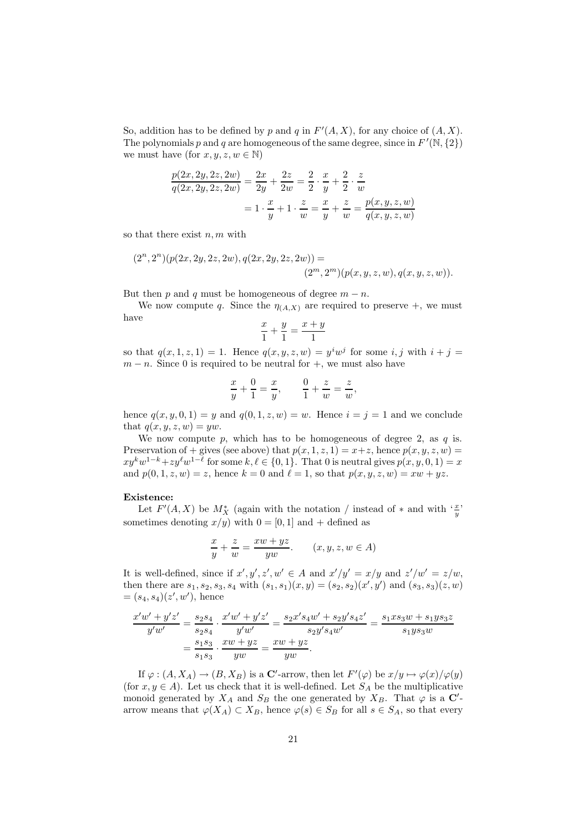So, addition has to be defined by p and q in  $F'(A, X)$ , for any choice of  $(A, X)$ . The polynomials p and q are homogeneous of the same degree, since in  $F'(\mathbb{N}, \{2\})$ we must have (for  $x, y, z, w \in \mathbb{N}$ )

$$
\frac{p(2x, 2y, 2z, 2w)}{q(2x, 2y, 2z, 2w)} = \frac{2x}{2y} + \frac{2z}{2w} = \frac{2}{2} \cdot \frac{x}{y} + \frac{2}{2} \cdot \frac{z}{w}
$$

$$
= 1 \cdot \frac{x}{y} + 1 \cdot \frac{z}{w} = \frac{x}{y} + \frac{z}{w} = \frac{p(x, y, z, w)}{q(x, y, z, w)}
$$

so that there exist  $n, m$  with

$$
(2n, 2n)(p(2x, 2y, 2z, 2w), q(2x, 2y, 2z, 2w)) =
$$
  

$$
(2m, 2m)(p(x, y, z, w), q(x, y, z, w)).
$$

But then p and q must be homogeneous of degree  $m - n$ .

We now compute q. Since the  $\eta_{(A,X)}$  are required to preserve  $+$ , we must have

$$
\frac{x}{1} + \frac{y}{1} = \frac{x+y}{1}
$$

so that  $q(x, 1, z, 1) = 1$ . Hence  $q(x, y, z, w) = y^i w^j$  for some i, j with  $i + j =$  $m - n$ . Since 0 is required to be neutral for  $+$ , we must also have

$$
\frac{x}{y} + \frac{0}{1} = \frac{x}{y}, \qquad \frac{0}{1} + \frac{z}{w} = \frac{z}{w},
$$

hence  $q(x, y, 0, 1) = y$  and  $q(0, 1, z, w) = w$ . Hence  $i = j = 1$  and we conclude that  $q(x, y, z, w) = yw$ .

We now compute  $p$ , which has to be homogeneous of degree 2, as  $q$  is. Preservation of + gives (see above) that  $p(x, 1, z, 1) = x + z$ , hence  $p(x, y, z, w) =$  $xy^k w^{1-k} + zy^\ell w^{1-\ell}$  for some  $k, \ell \in \{0, 1\}$ . That 0 is neutral gives  $p(x, y, 0, 1) = x$ and  $p(0, 1, z, w) = z$ , hence  $k = 0$  and  $\ell = 1$ , so that  $p(x, y, z, w) = xw + yz$ .

#### Existence:

Let  $F'(A, X)$  be  $M_X^*$  (again with the notation / instead of  $*$  and with  $\frac{xy}{y}$ ) sometimes denoting  $x/y$  with  $0 = [0, 1]$  and + defined as

$$
\frac{x}{y} + \frac{z}{w} = \frac{xw + yz}{yw}.
$$
 (x, y, z, w \in A)

It is well-defined, since if  $x', y', z', w' \in A$  and  $x'/y' = x/y$  and  $z'/w' = z/w$ , then there are  $s_1, s_2, s_3, s_4$  with  $(s_1, s_1)(x, y) = (s_2, s_2)(x', y')$  and  $(s_3, s_3)(z, w)$  $=(s_4, s_4)(z', w')$ , hence

$$
\frac{x'w' + y'z'}{y'w'} = \frac{s_2s_4}{s_2s_4} \cdot \frac{x'w' + y'z'}{y'w'} = \frac{s_2x's_4w' + s_2y's_4z'}{s_2y's_4w'} = \frac{s_1xs_3w + s_1y s_3z}{s_1y s_3w}
$$

$$
= \frac{s_1s_3}{s_1s_3} \cdot \frac{xw + yz}{yw} = \frac{xw + yz}{yw}.
$$

If  $\varphi: (A, X_A) \to (B, X_B)$  is a **C**'-arrow, then let  $F'(\varphi)$  be  $x/y \mapsto \varphi(x)/\varphi(y)$ (for  $x, y \in A$ ). Let us check that it is well-defined. Let  $S_A$  be the multiplicative monoid generated by  $X_A$  and  $S_B$  the one generated by  $X_B$ . That  $\varphi$  is a  $\mathbb{C}'$ arrow means that  $\varphi(X_A) \subset X_B$ , hence  $\varphi(s) \in S_B$  for all  $s \in S_A$ , so that every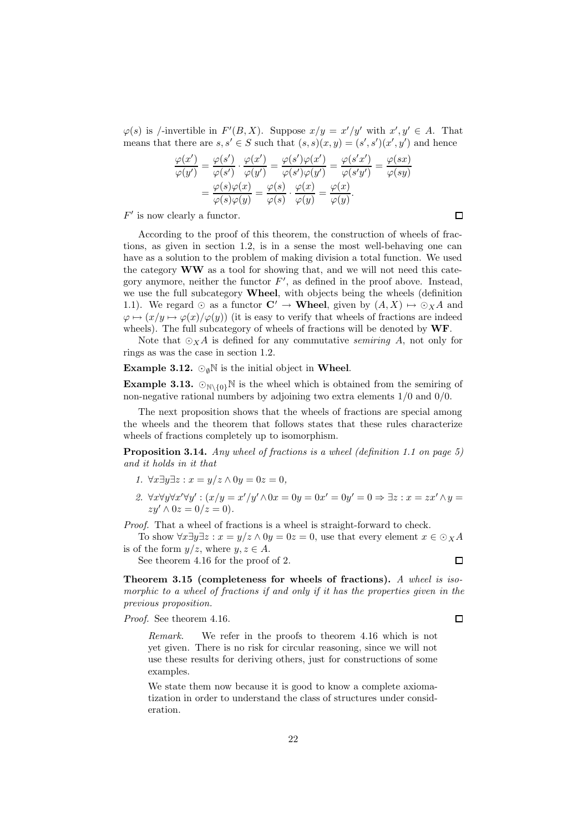$\varphi(s)$  is /-invertible in  $F'(B, X)$ . Suppose  $x/y = x'/y'$  with  $x', y' \in A$ . That means that there are  $s, s' \in S$  such that  $(s, s)(x, y) = (s', s')(x', y')$  and hence

$$
\frac{\varphi(x')}{\varphi(y')} = \frac{\varphi(s')}{\varphi(s')} \cdot \frac{\varphi(x')}{\varphi(y')} = \frac{\varphi(s')\varphi(x')}{\varphi(s')\varphi(y')} = \frac{\varphi(s'x')}{\varphi(s'y')} = \frac{\varphi(sx)}{\varphi(sy)} = \frac{\varphi(s)\varphi(x)}{\varphi(s)\varphi(y)} = \frac{\varphi(s)}{\varphi(s)} \cdot \frac{\varphi(x)}{\varphi(y)} = \frac{\varphi(x)}{\varphi(y)}.
$$

 $F'$  is now clearly a functor.

According to the proof of this theorem, the construction of wheels of fractions, as given in section 1.2, is in a sense the most well-behaving one can have as a solution to the problem of making division a total function. We used the category  $WW$  as a tool for showing that, and we will not need this category anymore, neither the functor  $F'$ , as defined in the proof above. Instead, we use the full subcategory **Wheel**, with objects being the wheels (definition 1.1). We regard  $\odot$  as a functor  $\mathbf{C}' \to \mathbf{W}$ heel, given by  $(A, X) \mapsto \odot_X A$  and  $\varphi \mapsto (x/y \mapsto \varphi(x)/\varphi(y))$  (it is easy to verify that wheels of fractions are indeed wheels). The full subcategory of wheels of fractions will be denoted by  $WF$ .

Note that  $\odot_X A$  is defined for any commutative *semiring* A, not only for rings as was the case in section 1.2.

**Example 3.12.**  $\odot_{\emptyset} \mathbb{N}$  is the initial object in Wheel.

**Example 3.13.**  $\mathbb{O}_{\mathbb{N}\setminus\{0\}}\mathbb{N}$  is the wheel which is obtained from the semiring of non-negative rational numbers by adjoining two extra elements 1/0 and 0/0.

The next proposition shows that the wheels of fractions are special among the wheels and the theorem that follows states that these rules characterize wheels of fractions completely up to isomorphism.

**Proposition 3.14.** Any wheel of fractions is a wheel (definition 1.1 on page 5) and it holds in it that

- 1.  $\forall x \exists y \exists z : x = y/z \land 0y = 0z = 0,$
- 2.  $\forall x \forall y \forall x' \forall y' : (x/y = x'/y' \land 0x = 0y = 0x' = 0y' = 0 \Rightarrow \exists z : x = zx' \land y = 0$  $zy' \wedge 0z = 0/z = 0$ .

Proof. That a wheel of fractions is a wheel is straight-forward to check.

To show  $\forall x \exists y \exists z : x = y/z \land 0y = 0z = 0$ , use that every element  $x \in \bigcirc_{X} A$ is of the form  $y/z$ , where  $y, z \in A$ .

See theorem 4.16 for the proof of 2.

Theorem 3.15 (completeness for wheels of fractions). A wheel is isomorphic to a wheel of fractions if and only if it has the properties given in the previous proposition.

Proof. See theorem 4.16.

Remark. We refer in the proofs to theorem 4.16 which is not yet given. There is no risk for circular reasoning, since we will not use these results for deriving others, just for constructions of some examples.

We state them now because it is good to know a complete axiomatization in order to understand the class of structures under consideration.

 $\Box$ 

 $\Box$ 

 $\Box$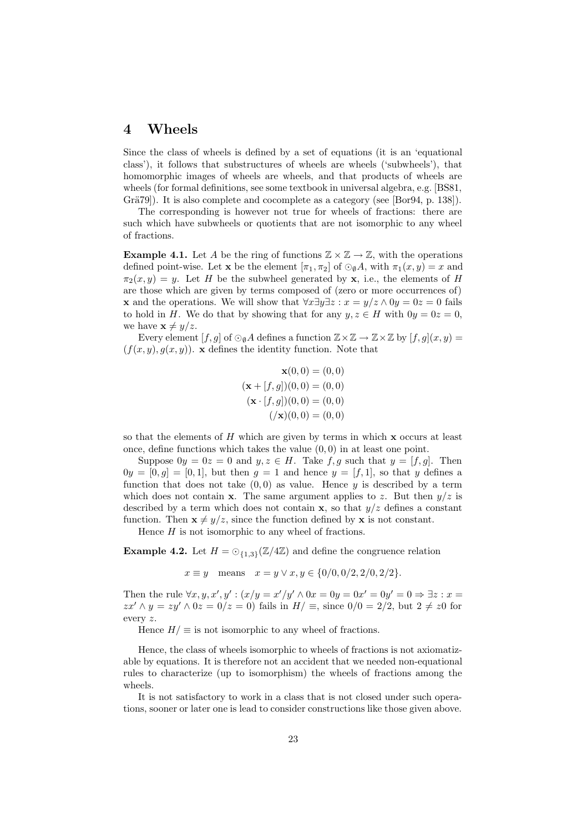# 4 Wheels

Since the class of wheels is defined by a set of equations (it is an 'equational class'), it follows that substructures of wheels are wheels ('subwheels'), that homomorphic images of wheels are wheels, and that products of wheels are wheels (for formal definitions, see some textbook in universal algebra, e.g. [BS81, Grä $79$ ]). It is also complete and cocomplete as a category (see [Bor $94$ , p. 138]).

The corresponding is however not true for wheels of fractions: there are such which have subwheels or quotients that are not isomorphic to any wheel of fractions.

**Example 4.1.** Let A be the ring of functions  $\mathbb{Z} \times \mathbb{Z} \to \mathbb{Z}$ , with the operations defined point-wise. Let **x** be the element  $[\pi_1, \pi_2]$  of  $\odot_{\emptyset} A$ , with  $\pi_1(x, y) = x$  and  $\pi_2(x, y) = y$ . Let H be the subwheel generated by x, i.e., the elements of H are those which are given by terms composed of (zero or more occurrences of) **x** and the operations. We will show that  $\forall x \exists y \exists z : x = y/z \land 0y = 0z = 0$  fails to hold in H. We do that by showing that for any  $y, z \in H$  with  $0y = 0z = 0$ , we have  $\mathbf{x} \neq y/z$ .

Every element  $[f, g]$  of  $\odot_{\emptyset} A$  defines a function  $\mathbb{Z} \times \mathbb{Z} \to \mathbb{Z} \times \mathbb{Z}$  by  $[f, g](x, y) =$  $(f(x, y), g(x, y))$ . x defines the identity function. Note that

$$
\mathbf{x}(0,0) = (0,0)
$$
  
( $\mathbf{x} + [f,g]$ )(0,0) = (0,0)  
( $\mathbf{x} \cdot [f,g]$ )(0,0) = (0,0)  
(( $\mathbf{x}$ )(0,0) = (0,0)

so that the elements of  $H$  which are given by terms in which  $\bf{x}$  occurs at least once, define functions which takes the value  $(0, 0)$  in at least one point.

Suppose  $0y = 0z = 0$  and  $y, z \in H$ . Take  $f, g$  such that  $y = [f, g]$ . Then  $0y = [0, g] = [0, 1]$ , but then  $g = 1$  and hence  $y = [f, 1]$ , so that y defines a function that does not take  $(0,0)$  as value. Hence y is described by a term which does not contain **x**. The same argument applies to z. But then  $y/z$  is described by a term which does not contain  $x$ , so that  $y/z$  defines a constant function. Then  $\mathbf{x} \neq y/z$ , since the function defined by x is not constant.

Hence  $H$  is not isomorphic to any wheel of fractions.

**Example 4.2.** Let  $H = \bigcirc_{\{1,3\}}(\mathbb{Z}/4\mathbb{Z})$  and define the congruence relation

$$
x \equiv y
$$
 means  $x = y \lor x, y \in \{0/0, 0/2, 2/0, 2/2\}.$ 

Then the rule  $\forall x, y, x', y' : (x/y = x'/y' \land 0x = 0y = 0x' = 0y' = 0 \Rightarrow \exists z : x =$  $zx' \wedge y = zy' \wedge 0z = 0/z = 0$  fails in  $H/\equiv$ , since  $0/0 = 2/2$ , but  $2 \neq z0$  for every z.

Hence  $H/\equiv$  is not isomorphic to any wheel of fractions.

Hence, the class of wheels isomorphic to wheels of fractions is not axiomatizable by equations. It is therefore not an accident that we needed non-equational rules to characterize (up to isomorphism) the wheels of fractions among the wheels.

It is not satisfactory to work in a class that is not closed under such operations, sooner or later one is lead to consider constructions like those given above.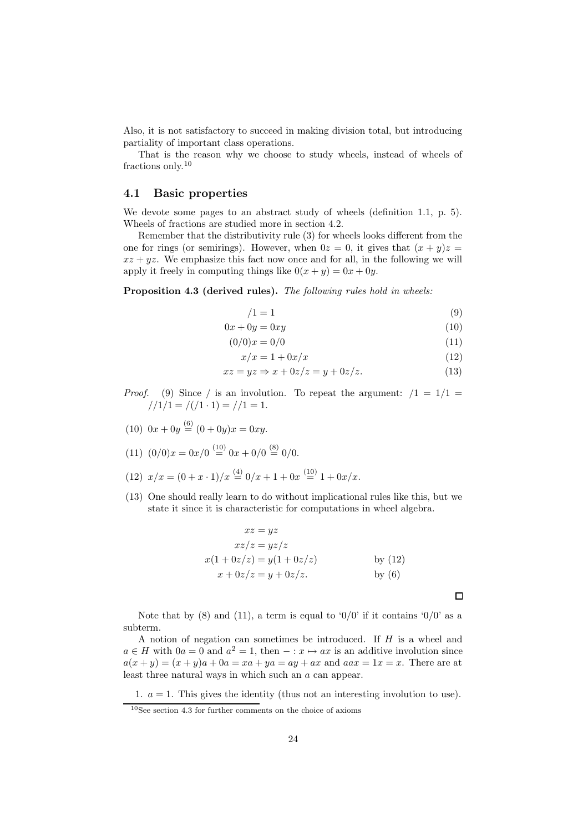Also, it is not satisfactory to succeed in making division total, but introducing partiality of important class operations.

That is the reason why we choose to study wheels, instead of wheels of fractions only.<sup>10</sup>

#### 4.1 Basic properties

We devote some pages to an abstract study of wheels (definition 1.1, p. 5). Wheels of fractions are studied more in section 4.2.

Remember that the distributivity rule (3) for wheels looks different from the one for rings (or semirings). However, when  $0z = 0$ , it gives that  $(x + y)z =$  $xz + yz$ . We emphasize this fact now once and for all, in the following we will apply it freely in computing things like  $0(x + y) = 0x + 0y$ .

Proposition 4.3 (derived rules). The following rules hold in wheels:

$$
/1 = 1 \tag{9}
$$

$$
0x + 0y = 0xy \tag{10}
$$

- $(0/0)x = 0/0$  (11)
	- $x/x = 1 + 0x/x$  (12)

 $\Box$ 

$$
xz = yz \Rightarrow x + 0z/z = y + 0z/z.
$$
 (13)

- *Proof.* (9) Since / is an involution. To repeat the argument:  $/1 = 1/1 = 1/1$  $//1/1 = //1 \cdot 1) = //1 = 1.$
- $(10)$   $0x + 0y \stackrel{(6)}{=} (0 + 0y)x = 0xy.$
- (11)  $(0/0)x = 0x/0 \stackrel{(10)}{=} 0x + 0/0 \stackrel{(8)}{=} 0/0.$
- (12)  $x/x = (0 + x \cdot 1)/x \stackrel{(4)}{=} 0/x + 1 + 0x \stackrel{(10)}{=} 1 + 0x/x.$
- (13) One should really learn to do without implicational rules like this, but we state it since it is characteristic for computations in wheel algebra.

$$
xz = yz
$$
  
\n
$$
xz/z = yz/z
$$
  
\n
$$
x(1+0z/z) = y(1+0z/z)
$$
 by (12)  
\n
$$
x + 0z/z = y + 0z/z.
$$
 by (6)

Note that by (8) and (11), a term is equal to '0/0' if it contains '0/0' as a subterm.

A notion of negation can sometimes be introduced. If H is a wheel and  $a \in H$  with  $0a = 0$  and  $a^2 = 1$ , then  $- : x \mapsto ax$  is an additive involution since  $a(x + y) = (x + y)a + 0a = xa + ya = ay + ax$  and  $aax = 1x = x$ . There are at least three natural ways in which such an a can appear.

1.  $a = 1$ . This gives the identity (thus not an interesting involution to use).

 $10$ See section 4.3 for further comments on the choice of axioms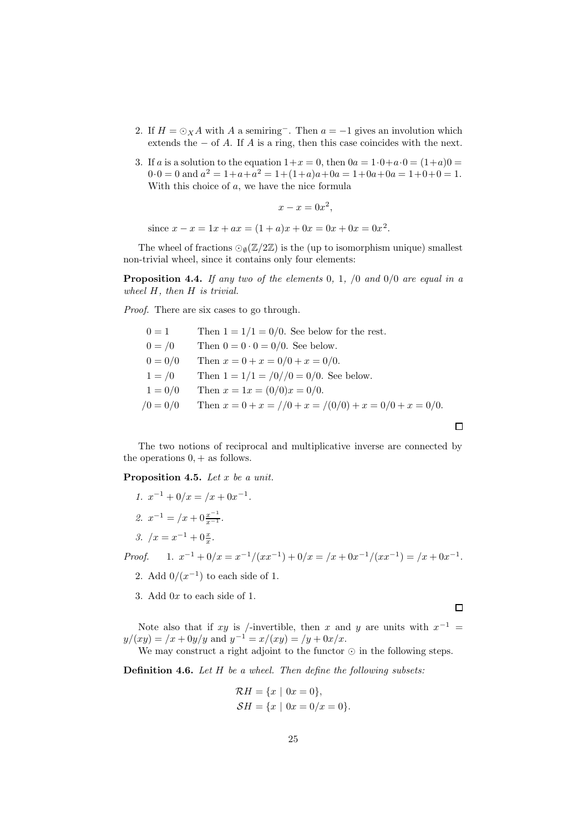- 2. If  $H = \bigcirc_X A$  with A a semiring<sup>-</sup>. Then  $a = -1$  gives an involution which extends the  $-$  of A. If A is a ring, then this case coincides with the next.
- 3. If a is a solution to the equation  $1+x=0$ , then  $0a=1\cdot 0+a\cdot 0=(1+a)0=0$  $0.0 = 0$  and  $a^2 = 1 + a + a^2 = 1 + (1+a)a + 0a = 1 + 0a + 0a = 1 + 0 + 0 = 1.$ With this choice of a, we have the nice formula

$$
x - x = 0x^2,
$$

since  $x - x = 1x + ax = (1 + a)x + 0x = 0x + 0x = 0x^2$ .

The wheel of fractions  $\mathcal{O}_{\emptyset}(\mathbb{Z}/2\mathbb{Z})$  is the (up to isomorphism unique) smallest non-trivial wheel, since it contains only four elements:

**Proposition 4.4.** If any two of the elements 0, 1,  $\smash{1}$  and  $\smash{0/0}$  are equal in a wheel H, then H is trivial.

Proof. There are six cases to go through.

| $0 = 1$    | Then $1 = 1/1 = 0/0$ . See below for the rest.           |
|------------|----------------------------------------------------------|
| $0 = / 0$  | Then $0 = 0 \cdot 0 = 0/0$ . See below.                  |
| $0 = 0/0$  | Then $x = 0 + x = 0/0 + x = 0/0$ .                       |
| $1 = /0$   | Then $1 = 1/1 = \frac{0}{0} = 0/0$ . See below.          |
| $1 = 0/0$  | Then $x = 1x = (0/0)x = 0/0$ .                           |
| $/0 = 0/0$ | Then $x = 0 + x = 1/0 + x = 1/0/0 + x = 0/0 + x = 0/0$ . |
|            |                                                          |

The two notions of reciprocal and multiplicative inverse are connected by the operations  $0, +$  as follows.

Proposition 4.5. Let x be a unit.

1.  $x^{-1} + 0/x = x^2 + 0x^{-1}$ . 2.  $x^{-1} = /x + 0 \frac{x^{-1}}{x^{-1}}$ . 3.  $/x = x^{-1} + 0\frac{x}{x}$ .

Proof.  $x^{-1} + 0/x = x^{-1}/(xx^{-1}) + 0/x = (x + 0x^{-1}/(xx^{-1})) = (x + 0x^{-1}).$ 

- 2. Add  $0/(x^{-1})$  to each side of 1.
- 3. Add 0x to each side of 1.

 $\Box$ 

 $\Box$ 

Note also that if xy is /-invertible, then x and y are units with  $x^{-1}$  =  $y/(xy) = (x + 0y/y$  and  $y^{-1} = x/(xy) = (y + 0x/x)$ .

We may construct a right adjoint to the functor  $\odot$  in the following steps.

**Definition 4.6.** Let H be a wheel. Then define the following subsets:

$$
\mathcal{R}H = \{x \mid 0x = 0\},\
$$
  

$$
\mathcal{S}H = \{x \mid 0x = 0/x = 0\}.
$$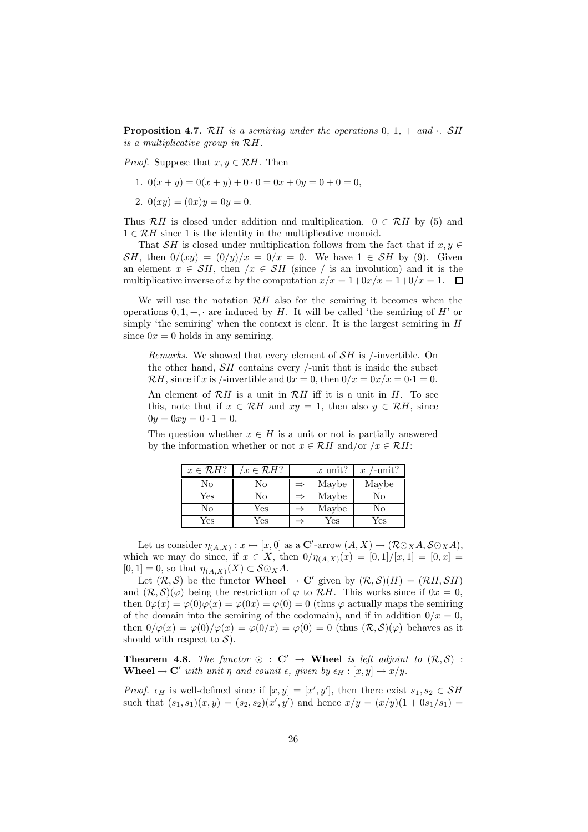**Proposition 4.7.** RH is a semiring under the operations  $0, 1, +$  and  $\cdot$ . SH is a multiplicative group in RH.

*Proof.* Suppose that  $x, y \in \mathcal{R}H$ . Then

- 1.  $0(x + y) = 0(x + y) + 0 \cdot 0 = 0x + 0y = 0 + 0 = 0$ ,
- 2.  $0(xy) = (0x)y = 0y = 0.$

Thus RH is closed under addition and multiplication.  $0 \in \mathcal{R}$ H by (5) and  $1 \in \mathcal{R}H$  since 1 is the identity in the multiplicative monoid.

That SH is closed under multiplication follows from the fact that if  $x, y \in$ SH, then  $0/(xy) = (0/y)/x = 0/x = 0$ . We have  $1 \in SH$  by (9). Given an element  $x \in SH$ , then  $/x \in SH$  (since / is an involution) and it is the multiplicative inverse of x by the computation  $x/x = 1+0x/x = 1+0/x = 1$ .

We will use the notation  $\mathcal{R}H$  also for the semiring it becomes when the operations  $0, 1, +, \cdot$  are induced by H. It will be called 'the semiring of H' or simply 'the semiring' when the context is clear. It is the largest semiring in  $H$ since  $0x = 0$  holds in any semiring.

*Remarks.* We showed that every element of  $\mathcal{S}H$  is /-invertible. On the other hand,  $SH$  contains every /-unit that is inside the subset RH, since if x is /-invertible and  $0x = 0$ , then  $0/x = 0x/x = 0.1 = 0$ .

An element of  $\mathcal{R}H$  is a unit in  $\mathcal{R}H$  iff it is a unit in  $H$ . To see this, note that if  $x \in \mathcal{R}H$  and  $xy = 1$ , then also  $y \in \mathcal{R}H$ , since  $0y = 0xy = 0 \cdot 1 = 0.$ 

The question whether  $x \in H$  is a unit or not is partially answered by the information whether or not  $x \in \mathcal{R}H$  and/or  $/x \in \mathcal{R}H$ :

| $x \in \mathcal{R}H$ ? | $x \in \mathcal{R}H$ ? |               | $x$ unit? | /-unit?<br>$\boldsymbol{x}$ |
|------------------------|------------------------|---------------|-----------|-----------------------------|
| No                     | No                     | $\Rightarrow$ | Maybe     | Maybe                       |
| Yes                    | No                     | $\Rightarrow$ | Maybe     | No                          |
| No                     | Yes                    | $\Rightarrow$ | Maybe     | No                          |
| Yes                    | Yes                    |               | Yes       | Yes                         |

Let us consider  $\eta_{(A,X)}: x \mapsto [x,0]$  as a  $\mathbb{C}'$ -arrow  $(A, X) \to (\mathcal{R} \odot_X A, \mathcal{S} \odot_X A)$ , which we may do since, if  $x \in X$ , then  $0/\eta_{(A,X)}(x) = [0,1]/[x,1] = [0,x] =$  $[0,1] = 0$ , so that  $\eta_{(A,X)}(X) \subset \mathcal{S} \odot_X A$ .

Let  $(\mathcal{R}, \mathcal{S})$  be the functor **Wheel**  $\rightarrow$  C' given by  $(\mathcal{R}, \mathcal{S})(H) = (\mathcal{R}H, \mathcal{S}H)$ and  $(\mathcal{R}, \mathcal{S})(\varphi)$  being the restriction of  $\varphi$  to  $\mathcal{R}H$ . This works since if  $0x = 0$ , then  $0\varphi(x) = \varphi(0)\varphi(x) = \varphi(0x) = \varphi(0) = 0$  (thus  $\varphi$  actually maps the semiring of the domain into the semiring of the codomain), and if in addition  $0/x = 0$ , then  $0/\varphi(x) = \varphi(0)/\varphi(x) = \varphi(0/x) = \varphi(0) = 0$  (thus  $(\mathcal{R}, \mathcal{S})(\varphi)$ ) behaves as it should with respect to  $\mathcal{S}$ ).

**Theorem 4.8.** The functor  $\odot$  :  $C' \rightarrow$  Wheel is left adjoint to  $(\mathcal{R}, \mathcal{S})$  : **Wheel**  $\rightarrow$  **C'** with unit  $\eta$  and counit  $\epsilon$ , given by  $\epsilon$ <sub>H</sub> : [x, y]  $\mapsto$  x/y.

*Proof.*  $\epsilon_H$  is well-defined since if  $[x, y] = [x', y']$ , then there exist  $s_1, s_2 \in \mathcal{SH}$ such that  $(s_1, s_1)(x, y) = (s_2, s_2)(x', y')$  and hence  $x/y = (x/y)(1 + 0s_1/s_1) =$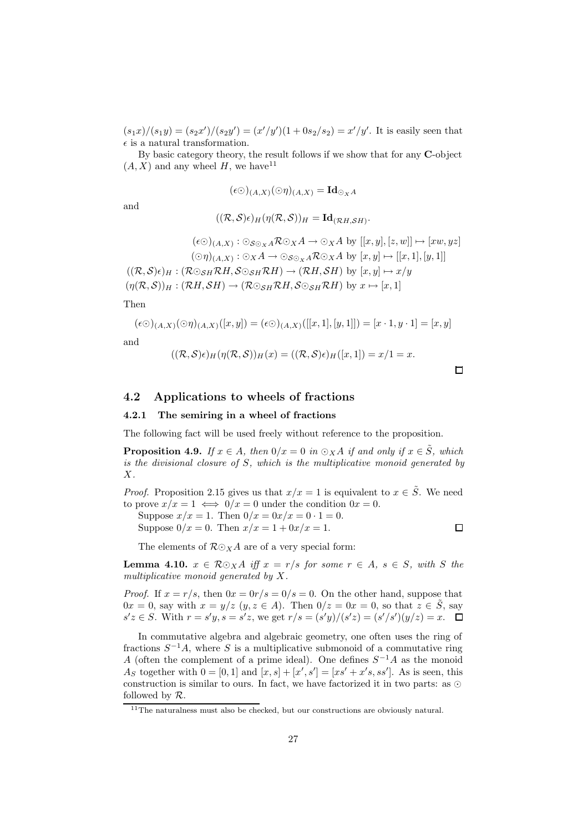$(s_1x)/(s_1y) = (s_2x')/(s_2y') = (x'/y')(1+0s_2/s_2) = x'/y'$ . It is easily seen that  $\epsilon$  is a natural transformation.

By basic category theory, the result follows if we show that for any C-object  $(A, X)$  and any wheel H, we have  $11$ 

$$
(\epsilon \odot)_{(A,X)}(\odot \eta)_{(A,X)} = \mathrm{Id}_{\odot_X A}
$$

and

$$
((\mathcal{R},\mathcal{S})\epsilon)_H(\eta(\mathcal{R},\mathcal{S}))_H=\mathrm{Id}_{(\mathcal{R}H,\mathcal{S}H)}.
$$

 $(\epsilon \odot)_{(A,X)} : \odot_{\mathcal{S} \odot_X A} \mathcal{R} \odot_X A \rightarrow \odot_X A$  by  $[[x,y],[z,w]] \mapsto [xw,yz]$  $(\bigcirc \eta)_{(A,X)} : \bigcirc_X A \to \bigcirc_{\mathcal{S} \bigcirc_X A} \mathcal{R} \bigcirc_X A$  by  $[x,y] \mapsto [[x,1],[y,1]]$  $((\mathcal{R},\mathcal{S})\epsilon)_H : (\mathcal{R} \odot_{\mathcal{S}H} \mathcal{R}H, \mathcal{S} \odot_{\mathcal{S}H} \mathcal{R}H) \rightarrow (\mathcal{R}H, \mathcal{S}H)$  by  $[x,y] \mapsto x/y$  $(\eta(\mathcal{R}, \mathcal{S}))_H : (\mathcal{R}H, \mathcal{S}H) \to (\mathcal{R} \odot_{\mathcal{S}H} \mathcal{R}H, \mathcal{S} \odot_{\mathcal{S}H} \mathcal{R}H)$  by  $x \mapsto [x, 1]$ 

Then

$$
(\epsilon \odot)_{(A,X)}(\odot \eta)_{(A,X)}([x,y]) = (\epsilon \odot)_{(A,X)}([[x,1],[y,1]]) = [x \cdot 1, y \cdot 1] = [x,y]
$$

and

$$
((\mathcal{R},\mathcal{S})\epsilon)_H(\eta(\mathcal{R},\mathcal{S}))_H(x) = ((\mathcal{R},\mathcal{S})\epsilon)_H([x,1]) = x/1 = x.
$$

## 4.2 Applications to wheels of fractions

#### 4.2.1 The semiring in a wheel of fractions

The following fact will be used freely without reference to the proposition.

**Proposition 4.9.** If  $x \in A$ , then  $0/x = 0$  in  $\odot xA$  if and only if  $x \in \tilde{S}$ , which is the divisional closure of S, which is the multiplicative monoid generated by  $X$ .

*Proof.* Proposition 2.15 gives us that  $x/x = 1$  is equivalent to  $x \in \tilde{S}$ . We need to prove  $x/x = 1 \iff 0/x = 0$  under the condition  $0x = 0$ .

Suppose  $x/x = 1$ . Then  $0/x = 0x/x = 0 \cdot 1 = 0$ . Suppose  $0/x = 0$ . Then  $x/x = 1 + 0x/x = 1$ .  $\Box$ 

The elements of  $\mathcal{R} \odot_{X} A$  are of a very special form:

**Lemma 4.10.**  $x \in \mathcal{R} \odot_X A$  iff  $x = r/s$  for some  $r \in A$ ,  $s \in S$ , with S the multiplicative monoid generated by X.

*Proof.* If  $x = r/s$ , then  $0x = 0r/s = 0/s = 0$ . On the other hand, suppose that  $0x = 0$ , say with  $x = y/z$   $(y, z \in A)$ . Then  $0/z = 0x = 0$ , so that  $z \in \tilde{S}$ , say  $s'z \in S$ . With  $r = s'y$ ,  $s = s'z$ , we get  $r/s = (s'y)/(s'z) = (s'/s')(y/z) = x$ .

In commutative algebra and algebraic geometry, one often uses the ring of fractions  $S^{-1}A$ , where S is a multiplicative submonoid of a commutative ring A (often the complement of a prime ideal). One defines  $S^{-1}A$  as the monoid As together with  $0 = [0, 1]$  and  $[x, s] + [x', s'] = [xs' + x's, ss']$ . As is seen, this construction is similar to ours. In fact, we have factorized it in two parts: as  $\odot$ followed by  $R$ .

<sup>&</sup>lt;sup>11</sup>The naturalness must also be checked, but our constructions are obviously natural.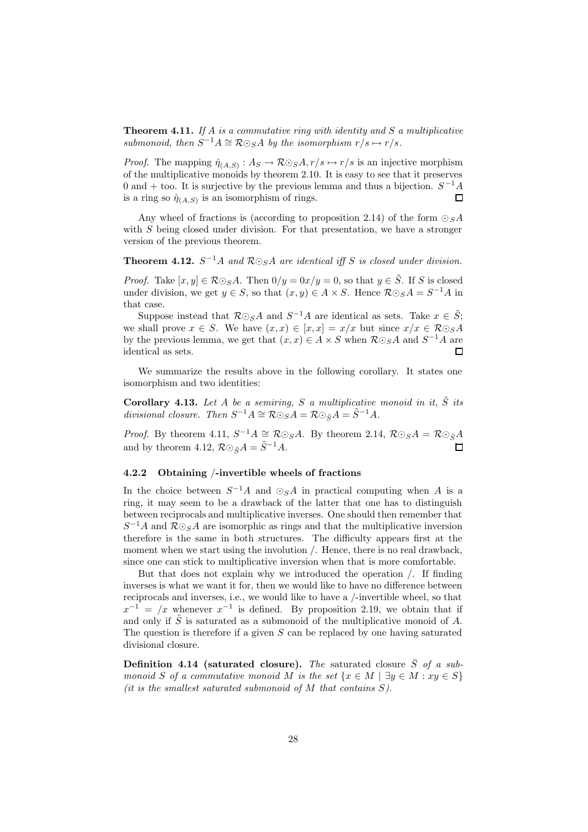**Theorem 4.11.** If A is a commutative ring with identity and S a multiplicative submonoid, then  $S^{-1}A \cong \mathcal{R} \odot_S A$  by the isomorphism  $r/s \mapsto r/s$ .

*Proof.* The mapping  $\hat{\eta}_{(A,S)} : A_S \to \mathcal{R} \odot_S A, r/s \mapsto r/s$  is an injective morphism of the multiplicative monoids by theorem 2.10. It is easy to see that it preserves 0 and + too. It is surjective by the previous lemma and thus a bijection.  $S^{-1}A$ is a ring so  $\hat{\eta}_{(A,S)}$  is an isomorphism of rings.  $\Box$ 

Any wheel of fractions is (according to proposition 2.14) of the form  $\odot$  sA with S being closed under division. For that presentation, we have a stronger version of the previous theorem.

**Theorem 4.12.**  $S^{-1}A$  and  $\mathcal{R}\odot_{S}A$  are identical iff S is closed under division.

*Proof.* Take  $[x, y] \in \mathcal{R} \odot_{S} A$ . Then  $0/y = 0x/y = 0$ , so that  $y \in \tilde{S}$ . If S is closed under division, we get  $y \in S$ , so that  $(x, y) \in A \times S$ . Hence  $\mathcal{R} \odot_{S} A = S^{-1}A$  in that case.

Suppose instead that  $\mathcal{R} \odot_{S} A$  and  $S^{-1}A$  are identical as sets. Take  $x \in \tilde{S}$ ; we shall prove  $x \in S$ . We have  $(x, x) \in [x, x] = x/x$  but since  $x/x \in \mathcal{R} \odot_S A$ by the previous lemma, we get that  $(x, x) \in A \times S$  when  $\mathcal{R} \odot_{S} A$  and  $S^{-1}A$  are identical as sets.  $\Box$ 

We summarize the results above in the following corollary. It states one isomorphism and two identities:

Corollary 4.13. Let A be a semiring, S a multiplicative monoid in it,  $\tilde{S}$  its divisional closure. Then  $S^{-1}A \cong \mathcal{R} \odot_S A = \mathcal{R} \odot_{\tilde{S}} A = \tilde{S}^{-1} A$ .

*Proof.* By theorem 4.11,  $S^{-1}A \cong \mathcal{R}\odot_S A$ . By theorem 2.14,  $\mathcal{R}\odot_S A = \mathcal{R}\odot_{\tilde{S}} A$ and by theorem 4.12,  $\mathcal{R} \odot_{\tilde{S}} A = \tilde{S}^{-1} A$ .

#### 4.2.2 Obtaining /-invertible wheels of fractions

In the choice between  $S^{-1}A$  and  $\odot_S A$  in practical computing when A is a ring, it may seem to be a drawback of the latter that one has to distinguish between reciprocals and multiplicative inverses. One should then remember that  $S^{-1}A$  and  $\mathcal{R}\odot_{S}A$  are isomorphic as rings and that the multiplicative inversion therefore is the same in both structures. The difficulty appears first at the moment when we start using the involution /. Hence, there is no real drawback, since one can stick to multiplicative inversion when that is more comfortable.

But that does not explain why we introduced the operation /. If finding inverses is what we want it for, then we would like to have no difference between reciprocals and inverses, i.e., we would like to have a /-invertible wheel, so that  $x^{-1} = x$  whenever  $x^{-1}$  is defined. By proposition 2.19, we obtain that if and only if  $\tilde{S}$  is saturated as a submonoid of the multiplicative monoid of A. The question is therefore if a given  $S$  can be replaced by one having saturated divisional closure.

**Definition 4.14 (saturated closure).** The saturated closure  $\overline{S}$  of a submonoid S of a commutative monoid M is the set  $\{x \in M \mid \exists y \in M : xy \in S\}$ (it is the smallest saturated submonoid of  $M$  that contains  $S$ ).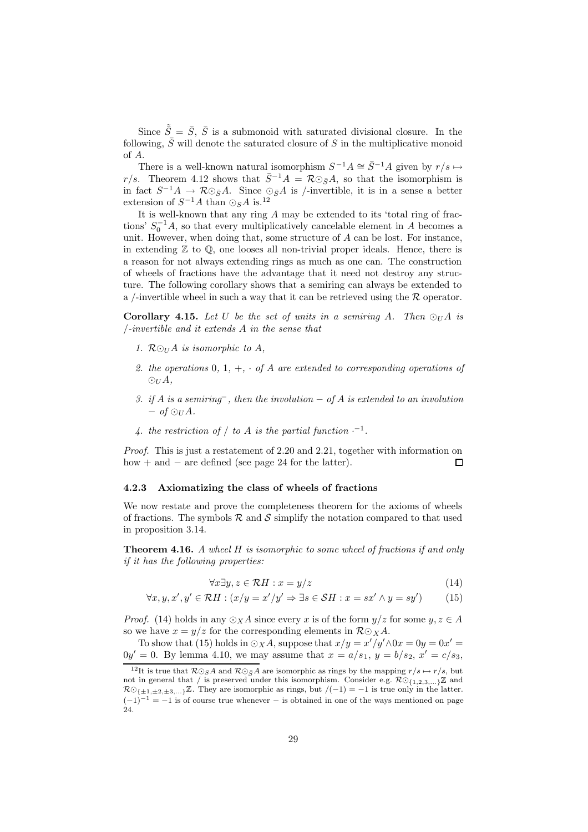Since  $\tilde{\bar{S}} = \bar{S}, \bar{S}$  is a submonoid with saturated divisional closure. In the following,  $\overline{S}$  will denote the saturated closure of S in the multiplicative monoid of A.

There is a well-known natural isomorphism  $S^{-1}A \cong \overline{S}^{-1}A$  given by  $r/s \mapsto$ r/s. Theorem 4.12 shows that  $\bar{S}^{-1}A = \mathcal{R} \odot_{\bar{S}} A$ , so that the isomorphism is in fact  $S^{-1}A \to \mathcal{R}\odot_{\bar{S}}A$ . Since  $\odot_{\bar{S}}A$  is /-invertible, it is in a sense a better extension of  $S^{-1}A$  than  $\odot_S A$  is.<sup>12</sup>

It is well-known that any ring A may be extended to its 'total ring of fractions'  $S_0^{-1}A$ , so that every multiplicatively cancelable element in A becomes a unit. However, when doing that, some structure of  $A$  can be lost. For instance, in extending  $\mathbb Z$  to  $\mathbb Q$ , one looses all non-trivial proper ideals. Hence, there is a reason for not always extending rings as much as one can. The construction of wheels of fractions have the advantage that it need not destroy any structure. The following corollary shows that a semiring can always be extended to a /-invertible wheel in such a way that it can be retrieved using the  $R$  operator.

**Corollary 4.15.** Let U be the set of units in a semiring A. Then  $\odot_U A$  is /-invertible and it extends A in the sense that

- 1.  $R\odot_{U}A$  is isomorphic to A,
- 2. the operations  $0, 1, +, \cdot$  of A are extended to corresponding operations of  $\odot_U A$ ,
- 3. if A is a semiring<sup>-</sup>, then the involution  $-$  of A is extended to an involution  $-$  of  $\odot_H A$ .
- 4. the restriction of  $/$  to  $A$  is the partial function  $\cdot^{-1}$ .

Proof. This is just a restatement of 2.20 and 2.21, together with information on how + and  $-$  are defined (see page 24 for the latter).  $\Box$ 

#### 4.2.3 Axiomatizing the class of wheels of fractions

We now restate and prove the completeness theorem for the axioms of wheels of fractions. The symbols  $\mathcal R$  and  $\mathcal S$  simplify the notation compared to that used in proposition 3.14.

**Theorem 4.16.** A wheel H is isomorphic to some wheel of fractions if and only if it has the following properties:

$$
\forall x \exists y, z \in \mathcal{R}H : x = y/z \tag{14}
$$

$$
\forall x, y, x', y' \in \mathcal{R}H : (x/y = x'/y' \Rightarrow \exists s \in \mathcal{S}H : x = sx' \land y = sy')
$$
(15)

*Proof.* (14) holds in any  $\odot_X A$  since every x is of the form  $y/z$  for some  $y, z \in A$ so we have  $x = y/z$  for the corresponding elements in  $\mathcal{R} \odot_X A$ .

To show that (15) holds in  $\odot_X A$ , suppose that  $x/y = x'/y' \land 0x = 0y = 0x' = 0$  $0y' = 0$ . By lemma 4.10, we may assume that  $x = a/s_1$ ,  $y = b/s_2$ ,  $x' = c/s_3$ ,

<sup>&</sup>lt;sup>12</sup>It is true that  $\mathcal{R}\odot_{S}A$  and  $\mathcal{R}\odot_{\bar{S}}A$  are isomorphic as rings by the mapping  $r/s \mapsto r/s$ , but not in general that / is preserved under this isomorphism. Consider e.g.  $\mathcal{R}\odot_{1,2,3,\dots} \mathbb{Z}$  and  $\mathcal{R} \odot_{\{\pm 1,\pm 2,\pm 3,\ldots\}} \mathbb{Z}$ . They are isomorphic as rings, but  $/(-1) = -1$  is true only in the latter.  $(-1)^{-1} = -1$  is of course true whenever – is obtained in one of the ways mentioned on page 24.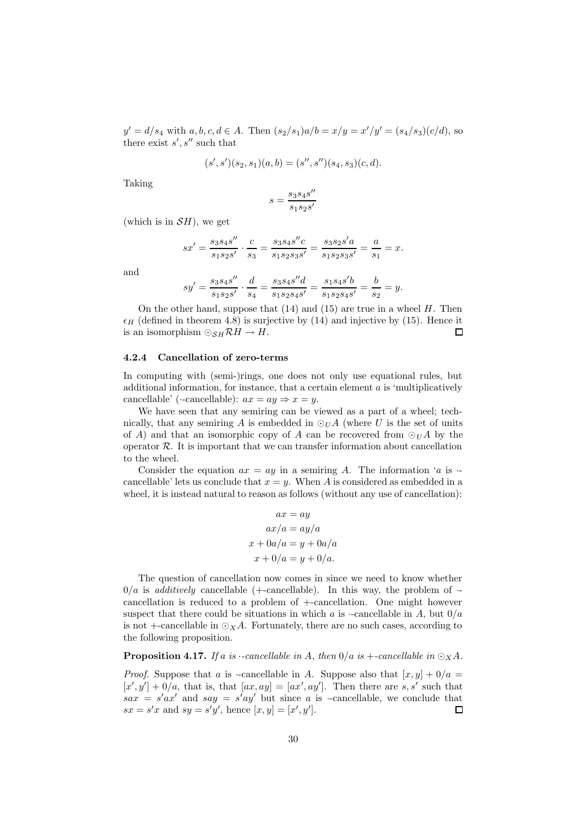$y' = d/s_4$  with  $a, b, c, d \in A$ . Then  $(s_2/s_1)a/b = x/y = x'/y' = (s_4/s_3)(c/d)$ , so there exist  $s', s''$  such that

$$
(s', s')(s_2, s_1)(a, b) = (s'', s'')(s_4, s_3)(c, d).
$$

Taking

$$
s=\frac{s_3s_4s^{\prime\prime}}{s_1s_2s^\prime}
$$

(which is in  $\mathcal{S}H$ ), we get

$$
sx' = \frac{s_3 s_4 s''}{s_1 s_2 s'} \cdot \frac{c}{s_3} = \frac{s_3 s_4 s'' c}{s_1 s_2 s_3 s'} = \frac{s_3 s_2 s' a}{s_1 s_2 s_3 s'} = \frac{a}{s_1} = x.
$$

and

$$
sy' = \frac{s_3 s_4 s''}{s_1 s_2 s'} \cdot \frac{d}{s_4} = \frac{s_3 s_4 s'' d}{s_1 s_2 s_4 s'} = \frac{s_1 s_4 s' b}{s_1 s_2 s_4 s'} = \frac{b}{s_2} = y.
$$

On the other hand, suppose that  $(14)$  and  $(15)$  are true in a wheel H. Then  $\epsilon_H$  (defined in theorem 4.8) is surjective by (14) and injective by (15). Hence it is an isomorphism  $\bigcirc_{SH} \mathcal{R}H \to H$ .  $\Box$ 

#### 4.2.4 Cancellation of zero-terms

In computing with (semi-)rings, one does not only use equational rules, but additional information, for instance, that a certain element  $a$  is 'multiplicatively cancellable' ( $\cdot$ -cancellable):  $ax = ay \Rightarrow x = y$ .

We have seen that any semiring can be viewed as a part of a wheel; technically, that any semiring A is embedded in  $\odot_U A$  (where U is the set of units of A) and that an isomorphic copy of A can be recovered from  $\odot_U A$  by the operator  $R$ . It is important that we can transfer information about cancellation to the wheel.

Consider the equation  $ax = ay$  in a semiring A. The information 'a is  $\cdot$ cancellable' lets us conclude that  $x = y$ . When A is considered as embedded in a wheel, it is instead natural to reason as follows (without any use of cancellation):

$$
ax = ay
$$
  
\n
$$
ax/a = ay/a
$$
  
\n
$$
x + 0a/a = y + 0a/a
$$
  
\n
$$
x + 0/a = y + 0/a.
$$

The question of cancellation now comes in since we need to know whether  $0/a$  is *additively* cancellable (+-cancellable). In this way, the problem of  $\cdot$ cancellation is reduced to a problem of +-cancellation. One might however suspect that there could be situations in which a is  $\alpha$ -cancellable in A, but  $0/a$ is not +-cancellable in  $\odot_X A$ . Fortunately, there are no such cases, according to the following proposition.

**Proposition 4.17.** If a is  $\cdot$ -cancellable in A, then  $0/a$  is  $\cdot$ -cancellable in  $\odot_X A$ .

*Proof.* Suppose that a is -cancellable in A. Suppose also that  $[x, y] + 0/a =$  $[x', y'] + 0/a$ , that is, that  $[ax, ay] = [ax', ay']$ . Then there are s, s' such that  $sax = s'ax'$  and  $say = s'ay'$  but since a is -cancellable, we conclude that  $sx = s'x$  and  $sy = s'y'$ , hence  $[x, y] = [x', y']$ .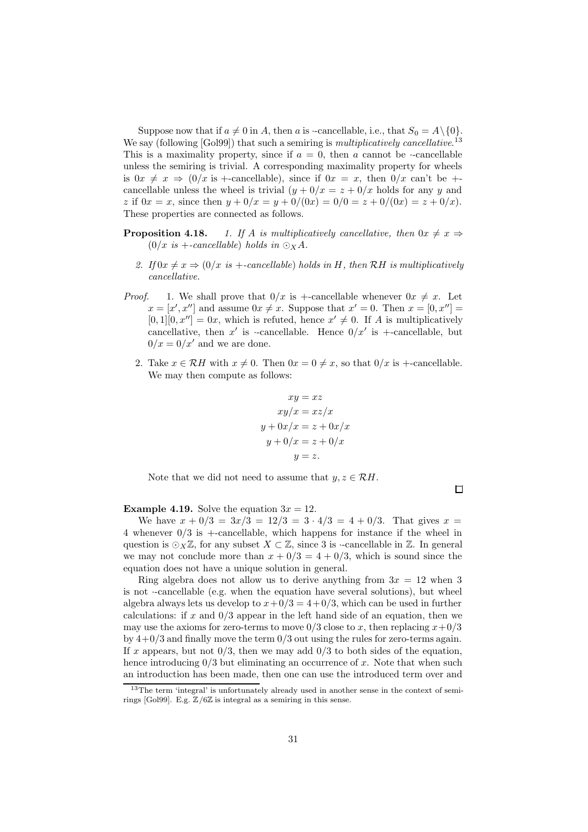Suppose now that if  $a \neq 0$  in A, then a is  $\cdot$ -cancellable, i.e., that  $S_0 = A \setminus \{0\}.$ We say (following [Gol99]) that such a semiring is *multiplicatively cancellative*.<sup>13</sup> This is a maximality property, since if  $a = 0$ , then a cannot be  $\cdot$ -cancellable unless the semiring is trivial. A corresponding maximality property for wheels is  $0x \neq x \Rightarrow (0/x \text{ is } +\text{-cancellable})$ , since if  $0x = x$ , then  $0/x$  can't be  $+$ cancellable unless the wheel is trivial  $(y + 0/x = z + 0/x$  holds for any y and z if  $0x = x$ , since then  $y + 0/x = y + 0/(0x) = 0/0 = z + 0/(0x) = z + 0/x$ . These properties are connected as follows.

- **Proposition 4.18.** 1. If A is multiplicatively cancellative, then  $0x \neq x \Rightarrow$  $(0/x \text{ is } +\text{-}cancelable)$  holds in  $\odot_X A$ .
	- 2. If  $0x \neq x \Rightarrow (0/x \text{ is } +\text{cancelable})$  holds in H, then RH is multiplicatively cancellative.
- *Proof.* 1. We shall prove that  $0/x$  is +-cancellable whenever  $0x \neq x$ . Let  $x = [x', x'']$  and assume  $0x \neq x$ . Suppose that  $x' = 0$ . Then  $x = [0, x''] =$  $[0,1][0, x''] = 0x$ , which is refuted, hence  $x' \neq 0$ . If A is multiplicatively cancellative, then  $x'$  is -cancellable. Hence  $0/x'$  is +-cancellable, but  $0/x = 0/x'$  and we are done.
	- 2. Take  $x \in \mathcal{R}H$  with  $x \neq 0$ . Then  $0x = 0 \neq x$ , so that  $0/x$  is +-cancellable. We may then compute as follows:

$$
xy = xz
$$
  
\n
$$
xy/x = xz/x
$$
  
\n
$$
y + 0x/x = z + 0/x
$$
  
\n
$$
y + 0/x = z + 0/x
$$
  
\n
$$
y = z.
$$

Note that we did not need to assume that  $y, z \in \mathcal{R}H$ .

 $\Box$ 

**Example 4.19.** Solve the equation  $3x = 12$ .

We have  $x + 0/3 = 3x/3 = 12/3 = 3 \cdot 4/3 = 4 + 0/3$ . That gives  $x =$ 4 whenever 0/3 is +-cancellable, which happens for instance if the wheel in question is  $\odot_X \mathbb{Z}$ , for any subset  $X \subset \mathbb{Z}$ , since 3 is --cancellable in  $\mathbb{Z}$ . In general we may not conclude more than  $x + 0/3 = 4 + 0/3$ , which is sound since the equation does not have a unique solution in general.

Ring algebra does not allow us to derive anything from  $3x = 12$  when 3 is not ·-cancellable (e.g. when the equation have several solutions), but wheel algebra always lets us develop to  $x+0/3 = 4+0/3$ , which can be used in further calculations: if x and  $0/3$  appear in the left hand side of an equation, then we may use the axioms for zero-terms to move  $0/3$  close to x, then replacing  $x+0/3$ by  $4+0/3$  and finally move the term  $0/3$  out using the rules for zero-terms again. If x appears, but not  $0/3$ , then we may add  $0/3$  to both sides of the equation, hence introducing  $0/3$  but eliminating an occurrence of x. Note that when such an introduction has been made, then one can use the introduced term over and

<sup>13</sup>The term 'integral' is unfortunately already used in another sense in the context of semirings [Gol99]. E.g.  $\mathbb{Z}/6\mathbb{Z}$  is integral as a semiring in this sense.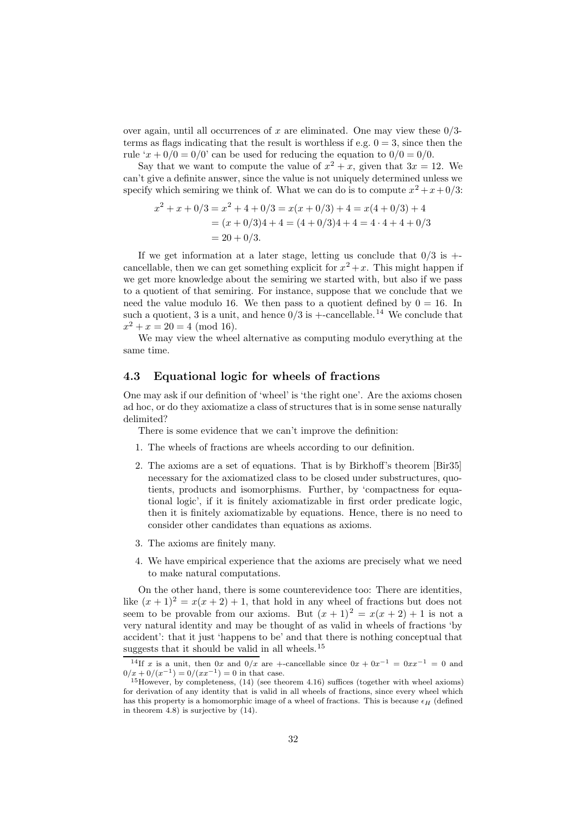over again, until all occurrences of x are eliminated. One may view these  $0/3$ terms as flags indicating that the result is worthless if e.g.  $0 = 3$ , since then the rule ' $x + 0/0 = 0/0$ ' can be used for reducing the equation to  $0/0 = 0/0$ .

Say that we want to compute the value of  $x^2 + x$ , given that  $3x = 12$ . We can't give a definite answer, since the value is not uniquely determined unless we specify which semiring we think of. What we can do is to compute  $x^2 + x + 0/3$ :

$$
x^{2} + x + 0/3 = x^{2} + 4 + 0/3 = x(x + 0/3) + 4 = x(4 + 0/3) + 4
$$
  
=  $(x + 0/3)4 + 4 = (4 + 0/3)4 + 4 = 4 \cdot 4 + 4 + 0/3$   
=  $20 + 0/3$ .

If we get information at a later stage, letting us conclude that  $0/3$  is  $+$ cancellable, then we can get something explicit for  $x^2 + x$ . This might happen if we get more knowledge about the semiring we started with, but also if we pass to a quotient of that semiring. For instance, suppose that we conclude that we need the value modulo 16. We then pass to a quotient defined by  $0 = 16$ . In such a quotient, 3 is a unit, and hence  $0/3$  is  $+$ -cancellable.<sup>14</sup> We conclude that  $x^2 + x = 20 = 4 \pmod{16}.$ 

We may view the wheel alternative as computing modulo everything at the same time.

### 4.3 Equational logic for wheels of fractions

One may ask if our definition of 'wheel' is 'the right one'. Are the axioms chosen ad hoc, or do they axiomatize a class of structures that is in some sense naturally delimited?

There is some evidence that we can't improve the definition:

- 1. The wheels of fractions are wheels according to our definition.
- 2. The axioms are a set of equations. That is by Birkhoff's theorem [Bir35] necessary for the axiomatized class to be closed under substructures, quotients, products and isomorphisms. Further, by 'compactness for equational logic', if it is finitely axiomatizable in first order predicate logic, then it is finitely axiomatizable by equations. Hence, there is no need to consider other candidates than equations as axioms.
- 3. The axioms are finitely many.
- 4. We have empirical experience that the axioms are precisely what we need to make natural computations.

On the other hand, there is some counterevidence too: There are identities, like  $(x + 1)^2 = x(x + 2) + 1$ , that hold in any wheel of fractions but does not seem to be provable from our axioms. But  $(x + 1)^2 = x(x + 2) + 1$  is not a very natural identity and may be thought of as valid in wheels of fractions 'by accident': that it just 'happens to be' and that there is nothing conceptual that suggests that it should be valid in all wheels.<sup>15</sup>

<sup>&</sup>lt;sup>14</sup>If x is a unit, then  $0x$  and  $0/x$  are +-cancellable since  $0x + 0x^{-1} = 0xx^{-1} = 0$  and  $0/x + 0/(x^{-1}) = 0/(xx^{-1}) = 0$  in that case.

 $15$ However, by completeness,  $(14)$  (see theorem 4.16) suffices (together with wheel axioms) for derivation of any identity that is valid in all wheels of fractions, since every wheel which has this property is a homomorphic image of a wheel of fractions. This is because  $\epsilon_H$  (defined in theorem  $(4.8)$  is surjective by  $(14)$ .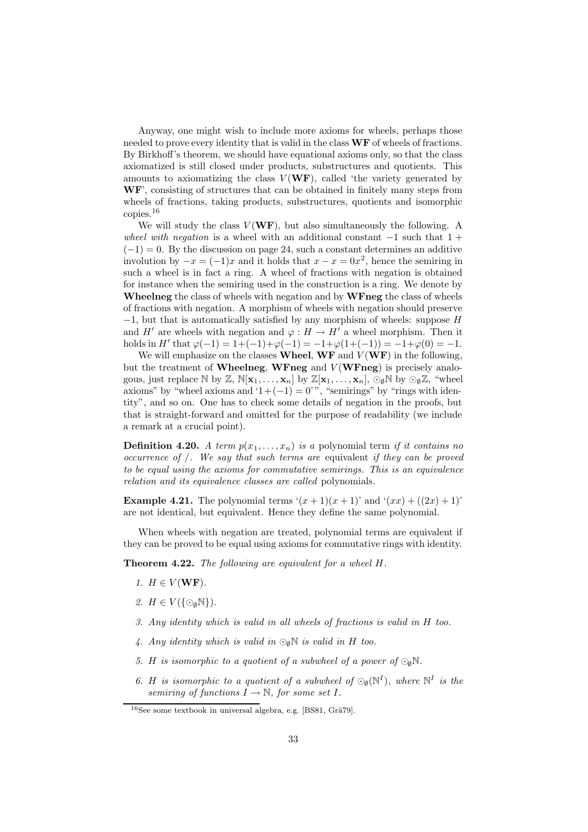Anyway, one might wish to include more axioms for wheels, perhaps those needed to prove every identity that is valid in the class  $WF$  of wheels of fractions. By Birkhoff's theorem, we should have equational axioms only, so that the class axiomatized is still closed under products, substructures and quotients. This amounts to axiomatizing the class  $V(WF)$ , called 'the variety generated by WF', consisting of structures that can be obtained in finitely many steps from wheels of fractions, taking products, substructures, quotients and isomorphic copies.<sup>16</sup>

We will study the class  $V(WF)$ , but also simultaneously the following. A wheel with negation is a wheel with an additional constant  $-1$  such that  $1 +$  $(-1) = 0$ . By the discussion on page 24, such a constant determines an additive involution by  $-x = (-1)x$  and it holds that  $x - x = 0x^2$ , hence the semiring in such a wheel is in fact a ring. A wheel of fractions with negation is obtained for instance when the semiring used in the construction is a ring. We denote by Wheelneg the class of wheels with negation and by WFneg the class of wheels of fractions with negation. A morphism of wheels with negation should preserve  $-1$ , but that is automatically satisfied by any morphism of wheels: suppose  $H$ and H<sup>'</sup> are wheels with negation and  $\varphi : H \to H'$  a wheel morphism. Then it holds in H' that  $\varphi(-1) = 1 + (-1) + \varphi(-1) = -1 + \varphi(1 + (-1)) = -1 + \varphi(0) = -1.$ 

We will emphasize on the classes **Wheel, WF** and  $V(WF)$  in the following, but the treatment of Wheelneg, WFneg and  $V(WFneg)$  is precisely analogous, just replace N by Z,  $\mathbb{N}[x_1,\ldots,x_n]$  by  $\mathbb{Z}[x_1,\ldots,x_n]$ ,  $\odot_{\emptyset}\mathbb{N}$  by  $\odot_{\emptyset}\mathbb{Z}$ , "wheel axioms" by "wheel axioms and  $1+(-1) = 0$ ", "semirings" by "rings with identity", and so on. One has to check some details of negation in the proofs, but that is straight-forward and omitted for the purpose of readability (we include a remark at a crucial point).

**Definition 4.20.** A term  $p(x_1, \ldots, x_n)$  is a polynomial term if it contains no occurrence of /. We say that such terms are equivalent if they can be proved to be equal using the axioms for commutative semirings. This is an equivalence relation and its equivalence classes are called polynomials.

**Example 4.21.** The polynomial terms  $(x+1)(x+1)$  and  $(x+1)(x+1)$ ' are not identical, but equivalent. Hence they define the same polynomial.

When wheels with negation are treated, polynomial terms are equivalent if they can be proved to be equal using axioms for commutative rings with identity.

Theorem 4.22. The following are equivalent for a wheel H.

- 1.  $H \in V(\mathbf{WF})$ .
- 2.  $H \in V(\{\odot_{\emptyset}\mathbb{N}\})$ .
- 3. Any identity which is valid in all wheels of fractions is valid in H too.
- 4. Any identity which is valid in  $\odot_{\emptyset} \mathbb{N}$  is valid in H too.
- 5. H is isomorphic to a quotient of a subwheel of a power of  $\mathbb{Q}_0\mathbb{N}$ .
- 6. H is isomorphic to a quotient of a subwheel of  $\mathbb{Q}_\emptyset(N^I)$ , where  $\mathbb{N}^I$  is the semiring of functions  $I \rightarrow \mathbb{N}$ , for some set I.

 $16$ See some textbook in universal algebra, e.g. [BS81, Grä $79$ ].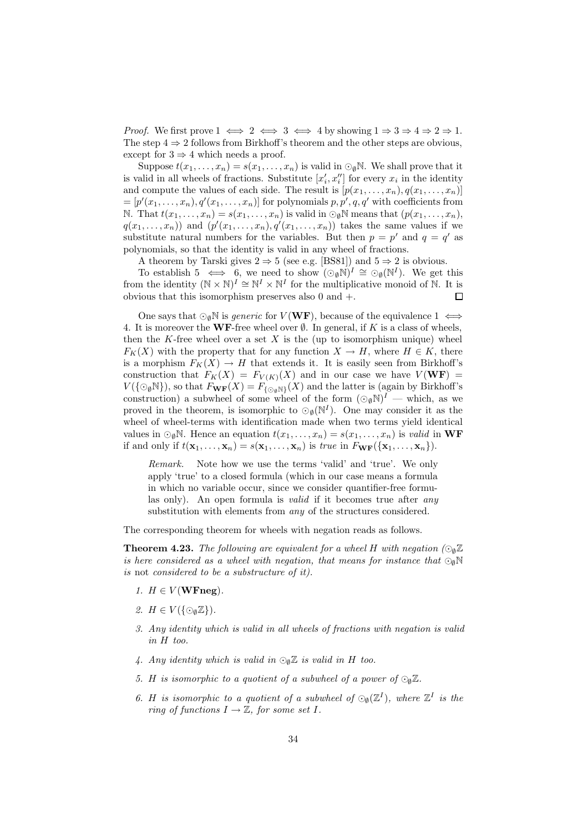*Proof.* We first prove  $1 \iff 2 \iff 3 \iff 4$  by showing  $1 \Rightarrow 3 \Rightarrow 4 \Rightarrow 2 \Rightarrow 1$ . The step  $4 \Rightarrow 2$  follows from Birkhoff's theorem and the other steps are obvious, except for  $3 \Rightarrow 4$  which needs a proof.

Suppose  $t(x_1, \ldots, x_n) = s(x_1, \ldots, x_n)$  is valid in  $\odot_{\emptyset} \mathbb{N}$ . We shall prove that it is valid in all wheels of fractions. Substitute  $[x'_i, x''_i]$  for every  $x_i$  in the identity and compute the values of each side. The result is  $[p(x_1, \ldots, x_n), q(x_1, \ldots, x_n)]$  $=[p'(x_1,\ldots,x_n), q'(x_1,\ldots,x_n)]$  for polynomials  $p, p', q, q'$  with coefficients from N. That  $t(x_1, \ldots, x_n) = s(x_1, \ldots, x_n)$  is valid in  $\odot_{\emptyset} \mathbb{N}$  means that  $(p(x_1, \ldots, x_n))$ ,  $q(x_1, \ldots, x_n)$  and  $(p'(x_1, \ldots, x_n), q'(x_1, \ldots, x_n))$  takes the same values if we substitute natural numbers for the variables. But then  $p = p'$  and  $q = q'$  as polynomials, so that the identity is valid in any wheel of fractions.

A theorem by Tarski gives  $2 \Rightarrow 5$  (see e.g. [BS81]) and  $5 \Rightarrow 2$  is obvious.

To establish  $5 \iff 6$ , we need to show  $(\bigcirc_{\emptyset} \mathbb{N})^I \cong \bigcirc_{\emptyset} (\mathbb{N}^I)$ . We get this from the identity  $(N \times N)^I \cong N^I \times N^I$  for the multiplicative monoid of N. It is obvious that this isomorphism preserves also 0 and +.  $\Box$ 

One says that  $\bigcirc_{\emptyset} \mathbb{N}$  is *generic* for  $V(WF)$ , because of the equivalence  $1 \iff$ 4. It is moreover the WF-free wheel over  $\emptyset$ . In general, if K is a class of wheels, then the K-free wheel over a set  $X$  is the (up to isomorphism unique) wheel  $F_K(X)$  with the property that for any function  $X \to H$ , where  $H \in K$ , there is a morphism  $F_K(X) \to H$  that extends it. It is easily seen from Birkhoff's construction that  $F_K(X) = F_{V(K)}(X)$  and in our case we have  $V(WF) =$  $V(\{\odot_{\emptyset}\mathbb{N}\})$ , so that  $F_{\mathbf{WF}}(X) = F_{\{\odot_{\emptyset}\mathbb{N}\}}(X)$  and the latter is (again by Birkhoff's construction) a subwheel of some wheel of the form  $(\odot_{\emptyset} \mathbb{N})^I$  — which, as we proved in the theorem, is isomorphic to  $\odot_{\emptyset}(\mathbb{N}^I)$ . One may consider it as the wheel of wheel-terms with identification made when two terms yield identical values in  $\bigcirc_{\emptyset} \mathbb{N}$ . Hence an equation  $t(x_1, \ldots, x_n) = s(x_1, \ldots, x_n)$  is valid in WF if and only if  $t(\mathbf{x}_1,\ldots,\mathbf{x}_n)=s(\mathbf{x}_1,\ldots,\mathbf{x}_n)$  is true in  $F_{\mathbf{WF}}(\{\mathbf{x}_1,\ldots,\mathbf{x}_n\}).$ 

Remark. Note how we use the terms 'valid' and 'true'. We only apply 'true' to a closed formula (which in our case means a formula in which no variable occur, since we consider quantifier-free formulas only). An open formula is valid if it becomes true after any substitution with elements from any of the structures considered.

The corresponding theorem for wheels with negation reads as follows.

**Theorem 4.23.** The following are equivalent for a wheel H with negation ( $\odot$ <sub>0</sub>Z) is here considered as a wheel with negation, that means for instance that  $\odot_{\mathbf{d}}\mathbb{N}$ is not considered to be a substructure of it).

- 1.  $H \in V(\mathbf{WFneg}).$
- 2.  $H \in V(\{\odot_{\emptyset} \mathbb{Z}\}).$
- 3. Any identity which is valid in all wheels of fractions with negation is valid in H too.
- 4. Any identity which is valid in  $\odot_{\mathfrak{a}} \mathbb{Z}$  is valid in H too.
- 5. H is isomorphic to a quotient of a subwheel of a power of  $\bigcirc_{\mathfrak{g}} \mathbb{Z}$ .
- 6. H is isomorphic to a quotient of a subwheel of  $\mathcal{O}_{\emptyset}(\mathbb{Z}^I)$ , where  $\mathbb{Z}^I$  is the ring of functions  $I \to \mathbb{Z}$ , for some set I.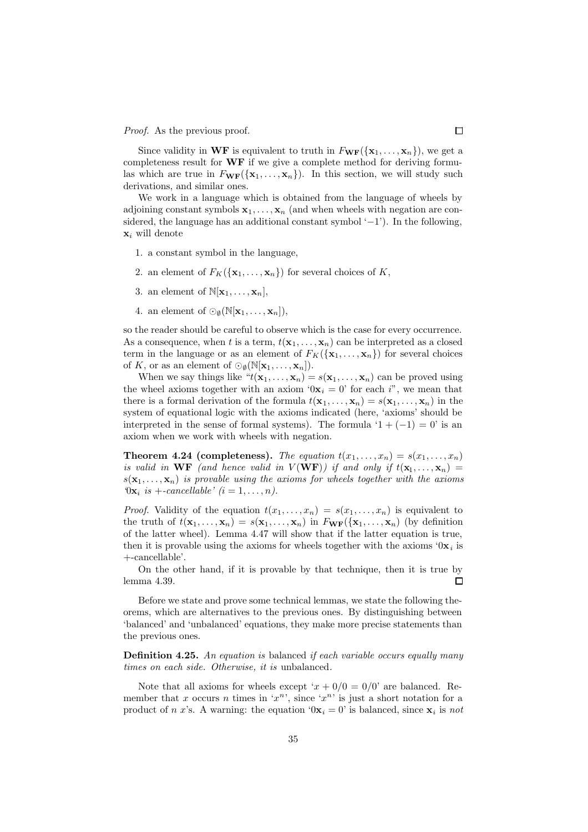Proof. As the previous proof.

Since validity in WF is equivalent to truth in  $F_{\bf WF}(\{x_1,\ldots,x_n\})$ , we get a completeness result for WF if we give a complete method for deriving formulas which are true in  $F_{\mathbf{WF}}(\{\mathbf{x}_1, \ldots, \mathbf{x}_n\})$ . In this section, we will study such derivations, and similar ones.

We work in a language which is obtained from the language of wheels by adjoining constant symbols  $x_1, \ldots, x_n$  (and when wheels with negation are considered, the language has an additional constant symbol  $(-1)$ . In the following,  $\mathbf{x}_i$  will denote

- 1. a constant symbol in the language,
- 2. an element of  $F_K({\bf x}_1,\ldots,{\bf x}_n)$  for several choices of K,
- 3. an element of  $\mathbb{N}[\mathbf{x}_1, \dots, \mathbf{x}_n],$
- 4. an element of  $\odot_{\emptyset}(\mathbb{N}[\mathbf{x}_1,\ldots,\mathbf{x}_n]),$

so the reader should be careful to observe which is the case for every occurrence. As a consequence, when t is a term,  $t(\mathbf{x}_1, \dots, \mathbf{x}_n)$  can be interpreted as a closed term in the language or as an element of  $F_K({\bf x}_1,\ldots,{\bf x}_n)$  for several choices of K, or as an element of  $\odot_{\emptyset}(\mathbb{N}[\mathbf{x}_1,\ldots,\mathbf{x}_n]).$ 

When we say things like  $f(x_1, \ldots, x_n) = s(x_1, \ldots, x_n)$  can be proved using the wheel axioms together with an axiom ' $0x_i = 0$ ' for each i'', we mean that there is a formal derivation of the formula  $t(\mathbf{x}_1, \ldots, \mathbf{x}_n) = s(\mathbf{x}_1, \ldots, \mathbf{x}_n)$  in the system of equational logic with the axioms indicated (here, 'axioms' should be interpreted in the sense of formal systems). The formula  $(1 + (-1) = 0)$  is an axiom when we work with wheels with negation.

**Theorem 4.24 (completeness).** The equation  $t(x_1, \ldots, x_n) = s(x_1, \ldots, x_n)$ is valid in WF (and hence valid in  $V(WF)$ ) if and only if  $t(x_1, \ldots, x_n) =$  $s(\mathbf{x}_1, \ldots, \mathbf{x}_n)$  is provable using the axioms for wheels together with the axioms  $\mathcal{D} \mathbf{x}_i$  is +-cancellable'  $(i = 1, \ldots, n)$ .

*Proof.* Validity of the equation  $t(x_1, \ldots, x_n) = s(x_1, \ldots, x_n)$  is equivalent to the truth of  $t(\mathbf{x}_1,\ldots,\mathbf{x}_n) = s(\mathbf{x}_1,\ldots,\mathbf{x}_n)$  in  $F_{\mathbf{WF}}(\{\mathbf{x}_1,\ldots,\mathbf{x}_n\})$  (by definition of the latter wheel). Lemma 4.47 will show that if the latter equation is true, then it is provable using the axioms for wheels together with the axioms  $0x_i$  is +-cancellable'.

On the other hand, if it is provable by that technique, then it is true by  $\Box$ lemma 4.39.

Before we state and prove some technical lemmas, we state the following theorems, which are alternatives to the previous ones. By distinguishing between 'balanced' and 'unbalanced' equations, they make more precise statements than the previous ones.

**Definition 4.25.** An equation is balanced if each variable occurs equally many times on each side. Otherwise, it is unbalanced.

Note that all axioms for wheels except ' $x + 0/0 = 0/0$ ' are balanced. Remember that x occurs n times in ' $x^n$ ', since ' $x^n$ ' is just a short notation for a product of *n x*'s. A warning: the equation  $0x_i = 0$  is balanced, since  $x_i$  is *not*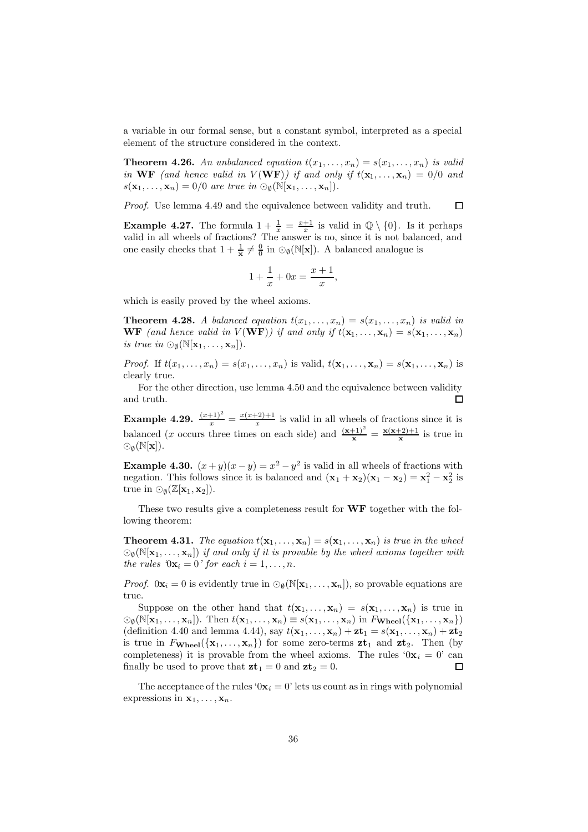a variable in our formal sense, but a constant symbol, interpreted as a special element of the structure considered in the context.

**Theorem 4.26.** An unbalanced equation  $t(x_1, \ldots, x_n) = s(x_1, \ldots, x_n)$  is valid in WF (and hence valid in  $V(WF)$ ) if and only if  $t(x_1,...,x_n) = 0/0$  and  $s(\mathbf{x}_1,\ldots,\mathbf{x}_n)=0/0$  are true in  $\odot_{\emptyset}(\mathbb{N}[\mathbf{x}_1,\ldots,\mathbf{x}_n]).$ 

Proof. Use lemma 4.49 and the equivalence between validity and truth.  $\Box$ 

**Example 4.27.** The formula  $1 + \frac{1}{x} = \frac{x+1}{x}$  is valid in  $\mathbb{Q} \setminus \{0\}$ . Is it perhaps valid in all wheels of fractions? The answer is no, since it is not balanced, and one easily checks that  $1 + \frac{1}{x} \neq \frac{0}{0}$  in  $\odot_{\emptyset}(\mathbb{N}[x])$ . A balanced analogue is

$$
1 + \frac{1}{x} + 0x = \frac{x+1}{x},
$$

which is easily proved by the wheel axioms.

**Theorem 4.28.** A balanced equation  $t(x_1, \ldots, x_n) = s(x_1, \ldots, x_n)$  is valid in **WF** (and hence valid in  $V(WF)$ ) if and only if  $t(\mathbf{x}_1, \dots, \mathbf{x}_n) = s(\mathbf{x}_1, \dots, \mathbf{x}_n)$ is true in  $\odot_{\emptyset}(\mathbb{N}[\mathbf{x}_1,\ldots,\mathbf{x}_n]).$ 

*Proof.* If  $t(x_1, \ldots, x_n) = s(x_1, \ldots, x_n)$  is valid,  $t(\mathbf{x}_1, \ldots, \mathbf{x}_n) = s(\mathbf{x}_1, \ldots, \mathbf{x}_n)$  is clearly true.

For the other direction, use lemma 4.50 and the equivalence between validity and truth.  $\Box$ 

Example 4.29.  $\frac{(x+1)^2}{x} = \frac{x(x+2)+1}{x}$  $\frac{x}{x}$  is valid in all wheels of fractions since it is balanced (x occurs three times on each side) and  $\frac{(x+1)^2}{x} = \frac{x(x+2)+1}{x}$  is true in  $\odot_0(N[x]).$ 

**Example 4.30.**  $(x+y)(x-y) = x^2 - y^2$  is valid in all wheels of fractions with negation. This follows since it is balanced and  $(\mathbf{x}_1 + \mathbf{x}_2)(\mathbf{x}_1 - \mathbf{x}_2) = \mathbf{x}_1^2 - \mathbf{x}_2^2$  is true in  $\odot_{\emptyset}(\mathbb{Z}[\mathbf{x}_1, \mathbf{x}_2]).$ 

These two results give a completeness result for **WF** together with the following theorem:

**Theorem 4.31.** The equation  $t(\mathbf{x}_1, \dots, \mathbf{x}_n) = s(\mathbf{x}_1, \dots, \mathbf{x}_n)$  is true in the wheel  $\mathcal{O}_{\emptyset}(\mathbb{N}[\mathbf{x}_1,\ldots,\mathbf{x}_n])$  if and only if it is provable by the wheel axioms together with the rules  $0\mathbf{x}_i = 0$ ' for each  $i = 1, \ldots, n$ .

*Proof.*  $0\mathbf{x}_i = 0$  is evidently true in  $\textcircled{}}_0(N[\mathbf{x}_1,\ldots,\mathbf{x}_n])$ , so provable equations are true.

Suppose on the other hand that  $t(\mathbf{x}_1, \ldots, \mathbf{x}_n) = s(\mathbf{x}_1, \ldots, \mathbf{x}_n)$  is true in  $\bigcirc_{\emptyset}(\mathbb{N}[\mathbf{x}_1,\ldots,\mathbf{x}_n])$ . Then  $t(\mathbf{x}_1,\ldots,\mathbf{x}_n) \equiv s(\mathbf{x}_1,\ldots,\mathbf{x}_n)$  in  $F_{\mathbf{Wheel}}(\{\mathbf{x}_1,\ldots,\mathbf{x}_n\})$ (definition 4.40 and lemma 4.44), say  $t(\mathbf{x}_1, \ldots, \mathbf{x}_n) + \mathbf{z} \mathbf{t}_1 = s(\mathbf{x}_1, \ldots, \mathbf{x}_n) + \mathbf{z} \mathbf{t}_2$ is true in  $F_{\textbf{Wheel}}(\{\mathbf{x}_1,\ldots,\mathbf{x}_n\})$  for some zero-terms  $\mathbf{zt}_1$  and  $\mathbf{zt}_2$ . Then (by completeness) it is provable from the wheel axioms. The rules ' $0x_i = 0$ ' can finally be used to prove that  $z\mathbf{t}_1 = 0$  and  $z\mathbf{t}_2 = 0$ .  $\Box$ 

The acceptance of the rules ' $0x_i = 0$ ' lets us count as in rings with polynomial expressions in  $x_1, \ldots, x_n$ .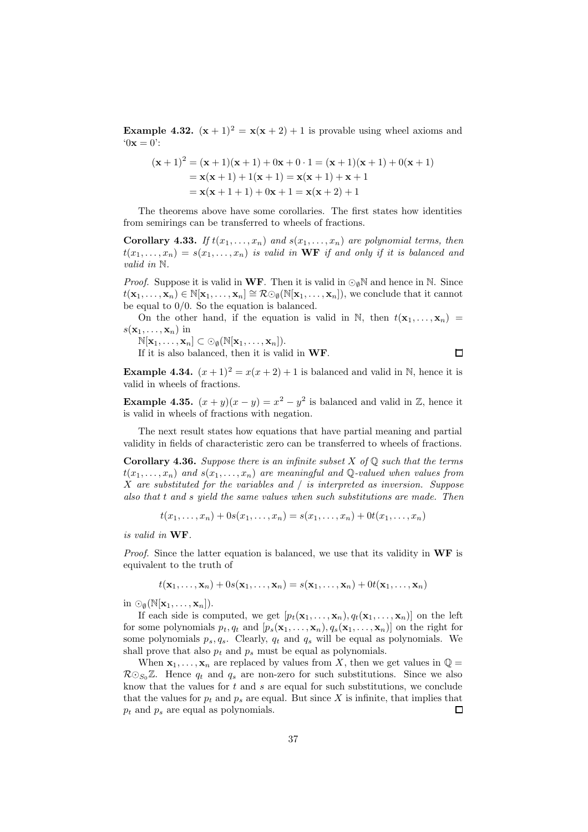**Example 4.32.**  $(x + 1)^2 = x(x + 2) + 1$  is provable using wheel axioms and  $0x = 0$ :

$$
(\mathbf{x} + 1)^2 = (\mathbf{x} + 1)(\mathbf{x} + 1) + 0\mathbf{x} + 0 \cdot 1 = (\mathbf{x} + 1)(\mathbf{x} + 1) + 0(\mathbf{x} + 1)
$$
  
=  $\mathbf{x}(\mathbf{x} + 1) + 1(\mathbf{x} + 1) = \mathbf{x}(\mathbf{x} + 1) + \mathbf{x} + 1$   
=  $\mathbf{x}(\mathbf{x} + 1 + 1) + 0\mathbf{x} + 1 = \mathbf{x}(\mathbf{x} + 2) + 1$ 

The theorems above have some corollaries. The first states how identities from semirings can be transferred to wheels of fractions.

**Corollary 4.33.** If  $t(x_1, \ldots, x_n)$  and  $s(x_1, \ldots, x_n)$  are polynomial terms, then  $t(x_1, \ldots, x_n) = s(x_1, \ldots, x_n)$  is valid in WF if and only if it is balanced and valid in N.

*Proof.* Suppose it is valid in WF. Then it is valid in  $\bigcirc_{\emptyset} \mathbb{N}$  and hence in  $\mathbb{N}$ . Since  $t(\mathbf{x}_1,\ldots,\mathbf{x}_n) \in \mathbb{N}[\mathbf{x}_1,\ldots,\mathbf{x}_n] \cong \mathcal{R} \odot_{\emptyset} (\mathbb{N}[\mathbf{x}_1,\ldots,\mathbf{x}_n]),$  we conclude that it cannot be equal to 0/0. So the equation is balanced.

On the other hand, if the equation is valid in N, then  $t(\mathbf{x}_1, \ldots, \mathbf{x}_n)$  =  $s(\mathbf{x}_1, \ldots, \mathbf{x}_n)$  in

 $\mathbb{N}[\mathbf{x}_1,\ldots,\mathbf{x}_n]\subset\odot_{\emptyset}(\mathbb{N}[\mathbf{x}_1,\ldots,\mathbf{x}_n]).$ 

If it is also balanced, then it is valid in WF.

 $\Box$ 

**Example 4.34.**  $(x+1)^2 = x(x+2)+1$  is balanced and valid in N, hence it is valid in wheels of fractions.

**Example 4.35.**  $(x + y)(x - y) = x^2 - y^2$  is balanced and valid in Z, hence it is valid in wheels of fractions with negation.

The next result states how equations that have partial meaning and partial validity in fields of characteristic zero can be transferred to wheels of fractions.

**Corollary 4.36.** Suppose there is an infinite subset X of  $\mathbb{Q}$  such that the terms  $t(x_1, \ldots, x_n)$  and  $s(x_1, \ldots, x_n)$  are meaningful and Q-valued when values from X are substituted for the variables and / is interpreted as inversion. Suppose also that t and s yield the same values when such substitutions are made. Then

$$
t(x_1,...,x_n) + 0s(x_1,...,x_n) = s(x_1,...,x_n) + 0t(x_1,...,x_n)
$$

is valid in WF.

*Proof.* Since the latter equation is balanced, we use that its validity in  $WF$  is equivalent to the truth of

 $t(\mathbf{x}_1,\ldots,\mathbf{x}_n)+0s(\mathbf{x}_1,\ldots,\mathbf{x}_n)=s(\mathbf{x}_1,\ldots,\mathbf{x}_n)+0t(\mathbf{x}_1,\ldots,\mathbf{x}_n)$ 

in  $\odot_{\emptyset}(\mathbb{N}[\mathbf{x}_1,\ldots,\mathbf{x}_n]).$ 

If each side is computed, we get  $[p_t(\mathbf{x}_1, \ldots, \mathbf{x}_n), q_t(\mathbf{x}_1, \ldots, \mathbf{x}_n)]$  on the left for some polynomials  $p_t, q_t$  and  $[p_s(\mathbf{x}_1, ..., \mathbf{x}_n), q_s(\mathbf{x}_1, ..., \mathbf{x}_n)]$  on the right for some polynomials  $p_s, q_s$ . Clearly,  $q_t$  and  $q_s$  will be equal as polynomials. We shall prove that also  $p_t$  and  $p_s$  must be equal as polynomials.

When  $x_1, \ldots, x_n$  are replaced by values from X, then we get values in  $\mathbb{Q} =$  $R\odot_{S_0}\mathbb{Z}$ . Hence  $q_t$  and  $q_s$  are non-zero for such substitutions. Since we also know that the values for  $t$  and  $s$  are equal for such substitutions, we conclude that the values for  $p_t$  and  $p_s$  are equal. But since X is infinite, that implies that  $p_t$  and  $p_s$  are equal as polynomials.  $\Box$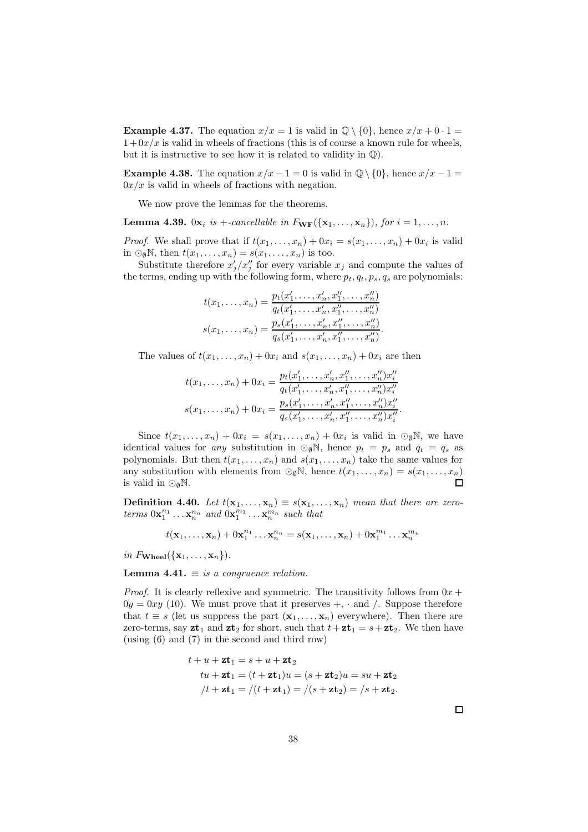**Example 4.37.** The equation  $x/x = 1$  is valid in  $\mathbb{Q} \setminus \{0\}$ , hence  $x/x + 0 \cdot 1 =$  $1+0x/x$  is valid in wheels of fractions (this is of course a known rule for wheels, but it is instructive to see how it is related to validity in  $\mathbb{Q}$ ).

**Example 4.38.** The equation  $x/x - 1 = 0$  is valid in  $\mathbb{Q} \setminus \{0\}$ , hence  $x/x - 1 = 0$  $0x/x$  is valid in wheels of fractions with negation.

We now prove the lemmas for the theorems.

**Lemma 4.39.**  $0x_i$  is +-cancellable in  $F_{WF}(\{x_1, \ldots, x_n\})$ , for  $i = 1, \ldots, n$ .

*Proof.* We shall prove that if  $t(x_1, \ldots, x_n) + 0x_i = s(x_1, \ldots, x_n) + 0x_i$  is valid in  $\bigcirc_{\emptyset} \mathbb{N}$ , then  $t(x_1, \ldots, x_n) = s(x_1, \ldots, x_n)$  is too.

Substitute therefore  $x'_j/x''_j$  for every variable  $x_j$  and compute the values of the terms, ending up with the following form, where  $p_t, q_t, p_s, q_s$  are polynomials:

$$
t(x_1, ..., x_n) = \frac{p_t(x'_1, ..., x'_n, x''_1, ..., x''_n)}{q_t(x'_1, ..., x'_n, x''_1, ..., x''_n)}
$$

$$
s(x_1, ..., x_n) = \frac{p_s(x'_1, ..., x'_n, x''_1, ..., x''_n)}{q_s(x'_1, ..., x'_n, x''_1, ..., x''_n)}.
$$

The values of  $t(x_1, \ldots, x_n) + 0x_i$  and  $s(x_1, \ldots, x_n) + 0x_i$  are then

$$
t(x_1, ..., x_n) + 0x_i = \frac{p_t(x'_1, ..., x'_n, x''_1, ..., x''_n)x''_i}{q_t(x'_1, ..., x'_n, x''_1, ..., x''_n)x''_i}
$$

$$
s(x_1, ..., x_n) + 0x_i = \frac{p_s(x'_1, ..., x'_n, x''_1, ..., x''_n)x''_i}{q_s(x'_1, ..., x'_n, x''_1, ..., x''_n)x''_i}.
$$

Since  $t(x_1,...,x_n) + 0x_i = s(x_1,...,x_n) + 0x_i$  is valid in  $\odot_{\emptyset} \mathbb{N}$ , we have identical values for any substitution in  $\odot_{\emptyset} N$ , hence  $p_t = p_s$  and  $q_t = q_s$  as polynomials. But then  $t(x_1, \ldots, x_n)$  and  $s(x_1, \ldots, x_n)$  take the same values for any substitution with elements from  $\odot_{\emptyset} \mathbb{N}$ , hence  $t(x_1, \ldots, x_n) = s(x_1, \ldots, x_n)$  is valid in  $\odot_{\emptyset} \mathbb{N}$ . is valid in  $\odot$ <sub>0</sub>N.

**Definition 4.40.** Let  $t(\mathbf{x}_1, \dots, \mathbf{x}_n) \equiv s(\mathbf{x}_1, \dots, \mathbf{x}_n)$  mean that there are zeroterms  $0\mathbf{x}_1^{n_1} \dots \mathbf{x}_n^{n_n}$  and  $0\mathbf{x}_1^{m_1} \dots \mathbf{x}_n^{m_n}$  such that

$$
t(\mathbf{x}_1,\ldots,\mathbf{x}_n)+0\mathbf{x}_1^{n_1}\ldots\mathbf{x}_n^{n_n}=s(\mathbf{x}_1,\ldots,\mathbf{x}_n)+0\mathbf{x}_1^{m_1}\ldots\mathbf{x}_n^{m_n}
$$

in  $F_{\mathbf{Wheel}}(\{\mathbf{x}_1,\ldots,\mathbf{x}_n\})$ .

**Lemma 4.41.**  $\equiv$  is a congruence relation.

*Proof.* It is clearly reflexive and symmetric. The transitivity follows from  $0x +$  $0y = 0xy$  (10). We must prove that it preserves  $+$ ,  $\cdot$  and  $\cdot$ . Suppose therefore that  $t \equiv s$  (let us suppress the part  $(\mathbf{x}_1, \ldots, \mathbf{x}_n)$  everywhere). Then there are zero-terms, say  $z\mathbf{t}_1$  and  $z\mathbf{t}_2$  for short, such that  $t+\mathbf{z}\mathbf{t}_1 = s+\mathbf{z}\mathbf{t}_2$ . We then have (using (6) and (7) in the second and third row)

$$
t + u + \mathbf{z}t_1 = s + u + \mathbf{z}t_2
$$
  
\n
$$
tu + \mathbf{z}t_1 = (t + \mathbf{z}t_1)u = (s + \mathbf{z}t_2)u = su + \mathbf{z}t_2
$$
  
\n
$$
/t + \mathbf{z}t_1 = / (t + \mathbf{z}t_1) = / (s + \mathbf{z}t_2) = /s + \mathbf{z}t_2.
$$

 $\Box$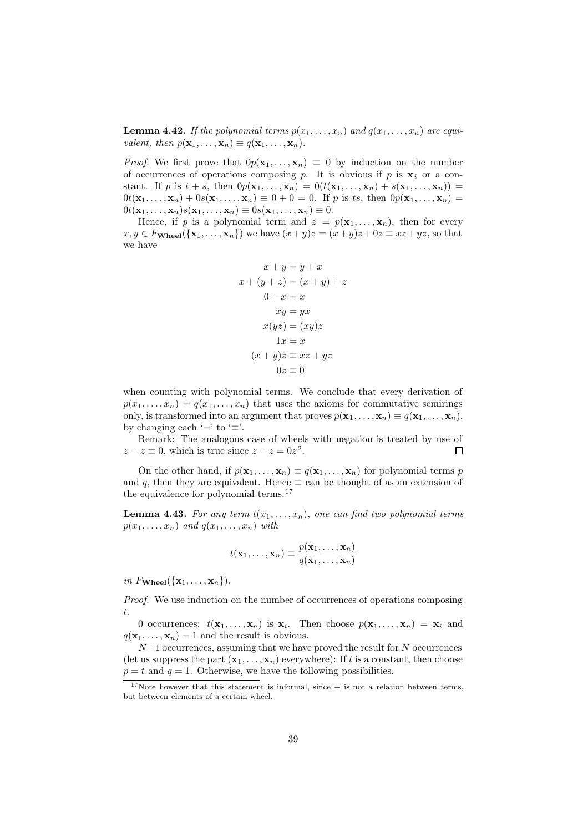**Lemma 4.42.** If the polynomial terms  $p(x_1, \ldots, x_n)$  and  $q(x_1, \ldots, x_n)$  are equivalent, then  $p(\mathbf{x}_1, \ldots, \mathbf{x}_n) \equiv q(\mathbf{x}_1, \ldots, \mathbf{x}_n)$ .

*Proof.* We first prove that  $0p(\mathbf{x}_1, \dots, \mathbf{x}_n) \equiv 0$  by induction on the number of occurrences of operations composing p. It is obvious if p is  $x_i$  or a constant. If p is  $t + s$ , then  $0p(\mathbf{x}_1,\ldots,\mathbf{x}_n) = 0(t(\mathbf{x}_1,\ldots,\mathbf{x}_n) + s(\mathbf{x}_1,\ldots,\mathbf{x}_n)) =$  $0t(\mathbf{x}_1,\ldots,\mathbf{x}_n)+0s(\mathbf{x}_1,\ldots,\mathbf{x}_n)\equiv 0+0=0.$  If p is ts, then  $0p(\mathbf{x}_1,\ldots,\mathbf{x}_n)=$  $0t(\mathbf{x}_1,\ldots,\mathbf{x}_n)s(\mathbf{x}_1,\ldots,\mathbf{x}_n)\equiv 0s(\mathbf{x}_1,\ldots,\mathbf{x}_n)\equiv 0.$ 

Hence, if p is a polynomial term and  $z = p(\mathbf{x}_1, \dots, \mathbf{x}_n)$ , then for every  $x, y \in F_{\mathbf{Wheel}}(\{\mathbf{x}_1, \dots, \mathbf{x}_n\})$  we have  $(x+y)z = (x+y)z + 0z \equiv xz + yz$ , so that we have

$$
x + y = y + x
$$
  
\n
$$
x + (y + z) = (x + y) + z
$$
  
\n
$$
0 + x = x
$$
  
\n
$$
xy = yx
$$
  
\n
$$
x(yz) = (xy)z
$$
  
\n
$$
1x = x
$$
  
\n
$$
(x + y)z = xz + yz
$$
  
\n
$$
0z = 0
$$

when counting with polynomial terms. We conclude that every derivation of  $p(x_1, \ldots, x_n) = q(x_1, \ldots, x_n)$  that uses the axioms for commutative semirings only, is transformed into an argument that proves  $p(\mathbf{x}_1, \dots, \mathbf{x}_n) \equiv q(\mathbf{x}_1, \dots, \mathbf{x}_n)$ , by changing each '=' to ' $\equiv$ '.

Remark: The analogous case of wheels with negation is treated by use of  $z - z \equiv 0$ , which is true since  $z - z = 0z^2$ .  $\Box$ 

On the other hand, if  $p(\mathbf{x}_1, \ldots, \mathbf{x}_n) \equiv q(\mathbf{x}_1, \ldots, \mathbf{x}_n)$  for polynomial terms p and q, then they are equivalent. Hence  $\equiv$  can be thought of as an extension of the equivalence for polynomial terms.<sup>17</sup>

**Lemma 4.43.** For any term  $t(x_1, \ldots, x_n)$ , one can find two polynomial terms  $p(x_1, \ldots, x_n)$  and  $q(x_1, \ldots, x_n)$  with

$$
t(\mathbf{x}_1,\ldots,\mathbf{x}_n)\equiv \frac{p(\mathbf{x}_1,\ldots,\mathbf{x}_n)}{q(\mathbf{x}_1,\ldots,\mathbf{x}_n)}
$$

in  $F_{\textbf{Wheel}}(\{\mathbf{x}_1, \ldots, \mathbf{x}_n\})$ .

Proof. We use induction on the number of occurrences of operations composing t.

0 occurrences:  $t(\mathbf{x}_1,\ldots,\mathbf{x}_n)$  is  $\mathbf{x}_i$ . Then choose  $p(\mathbf{x}_1,\ldots,\mathbf{x}_n) = \mathbf{x}_i$  and  $q(\mathbf{x}_1, \dots, \mathbf{x}_n) = 1$  and the result is obvious.

 $N+1$  occurrences, assuming that we have proved the result for  $N$  occurrences (let us suppress the part  $(\mathbf{x}_1, \ldots, \mathbf{x}_n)$  everywhere): If t is a constant, then choose  $p = t$  and  $q = 1$ . Otherwise, we have the following possibilities.

<sup>&</sup>lt;sup>17</sup>Note however that this statement is informal, since  $\equiv$  is not a relation between terms, but between elements of a certain wheel.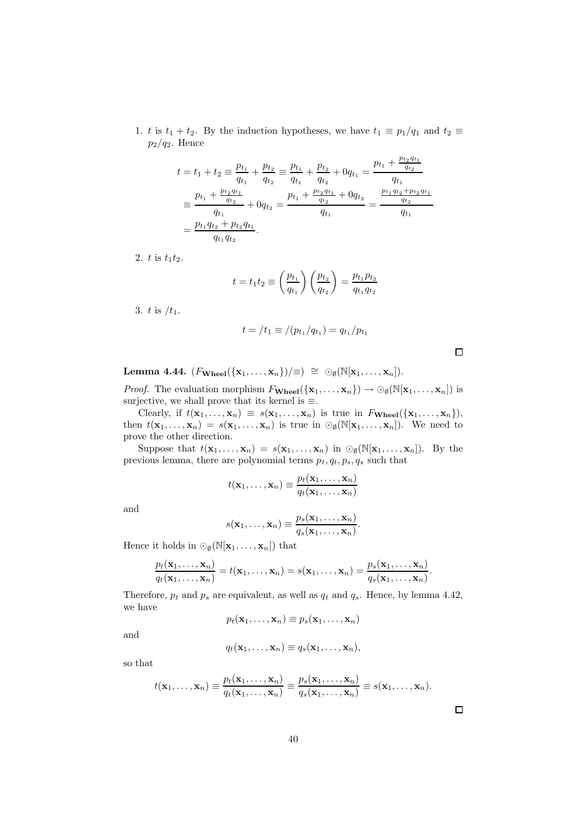1. t is  $t_1 + t_2$ . By the induction hypotheses, we have  $t_1 \equiv p_1/q_1$  and  $t_2 \equiv$  $p_2/q_2$ . Hence

$$
t = t_1 + t_2 \equiv \frac{p_{t_1}}{q_{t_1}} + \frac{p_{t_2}}{q_{t_2}} \equiv \frac{p_{t_1}}{q_{t_1}} + \frac{p_{t_2}}{q_{t_2}} + 0q_{t_1} = \frac{p_{t_1} + \frac{p_{t_2}q_{t_1}}{q_{t_2}}}{q_{t_1}}
$$
  

$$
\equiv \frac{p_{t_1} + \frac{p_{t_2}q_{t_1}}{q_{t_2}}}{q_{t_1}} + 0q_{t_2} = \frac{p_{t_1} + \frac{p_{t_2}q_{t_1}}{q_{t_2}} + 0q_{t_2}}{q_{t_1}} = \frac{\frac{p_{t_1}q_{t_2} + p_{t_2}q_{t_1}}{q_{t_2}}}{q_{t_1}}
$$
  

$$
= \frac{p_{t_1}q_{t_2} + p_{t_2}q_{t_1}}{q_{t_1}q_{t_2}}.
$$

2.  $t$  is  $t_1t_2$ .

$$
t = t_1 t_2 \equiv \left(\frac{p_{t_1}}{q_{t_1}}\right) \left(\frac{p_{t_2}}{q_{t_2}}\right) = \frac{p_{t_1} p_{t_2}}{q_{t_1} q_{t_2}}
$$

3. t is  $/t_1$ .

$$
t = /t_1 \equiv / (p_{t_1}/q_{t_1}) = q_{t_1}/p_{t_1}
$$

Lemma 4.44.  $(F_{\textbf{Wheel}}(\{x_1, \ldots, x_n\})/\equiv) \cong \odot_{\emptyset}(\mathbb{N}[x_1, \ldots, x_n]).$ 

*Proof.* The evaluation morphism  $F_{\mathbf{Wheel}}(\{\mathbf{x}_1,\ldots,\mathbf{x}_n\}) \to \odot_{\emptyset}(\mathbb{N}[\mathbf{x}_1,\ldots,\mathbf{x}_n])$  is surjective, we shall prove that its kernel is  $\equiv$ 

Clearly, if  $t(\mathbf{x}_1, ..., \mathbf{x}_n) \equiv s(\mathbf{x}_1, ..., \mathbf{x}_n)$  is true in  $F_{\mathbf{Wheel}}(\{\mathbf{x}_1, ..., \mathbf{x}_n\}),$ then  $t(\mathbf{x}_1,\ldots,\mathbf{x}_n) = s(\mathbf{x}_1,\ldots,\mathbf{x}_n)$  is true in  $\odot_{\emptyset}(\mathbb{N}[\mathbf{x}_1,\ldots,\mathbf{x}_n])$ . We need to prove the other direction.

Suppose that  $t(\mathbf{x}_1,\ldots,\mathbf{x}_n) = s(\mathbf{x}_1,\ldots,\mathbf{x}_n)$  in  $\odot_{\emptyset}(\mathbb{N}[\mathbf{x}_1,\ldots,\mathbf{x}_n])$ . By the previous lemma, there are polynomial terms  $p_t, q_t, p_s, q_s$  such that

$$
t(\mathbf{x}_1,\ldots,\mathbf{x}_n)\equiv \frac{p_t(\mathbf{x}_1,\ldots,\mathbf{x}_n)}{q_t(\mathbf{x}_1,\ldots,\mathbf{x}_n)}
$$

and

$$
s(\mathbf{x}_1,\ldots,\mathbf{x}_n) \equiv \frac{p_s(\mathbf{x}_1,\ldots,\mathbf{x}_n)}{q_s(\mathbf{x}_1,\ldots,\mathbf{x}_n)}
$$

.

Hence it holds in  $\odot_{\emptyset}(\mathbb{N}[\mathbf{x}_1,\ldots,\mathbf{x}_n])$  that

$$
\frac{p_t(\mathbf{x}_1,\ldots,\mathbf{x}_n)}{q_t(\mathbf{x}_1,\ldots,\mathbf{x}_n)}=t(\mathbf{x}_1,\ldots,\mathbf{x}_n)=s(\mathbf{x}_1,\ldots,\mathbf{x}_n)=\frac{p_s(\mathbf{x}_1,\ldots,\mathbf{x}_n)}{q_s(\mathbf{x}_1,\ldots,\mathbf{x}_n)}.
$$

Therefore,  $p_t$  and  $p_s$  are equivalent, as well as  $q_t$  and  $q_s$ . Hence, by lemma 4.42, we have

$$
p_t(\mathbf{x}_1,\ldots,\mathbf{x}_n)\equiv p_s(\mathbf{x}_1,\ldots,\mathbf{x}_n)
$$

and

$$
q_t(\mathbf{x}_1,\ldots,\mathbf{x}_n)\equiv q_s(\mathbf{x}_1,\ldots,\mathbf{x}_n),
$$

so that

$$
t(\mathbf{x}_1,\ldots,\mathbf{x}_n)\equiv \frac{p_t(\mathbf{x}_1,\ldots,\mathbf{x}_n)}{q_t(\mathbf{x}_1,\ldots,\mathbf{x}_n)}\equiv \frac{p_s(\mathbf{x}_1,\ldots,\mathbf{x}_n)}{q_s(\mathbf{x}_1,\ldots,\mathbf{x}_n)}\equiv s(\mathbf{x}_1,\ldots,\mathbf{x}_n).
$$

 $\Box$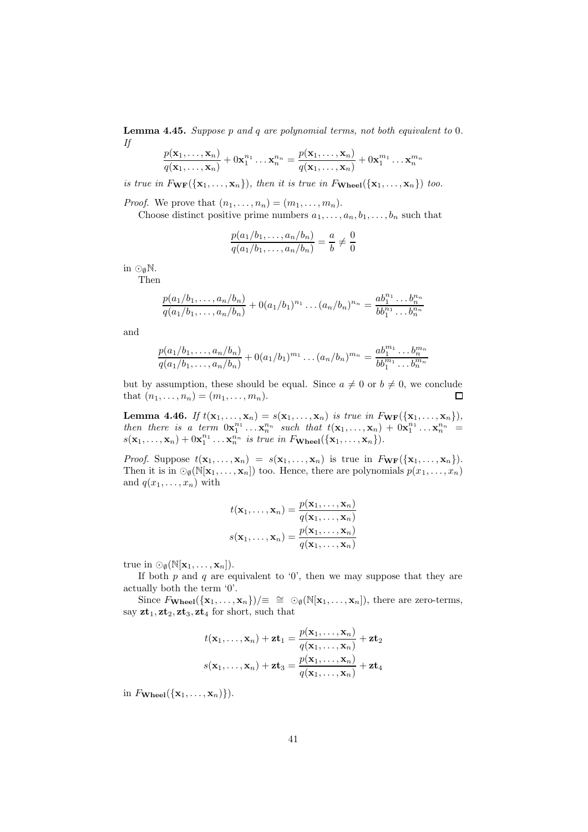Lemma 4.45. Suppose p and q are polynomial terms, not both equivalent to 0. If

$$
\frac{p(\mathbf{x}_1,\ldots,\mathbf{x}_n)}{q(\mathbf{x}_1,\ldots,\mathbf{x}_n)} + 0\mathbf{x}_1^{n_1}\ldots\mathbf{x}_n^{n_n} = \frac{p(\mathbf{x}_1,\ldots,\mathbf{x}_n)}{q(\mathbf{x}_1,\ldots,\mathbf{x}_n)} + 0\mathbf{x}_1^{m_1}\ldots\mathbf{x}_n^{m_n}
$$

is true in  $F_{\bf WF}(\{\bf x_1,\ldots,x_n\})$ , then it is true in  $F_{\bf Wheel}(\{\bf x_1,\ldots,x_n\})$  too.

*Proof.* We prove that  $(n_1, \ldots, n_n) = (m_1, \ldots, m_n)$ .

Choose distinct positive prime numbers  $a_1, \ldots, a_n, b_1, \ldots, b_n$  such that

$$
\frac{p(a_1/b_1,\ldots,a_n/b_n)}{q(a_1/b_1,\ldots,a_n/b_n)} = \frac{a}{b} \neq \frac{0}{0}
$$

in  $\odot_{\emptyset} \mathbb{N}$ .

Then

$$
\frac{p(a_1/b_1,\ldots,a_n/b_n)}{q(a_1/b_1,\ldots,a_n/b_n)}+0(a_1/b_1)^{n_1}\ldots(a_n/b_n)^{n_n}=\frac{ab_1^{n_1}\ldots b_n^{n_n}}{bb_1^{n_1}\ldots b_n^{n_n}}
$$

and

$$
\frac{p(a_1/b_1,\ldots,a_n/b_n)}{q(a_1/b_1,\ldots,a_n/b_n)}+0(a_1/b_1)^{m_1}\ldots(a_n/b_n)^{m_n}=\frac{ab_1^{m_1}\ldots b_n^{m_n}}{bb_1^{m_1}\ldots b_n^{m_n}}
$$

but by assumption, these should be equal. Since  $a \neq 0$  or  $b \neq 0$ , we conclude that  $(n_1, \ldots, n_n) = (m_1, \ldots, m_n)$ . that  $(n_1, ..., n_n) = (m_1, ..., m_n)$ .

**Lemma 4.46.** If  $t(\mathbf{x}_1, ..., \mathbf{x}_n) = s(\mathbf{x}_1, ..., \mathbf{x}_n)$  is true in  $F_{\mathbf{WF}}(\{\mathbf{x}_1, ..., \mathbf{x}_n\}),$ then there is a term  $0x_1^{n_1} \ldots x_n^{n_n}$  such that  $t(x_1, \ldots, x_n) + 0x_1^{n_1} \ldots x_n^{n_n} =$  $s(\mathbf{x}_1,\ldots,\mathbf{x}_n)+0\mathbf{x}_1^{n_1}\ldots\mathbf{x}_n^{n_n}$  is true in  $F_{\textbf{Wheel}}(\{\mathbf{x}_1,\ldots,\mathbf{x}_n\}).$ 

*Proof.* Suppose  $t(\mathbf{x}_1, ..., \mathbf{x}_n) = s(\mathbf{x}_1, ..., \mathbf{x}_n)$  is true in  $F_{\mathbf{WF}}(\{\mathbf{x}_1, ..., \mathbf{x}_n\}).$ Then it is in  $\odot_{\emptyset}(\mathbb{N}[\mathbf{x}_1,\ldots,\mathbf{x}_n])$  too. Hence, there are polynomials  $p(x_1,\ldots,x_n)$ and  $q(x_1, \ldots, x_n)$  with

$$
t(\mathbf{x}_1,\ldots,\mathbf{x}_n) = \frac{p(\mathbf{x}_1,\ldots,\mathbf{x}_n)}{q(\mathbf{x}_1,\ldots,\mathbf{x}_n)}
$$

$$
s(\mathbf{x}_1,\ldots,\mathbf{x}_n) = \frac{p(\mathbf{x}_1,\ldots,\mathbf{x}_n)}{q(\mathbf{x}_1,\ldots,\mathbf{x}_n)}
$$

true in  $\odot_{\emptyset}(\mathbb{N}[\mathbf{x}_1,\ldots,\mathbf{x}_n]).$ 

If both  $p$  and  $q$  are equivalent to '0', then we may suppose that they are actually both the term '0'.

Since  $F_{\mathbf{Wheel}}(\{\mathbf{x}_1,\ldots,\mathbf{x}_n\})/\equiv \cong \odot_{\emptyset}(\mathbb{N}[\mathbf{x}_1,\ldots,\mathbf{x}_n]),$  there are zero-terms, say  $z t_1$ ,  $z t_2$ ,  $z t_3$ ,  $z t_4$  for short, such that

$$
t(\mathbf{x}_1,\ldots,\mathbf{x}_n) + \mathbf{z}\mathbf{t}_1 = \frac{p(\mathbf{x}_1,\ldots,\mathbf{x}_n)}{q(\mathbf{x}_1,\ldots,\mathbf{x}_n)} + \mathbf{z}\mathbf{t}_2
$$

$$
s(\mathbf{x}_1,\ldots,\mathbf{x}_n) + \mathbf{z}\mathbf{t}_3 = \frac{p(\mathbf{x}_1,\ldots,\mathbf{x}_n)}{q(\mathbf{x}_1,\ldots,\mathbf{x}_n)} + \mathbf{z}\mathbf{t}_4
$$

in  $F_{\textbf{Wheel}}(\{\mathbf{x}_1, \ldots, \mathbf{x}_n)\})$ .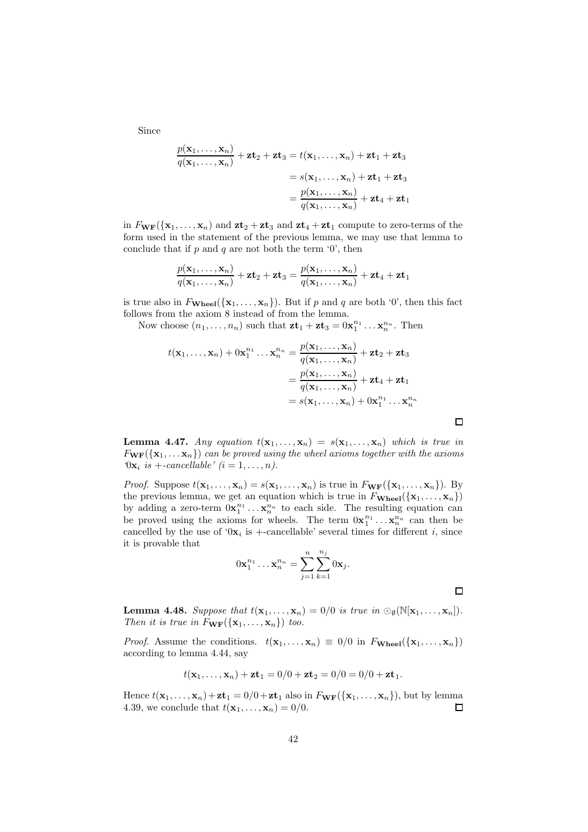Since

$$
\frac{p(\mathbf{x}_1,\ldots,\mathbf{x}_n)}{q(\mathbf{x}_1,\ldots,\mathbf{x}_n)} + \mathbf{z} \mathbf{t}_2 + \mathbf{z} \mathbf{t}_3 = t(\mathbf{x}_1,\ldots,\mathbf{x}_n) + \mathbf{z} \mathbf{t}_1 + \mathbf{z} \mathbf{t}_3
$$
  
=  $s(\mathbf{x}_1,\ldots,\mathbf{x}_n) + \mathbf{z} \mathbf{t}_1 + \mathbf{z} \mathbf{t}_3$   
=  $\frac{p(\mathbf{x}_1,\ldots,\mathbf{x}_n)}{q(\mathbf{x}_1,\ldots,\mathbf{x}_n)} + \mathbf{z} \mathbf{t}_4 + \mathbf{z} \mathbf{t}_1$ 

in  $F_{\mathbf{WF}}(\{\mathbf{x}_1,\ldots,\mathbf{x}_n\})$  and  $\mathbf{zt}_2 + \mathbf{zt}_3$  and  $\mathbf{zt}_4 + \mathbf{zt}_1$  compute to zero-terms of the form used in the statement of the previous lemma, we may use that lemma to conclude that if p and q are not both the term  $\theta$ , then

$$
\frac{p(\mathbf{x}_1,\dots,\mathbf{x}_n)}{q(\mathbf{x}_1,\dots,\mathbf{x}_n)} + \mathbf{z} \mathbf{t}_2 + \mathbf{z} \mathbf{t}_3 = \frac{p(\mathbf{x}_1,\dots,\mathbf{x}_n)}{q(\mathbf{x}_1,\dots,\mathbf{x}_n)} + \mathbf{z} \mathbf{t}_4 + \mathbf{z} \mathbf{t}_1
$$

is true also in  $F_{\textbf{Wheel}}(\{\mathbf{x}_1, \ldots, \mathbf{x}_n\})$ . But if p and q are both '0', then this fact follows from the axiom 8 instead of from the lemma.

Now choose  $(n_1, \ldots, n_n)$  such that  $\mathbf{z} \mathbf{t}_1 + \mathbf{z} \mathbf{t}_3 = 0 \mathbf{x}_1^{n_1} \ldots \mathbf{x}_n^{n_n}$ . Then

$$
t(\mathbf{x}_1,\ldots,\mathbf{x}_n) + 0\mathbf{x}_1^{n_1}\ldots\mathbf{x}_n^{n_n} = \frac{p(\mathbf{x}_1,\ldots,\mathbf{x}_n)}{q(\mathbf{x}_1,\ldots,\mathbf{x}_n)} + \mathbf{z}\mathbf{t}_2 + \mathbf{z}\mathbf{t}_3
$$
  
=  $\frac{p(\mathbf{x}_1,\ldots,\mathbf{x}_n)}{q(\mathbf{x}_1,\ldots,\mathbf{x}_n)} + \mathbf{z}\mathbf{t}_4 + \mathbf{z}\mathbf{t}_1$   
=  $s(\mathbf{x}_1,\ldots,\mathbf{x}_n) + 0\mathbf{x}_1^{n_1}\ldots\mathbf{x}_n^{n_n}$ 

**Lemma 4.47.** Any equation  $t(\mathbf{x}_1, \ldots, \mathbf{x}_n) = s(\mathbf{x}_1, \ldots, \mathbf{x}_n)$  which is true in  $F_{\bf WF}(\{{\bf x}_1,\ldots{\bf x}_n\})$  can be proved using the wheel axioms together with the axioms  $\mathcal{O}(\mathbf{x}_i \; \mathit{is} +\textit{cancelable} \; \mathit{is} \; \mathit{in} \; 1, \ldots, n).$ 

*Proof.* Suppose  $t(\mathbf{x}_1, \dots, \mathbf{x}_n) = s(\mathbf{x}_1, \dots, \mathbf{x}_n)$  is true in  $F_{\mathbf{WF}}(\{\mathbf{x}_1, \dots, \mathbf{x}_n\})$ . By the previous lemma, we get an equation which is true in  $F_{\textbf{Wheel}}(\{\mathbf{x}_1, \ldots, \mathbf{x}_n\})$ by adding a zero-term  $0x_1^{n_1} \ldots x_n^{n_n}$  to each side. The resulting equation can be proved using the axioms for wheels. The term  $0x_1^{n_1} \ldots x_n^{n_n}$  can then be cancelled by the use of ' $0x_i$  is +-cancellable' several times for different i, since it is provable that

$$
0\mathbf{x}_1^{n_1}\dots\mathbf{x}_n^{n_n} = \sum_{j=1}^n \sum_{k=1}^{n_j} 0\mathbf{x}_j.
$$

**Lemma 4.48.** Suppose that  $t(\mathbf{x}_1, ..., \mathbf{x}_n) = 0/0$  is true in  $\odot_{\emptyset}(\mathbb{N}[\mathbf{x}_1, ..., \mathbf{x}_n]).$ Then it is true in  $F_{\bf WF}(\{x_1,\ldots,x_n\})$  too.

*Proof.* Assume the conditions.  $t(\mathbf{x}_1, \dots, \mathbf{x}_n) \equiv 0/0$  in  $F_{\mathbf{Wheel}}(\{\mathbf{x}_1, \dots, \mathbf{x}_n\})$ according to lemma 4.44, say

$$
t(\mathbf{x}_1,\ldots,\mathbf{x}_n)+\mathbf{z}\mathbf{t}_1=0/0+\mathbf{z}\mathbf{t}_2=0/0=0/0+\mathbf{z}\mathbf{t}_1.
$$

Hence  $t(\mathbf{x}_1, ..., \mathbf{x}_n) + \mathbf{z} \mathbf{t}_1 = 0/0 + \mathbf{z} \mathbf{t}_1$  also in  $F_{\mathbf{WF}}(\{\mathbf{x}_1, ..., \mathbf{x}_n\})$ , but by lemma 4.39, we conclude that  $t(\mathbf{x}_1, ..., \mathbf{x}_n) = 0/0$ . 4.39, we conclude that  $t(\mathbf{x}_1, \dots, \mathbf{x}_n) = 0/0$ .

 $\Box$ 

 $\Box$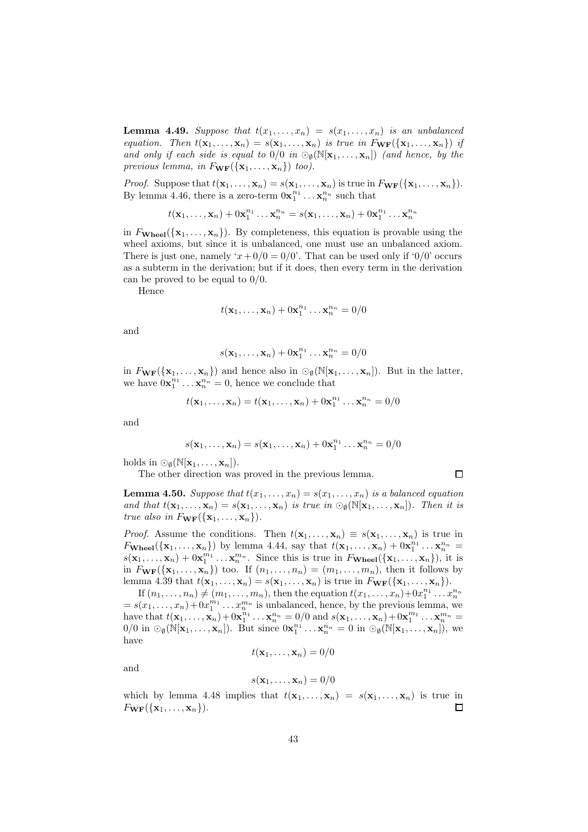**Lemma 4.49.** Suppose that  $t(x_1, \ldots, x_n) = s(x_1, \ldots, x_n)$  is an unbalanced equation. Then  $t(\mathbf{x}_1,\ldots,\mathbf{x}_n)=s(\mathbf{x}_1,\ldots,\mathbf{x}_n)$  is true in  $F_{\mathbf{WF}}(\{\mathbf{x}_1,\ldots,\mathbf{x}_n\})$  if and only if each side is equal to  $0/0$  in  $\mathcal{O}_\emptyset(N[\mathbf{x}_1,\ldots,\mathbf{x}_n])$  (and hence, by the previous lemma, in  $F_{\mathbf{WF}}(\{\mathbf{x}_1, \ldots, \mathbf{x}_n\})$  too).

*Proof.* Suppose that  $t(\mathbf{x}_1, ..., \mathbf{x}_n) = s(\mathbf{x}_1, ..., \mathbf{x}_n)$  is true in  $F_{\mathbf{WF}}(\{\mathbf{x}_1, ..., \mathbf{x}_n\})$ . By lemma 4.46, there is a zero-term  $0x_1^{n_1} \ldots x_n^{n_n}$  such that

$$
t(\mathbf{x}_1,\ldots,\mathbf{x}_n)+0\mathbf{x}_1^{n_1}\ldots\mathbf{x}_n^{n_n}=s(\mathbf{x}_1,\ldots,\mathbf{x}_n)+0\mathbf{x}_1^{n_1}\ldots\mathbf{x}_n^{n_n}
$$

in  $F_{\textbf{Wheel}}(\{\mathbf{x}_1,\ldots,\mathbf{x}_n\})$ . By completeness, this equation is provable using the wheel axioms, but since it is unbalanced, one must use an unbalanced axiom. There is just one, namely ' $x+0/0=0/0$ '. That can be used only if '0/0' occurs as a subterm in the derivation; but if it does, then every term in the derivation can be proved to be equal to 0/0.

Hence

$$
t(\mathbf{x}_1,\ldots,\mathbf{x}_n)+0\mathbf{x}_1^{n_1}\ldots\mathbf{x}_n^{n_n}=0/0
$$

and

$$
s(\mathbf{x}_1,\ldots,\mathbf{x}_n)+0\mathbf{x}_1^{n_1}\ldots\mathbf{x}_n^{n_n}=0/0
$$

in  $F_{\bf WF}(\{{\bf x}_1,\ldots,{\bf x}_n\})$  and hence also in  $\odot_{\emptyset}(\mathbb{N}[{\bf x}_1,\ldots,{\bf x}_n])$ . But in the latter, we have  $0\mathbf{x}_1^{n_1}\dots\mathbf{x}_n^{n_n}=0$ , hence we conclude that

$$
t(\mathbf{x}_1,\ldots,\mathbf{x}_n)=t(\mathbf{x}_1,\ldots,\mathbf{x}_n)+0\mathbf{x}_1^{n_1}\ldots\mathbf{x}_n^{n_n}=0/0
$$

and

$$
s(\mathbf{x}_1,\ldots,\mathbf{x}_n)=s(\mathbf{x}_1,\ldots,\mathbf{x}_n)+0\mathbf{x}_1^{n_1}\ldots\mathbf{x}_n^{n_n}=0/0
$$

holds in  $\odot_{\emptyset}(\mathbb{N}[\mathbf{x}_1,\ldots,\mathbf{x}_n]).$ 

The other direction was proved in the previous lemma.

**Lemma 4.50.** Suppose that  $t(x_1, \ldots, x_n) = s(x_1, \ldots, x_n)$  is a balanced equation and that  $t(\mathbf{x}_1,\ldots,\mathbf{x}_n)=s(\mathbf{x}_1,\ldots,\mathbf{x}_n)$  is true in  $\odot_{\emptyset}(\mathbb{N}[\mathbf{x}_1,\ldots,\mathbf{x}_n])$ . Then it is true also in  $F_{\mathbf{WF}}(\{\mathbf{x}_1,\ldots,\mathbf{x}_n\})$ .

*Proof.* Assume the conditions. Then  $t(\mathbf{x}_1, \ldots, \mathbf{x}_n) \equiv s(\mathbf{x}_1, \ldots, \mathbf{x}_n)$  is true in  $F_{\textbf{Wheel}}(\{\mathbf{x}_1,\ldots,\mathbf{x}_n\})$  by lemma 4.44, say that  $t(\mathbf{x}_1,\ldots,\mathbf{x}_n) + 0\mathbf{x}_1^{n_1} \ldots \mathbf{x}_n^{n_n} =$  $s(\mathbf{x}_1, \ldots, \mathbf{x}_n) + 0\mathbf{x}_1^{m_1} \ldots \mathbf{x}_n^{m_n}$ . Since this is true in  $F_{\mathbf{Wheel}}(\{\mathbf{x}_1, \ldots, \mathbf{x}_n\})$ , it is in  $F_{\bf WF}(\{\mathbf{x}_1,\ldots,\mathbf{x}_n\})$  too. If  $(n_1,\ldots,n_n)=(m_1,\ldots,m_n)$ , then it follows by lemma 4.39 that  $t(\mathbf{x}_1, \ldots, \mathbf{x}_n) = s(\mathbf{x}_1, \ldots, \mathbf{x}_n)$  is true in  $F_{\mathbf{WF}}(\{\mathbf{x}_1, \ldots, \mathbf{x}_n\}).$ 

If  $(n_1, \ldots, n_n) \neq (m_1, \ldots, m_n)$ , then the equation  $t(x_1, \ldots, x_n) + 0x_1^{n_1} \ldots x_n^{n_n}$ <br>=  $s(x_1, \ldots, x_n) + 0x_1^{m_1} \ldots x_n^{m_n}$  is unbalanced, hence, by the previous lemma, we have that  $t(\mathbf{x}_1, ..., \mathbf{x}_n) + 0\mathbf{x}_1^{n_1} ... \mathbf{x}_n^{n_n} = 0/0$  and  $s(\mathbf{x}_1, ..., \mathbf{x}_n) + 0\mathbf{x}_1^{m_1} ... \mathbf{x}_n^{m_n} =$  $0/0$  in  $\odot_{\emptyset}(\mathbb{N}[\mathbf{x}_1,\ldots,\mathbf{x}_n])$ . But since  $0\mathbf{x}_1^{n_1}\ldots\mathbf{x}_n^{n_n}=0$  in  $\odot_{\emptyset}(\mathbb{N}[\mathbf{x}_1,\ldots,\mathbf{x}_n])$ , we have

$$
t(\mathbf{x}_1,\ldots,\mathbf{x}_n)=0/0
$$

and

$$
s(\mathbf{x}_1,\ldots,\mathbf{x}_n)=0/0
$$

which by lemma 4.48 implies that  $t(\mathbf{x}_1, \ldots, \mathbf{x}_n) = s(\mathbf{x}_1, \ldots, \mathbf{x}_n)$  is true in  $F_{\mathbf{WF}}(\{\mathbf{x}_1,\ldots,\mathbf{x}_n\}).$  $\Box$ 

 $\Box$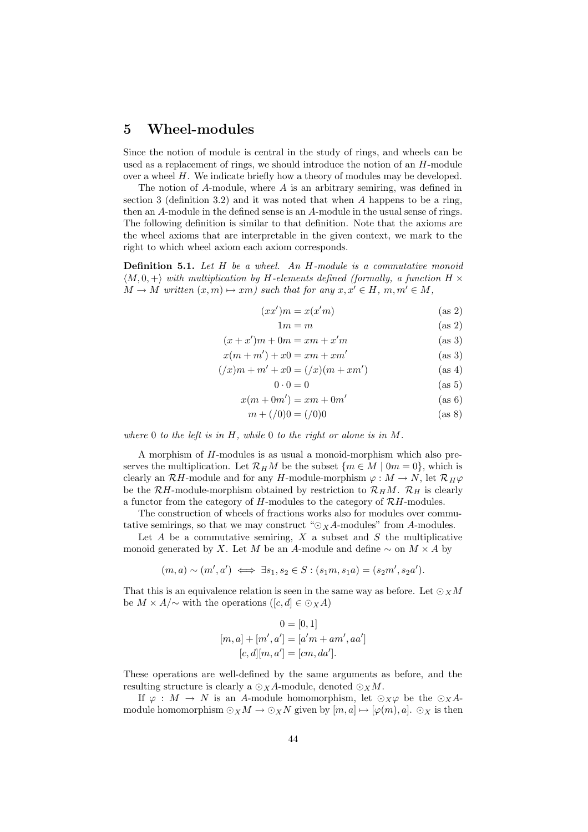# 5 Wheel-modules

Since the notion of module is central in the study of rings, and wheels can be used as a replacement of rings, we should introduce the notion of an H-module over a wheel  $H$ . We indicate briefly how a theory of modules may be developed.

The notion of A-module, where A is an arbitrary semiring, was defined in section 3 (definition 3.2) and it was noted that when A happens to be a ring, then an A-module in the defined sense is an A-module in the usual sense of rings. The following definition is similar to that definition. Note that the axioms are the wheel axioms that are interpretable in the given context, we mark to the right to which wheel axiom each axiom corresponds.

Definition 5.1. Let H be a wheel. An H-module is a commutative monoid  $\langle M, 0, +\rangle$  with multiplication by H-elements defined (formally, a function H  $\times$  $M \to M$  written  $(x, m) \mapsto xm)$  such that for any  $x, x' \in H$ ,  $m, m' \in M$ ,

$$
(xx')m = x(x'm)
$$
 (as 2)

$$
1m = m \tag{as 2}
$$

$$
(x+x')m + 0m = xm + x'm
$$
 (as 3)

$$
x(m+m') + x0 = xm + xm'
$$
 (as 3)

$$
(\n/x)m + m' + x0 = (\n/x)(m + xm') \tag{as 4}
$$

$$
0 \cdot 0 = 0 \tag{as 5}
$$

$$
x(m + 0m') = xm + 0m'
$$
 (as 6)

$$
m + \binom{1}{0}0 = \binom{1}{0}0\tag{as 8}
$$

where  $0$  to the left is in  $H$ , while  $0$  to the right or alone is in  $M$ .

A morphism of H-modules is as usual a monoid-morphism which also preserves the multiplication. Let  $\mathcal{R}_H M$  be the subset  $\{m \in M \mid 0m = 0\}$ , which is clearly an  $\mathcal{R}H$ -module and for any H-module-morphism  $\varphi : M \to N$ , let  $\mathcal{R}_H\varphi$ be the  $\mathcal{R}H$ -module-morphism obtained by restriction to  $\mathcal{R}_HM$ .  $\mathcal{R}_H$  is clearly a functor from the category of  $H$ -modules to the category of  $\mathcal{R}H$ -modules.

The construction of wheels of fractions works also for modules over commutative semirings, so that we may construct " $\odot_X A$ -modules" from A-modules.

Let  $A$  be a commutative semiring,  $X$  a subset and  $S$  the multiplicative monoid generated by X. Let M be an A-module and define  $\sim$  on  $M \times A$  by

$$
(m, a) \sim (m', a') \iff \exists s_1, s_2 \in S : (s_1m, s_1a) = (s_2m', s_2a').
$$

That this is an equivalence relation is seen in the same way as before. Let  $\odot_X M$ be  $M \times A/\sim$  with the operations  $([c, d] \in \odot_X A)$ 

$$
0 = [0, 1]
$$
  
\n
$$
[m, a] + [m', a'] = [a'm + am', aa']
$$
  
\n
$$
[c, d][m, a'] = [cm, da']
$$
.

These operations are well-defined by the same arguments as before, and the resulting structure is clearly a  $\odot_X A$ -module, denoted  $\odot_X M$ .

If  $\varphi : M \to N$  is an A-module homomorphism, let  $\odot_X \varphi$  be the  $\odot_X A$ module homomorphism  $\odot_X M \to \odot_X N$  given by  $[m, a] \mapsto [\varphi(m), a]$ .  $\odot_X$  is then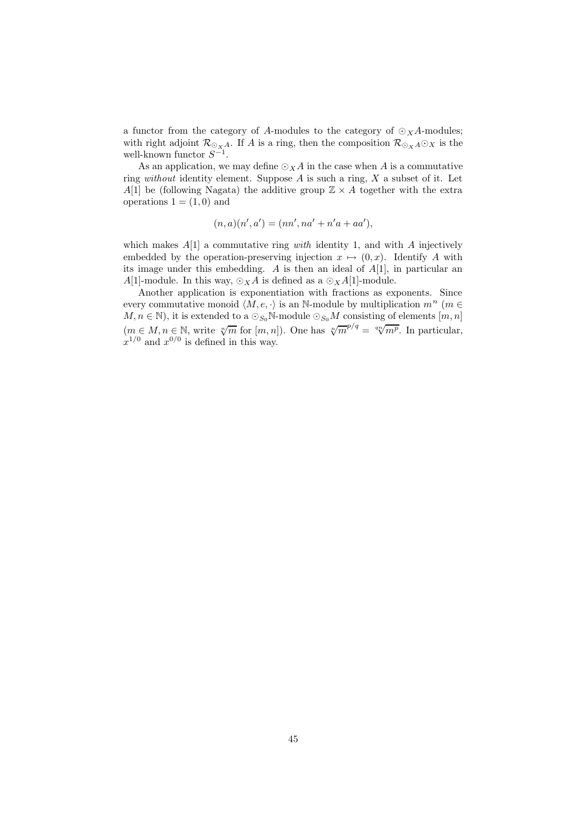a functor from the category of A-modules to the category of  $\odot_X A$ -modules; with right adjoint  $\mathcal{R}_{\bigcirc_{X_i}A}$ . If A is a ring, then the composition  $\mathcal{R}_{\bigcirc_{X}A}\bigcirc_{X}$  is the well-known functor  $S^{-1}$ .

As an application, we may define  $\odot_X A$  in the case when A is a commutative ring without identity element. Suppose  $A$  is such a ring,  $X$  a subset of it. Let A[1] be (following Nagata) the additive group  $\mathbb{Z} \times A$  together with the extra operations  $1 = (1, 0)$  and

$$
(n, a)(n', a') = (nn', na' + n'a + aa'),
$$

which makes  $A[1]$  a commutative ring *with* identity 1, and with A injectively embedded by the operation-preserving injection  $x \mapsto (0, x)$ . Identify A with its image under this embedding. A is then an ideal of  $A[1]$ , in particular an  $A[1]$ -module. In this way,  $\odot_X A$  is defined as a  $\odot_X A[1]$ -module.

Another application is exponentiation with fractions as exponents. Since every commutative monoid  $\langle M, e, \cdot \rangle$  is an N-module by multiplication  $m^n$  ( $m \in$  $M, n \in \mathbb{N}$ , it is extended to a  $\odot_{S_0} \mathbb{N}$ -module  $\odot_{S_0} M$  consisting of elements  $[m, n]$  $(m \in M, n \in \mathbb{N}$ , write  $\sqrt[m]{m}$  for  $[m, n]$ ). One has  $\sqrt[m]{m^{p/q}} = \sqrt[m]{m^p}$ . In particular,  $x^{1/0}$  and  $x^{0/0}$  is defined in this way.